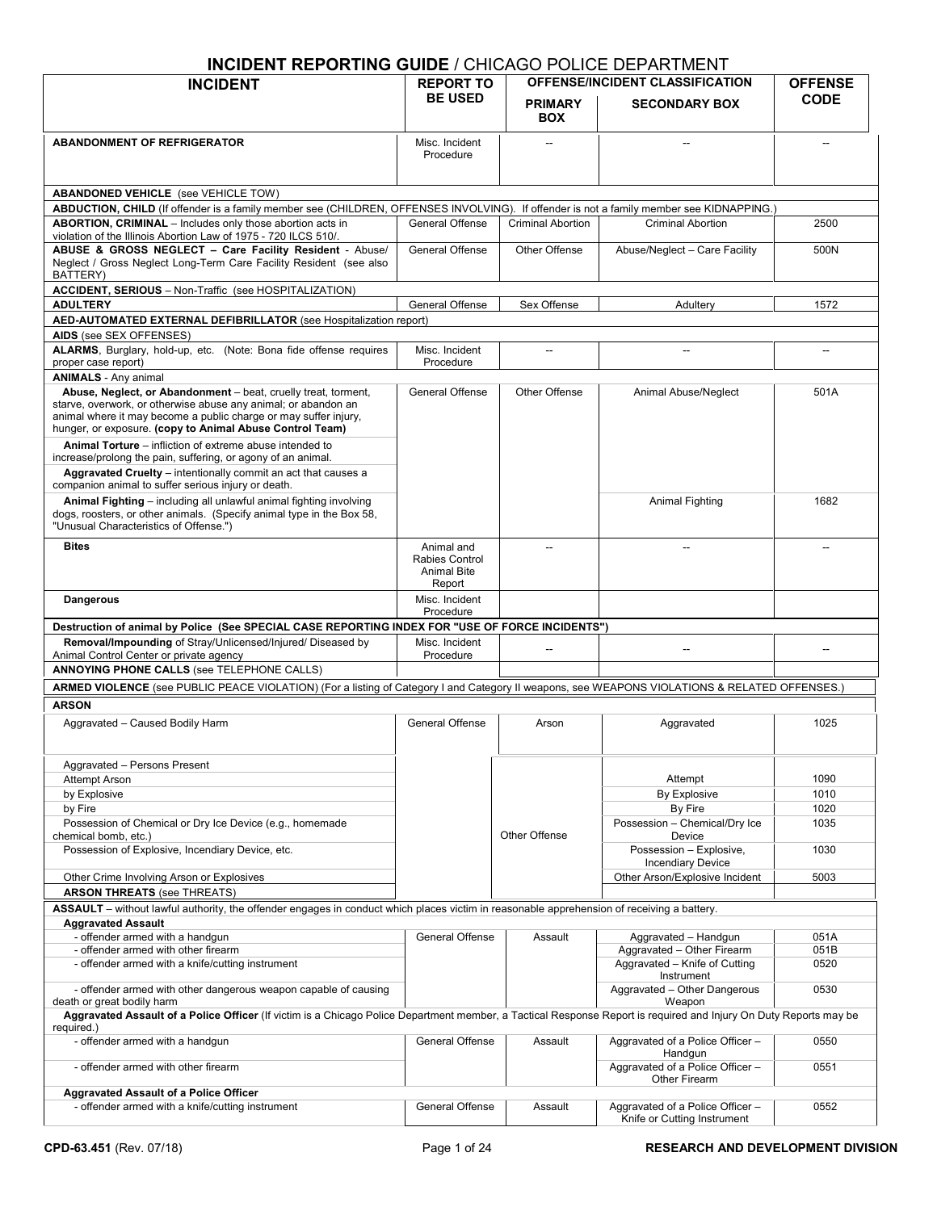| <b>INGIDENT REPURTING GUIDE / CHICAGO FOLICE DEFARTIVIENT</b>                                                                                                                                                                                                                                                                                                                                                                                                                                                         |                                                              |                              |                                                                 |                |  |
|-----------------------------------------------------------------------------------------------------------------------------------------------------------------------------------------------------------------------------------------------------------------------------------------------------------------------------------------------------------------------------------------------------------------------------------------------------------------------------------------------------------------------|--------------------------------------------------------------|------------------------------|-----------------------------------------------------------------|----------------|--|
| <b>INCIDENT</b>                                                                                                                                                                                                                                                                                                                                                                                                                                                                                                       | <b>REPORT TO</b>                                             |                              | <b>OFFENSE/INCIDENT CLASSIFICATION</b>                          | <b>OFFENSE</b> |  |
|                                                                                                                                                                                                                                                                                                                                                                                                                                                                                                                       | <b>BE USED</b>                                               | <b>PRIMARY</b><br><b>BOX</b> | <b>SECONDARY BOX</b>                                            | <b>CODE</b>    |  |
| <b>ABANDONMENT OF REFRIGERATOR</b>                                                                                                                                                                                                                                                                                                                                                                                                                                                                                    | Misc. Incident<br>Procedure                                  | $\overline{a}$               | $\overline{\phantom{a}}$                                        |                |  |
| <b>ABANDONED VEHICLE</b> (see VEHICLE TOW)                                                                                                                                                                                                                                                                                                                                                                                                                                                                            |                                                              |                              |                                                                 |                |  |
| ABDUCTION, CHILD (If offender is a family member see (CHILDREN, OFFENSES INVOLVING). If offender is not a family member see KIDNAPPING.)                                                                                                                                                                                                                                                                                                                                                                              |                                                              |                              |                                                                 |                |  |
| <b>ABORTION, CRIMINAL</b> - Includes only those abortion acts in<br>violation of the Illinois Abortion Law of 1975 - 720 ILCS 510/.                                                                                                                                                                                                                                                                                                                                                                                   | General Offense                                              | <b>Criminal Abortion</b>     | <b>Criminal Abortion</b>                                        | 2500           |  |
| ABUSE & GROSS NEGLECT - Care Facility Resident - Abuse/<br>Neglect / Gross Neglect Long-Term Care Facility Resident (see also<br>BATTERY)                                                                                                                                                                                                                                                                                                                                                                             | General Offense                                              | Other Offense                | Abuse/Neglect - Care Facility                                   | 500N           |  |
| ACCIDENT, SERIOUS - Non-Traffic (see HOSPITALIZATION)                                                                                                                                                                                                                                                                                                                                                                                                                                                                 |                                                              |                              |                                                                 |                |  |
| <b>ADULTERY</b>                                                                                                                                                                                                                                                                                                                                                                                                                                                                                                       | General Offense                                              | Sex Offense                  | Adultery                                                        | 1572           |  |
| AED-AUTOMATED EXTERNAL DEFIBRILLATOR (see Hospitalization report)<br>AIDS (see SEX OFFENSES)                                                                                                                                                                                                                                                                                                                                                                                                                          |                                                              |                              |                                                                 |                |  |
| ALARMS, Burglary, hold-up, etc. (Note: Bona fide offense requires<br>proper case report)                                                                                                                                                                                                                                                                                                                                                                                                                              | Misc. Incident<br>Procedure                                  | $\sim$                       | $\sim$                                                          | $\overline{a}$ |  |
| <b>ANIMALS</b> - Any animal                                                                                                                                                                                                                                                                                                                                                                                                                                                                                           |                                                              |                              |                                                                 |                |  |
| Abuse, Neglect, or Abandonment - beat, cruelly treat, torment,<br>starve, overwork, or otherwise abuse any animal; or abandon an<br>animal where it may become a public charge or may suffer injury,<br>hunger, or exposure. (copy to Animal Abuse Control Team)<br>Animal Torture – infliction of extreme abuse intended to<br>increase/prolong the pain, suffering, or agony of an animal.<br>Aggravated Cruelty - intentionally commit an act that causes a<br>companion animal to suffer serious injury or death. | General Offense                                              | Other Offense                | Animal Abuse/Neglect                                            | 501A           |  |
| Animal Fighting - including all unlawful animal fighting involving<br>dogs, roosters, or other animals. (Specify animal type in the Box 58,<br>"Unusual Characteristics of Offense.")                                                                                                                                                                                                                                                                                                                                 |                                                              |                              | Animal Fighting                                                 | 1682           |  |
| <b>Bites</b>                                                                                                                                                                                                                                                                                                                                                                                                                                                                                                          | Animal and<br>Rabies Control<br><b>Animal Bite</b><br>Report | $\overline{\phantom{a}}$     | $\overline{\phantom{a}}$                                        | $\overline{a}$ |  |
| <b>Dangerous</b>                                                                                                                                                                                                                                                                                                                                                                                                                                                                                                      | Misc. Incident<br>Procedure                                  |                              |                                                                 |                |  |
| Destruction of animal by Police (See SPECIAL CASE REPORTING INDEX FOR "USE OF FORCE INCIDENTS")                                                                                                                                                                                                                                                                                                                                                                                                                       |                                                              |                              |                                                                 |                |  |
| Removal/Impounding of Stray/Unlicensed/Injured/ Diseased by<br>Animal Control Center or private agency                                                                                                                                                                                                                                                                                                                                                                                                                | Misc. Incident<br>Procedure                                  | $\overline{\phantom{a}}$     | --                                                              |                |  |
| <b>ANNOYING PHONE CALLS (see TELEPHONE CALLS)</b>                                                                                                                                                                                                                                                                                                                                                                                                                                                                     |                                                              |                              |                                                                 |                |  |
| ARMED VIOLENCE (see PUBLIC PEACE VIOLATION) (For a listing of Category I and Category II weapons, see WEAPONS VIOLATIONS & RELATED OFFENSES.)                                                                                                                                                                                                                                                                                                                                                                         |                                                              |                              |                                                                 |                |  |
| <b>ARSON</b>                                                                                                                                                                                                                                                                                                                                                                                                                                                                                                          |                                                              |                              |                                                                 |                |  |
| Aggravated - Caused Bodily Harm                                                                                                                                                                                                                                                                                                                                                                                                                                                                                       | General Offense                                              | Arson                        | Aggravated                                                      | 1025           |  |
| Aggravated - Persons Present<br>Attempt Arson                                                                                                                                                                                                                                                                                                                                                                                                                                                                         |                                                              |                              | Attempt                                                         | 1090           |  |
| by Explosive                                                                                                                                                                                                                                                                                                                                                                                                                                                                                                          |                                                              |                              | By Explosive                                                    | 1010           |  |
| by Fire                                                                                                                                                                                                                                                                                                                                                                                                                                                                                                               |                                                              |                              | By Fire                                                         | 1020           |  |
| Possession of Chemical or Dry Ice Device (e.g., homemade<br>chemical bomb, etc.)                                                                                                                                                                                                                                                                                                                                                                                                                                      |                                                              | Other Offense                | Possession - Chemical/Dry Ice<br>Device                         | 1035           |  |
| Possession of Explosive, Incendiary Device, etc.                                                                                                                                                                                                                                                                                                                                                                                                                                                                      |                                                              |                              | Possession - Explosive,<br><b>Incendiary Device</b>             | 1030           |  |
| Other Crime Involving Arson or Explosives<br><b>ARSON THREATS (see THREATS)</b>                                                                                                                                                                                                                                                                                                                                                                                                                                       |                                                              |                              | Other Arson/Explosive Incident                                  | 5003           |  |
| ASSAULT - without lawful authority, the offender engages in conduct which places victim in reasonable apprehension of receiving a battery.                                                                                                                                                                                                                                                                                                                                                                            |                                                              |                              |                                                                 |                |  |
| <b>Aggravated Assault</b>                                                                                                                                                                                                                                                                                                                                                                                                                                                                                             |                                                              |                              |                                                                 |                |  |
| - offender armed with a handgun                                                                                                                                                                                                                                                                                                                                                                                                                                                                                       | General Offense                                              | Assault                      | Aggravated - Handgun                                            | 051A           |  |
| - offender armed with other firearm<br>- offender armed with a knife/cutting instrument                                                                                                                                                                                                                                                                                                                                                                                                                               |                                                              |                              | Aggravated - Other Firearm<br>Aggravated - Knife of Cutting     | 051B<br>0520   |  |
| - offender armed with other dangerous weapon capable of causing                                                                                                                                                                                                                                                                                                                                                                                                                                                       |                                                              |                              | Instrument<br>Aggravated - Other Dangerous                      | 0530           |  |
| death or great bodily harm<br>Aggravated Assault of a Police Officer (If victim is a Chicago Police Department member, a Tactical Response Report is required and Injury On Duty Reports may be                                                                                                                                                                                                                                                                                                                       |                                                              |                              | Weapon                                                          |                |  |
| required.)<br>- offender armed with a handgun                                                                                                                                                                                                                                                                                                                                                                                                                                                                         | General Offense                                              | Assault                      | Aggravated of a Police Officer -                                | 0550           |  |
| - offender armed with other firearm                                                                                                                                                                                                                                                                                                                                                                                                                                                                                   |                                                              |                              | Handgun<br>Aggravated of a Police Officer -                     | 0551           |  |
| <b>Aggravated Assault of a Police Officer</b>                                                                                                                                                                                                                                                                                                                                                                                                                                                                         |                                                              |                              | Other Firearm                                                   |                |  |
| - offender armed with a knife/cutting instrument                                                                                                                                                                                                                                                                                                                                                                                                                                                                      | General Offense                                              | Assault                      | Aggravated of a Police Officer -<br>Knife or Cutting Instrument | 0552           |  |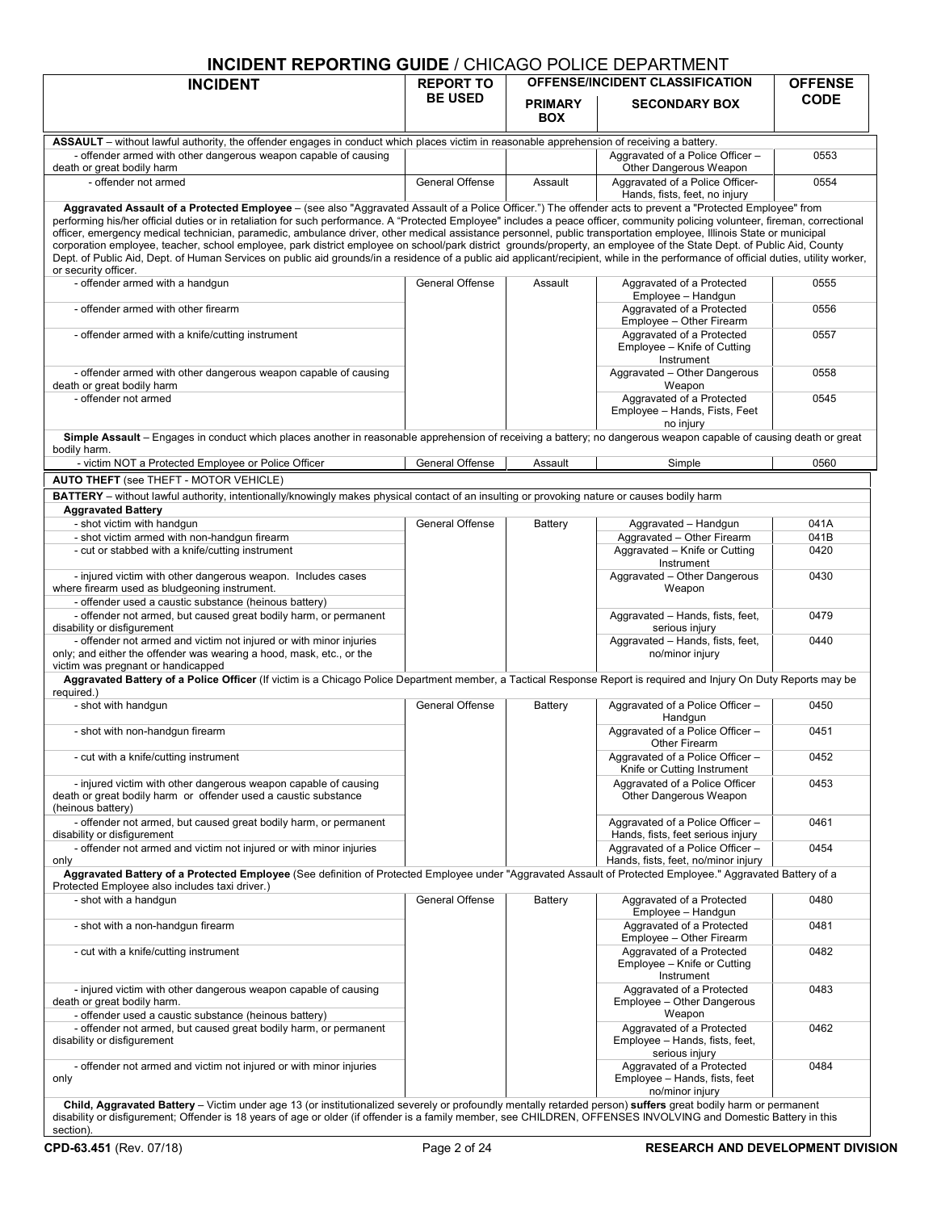| <b>INCIDENT REPORTING GUIDE / CHICAGO POLICE DEPARTMENT</b>                                                                                                                                                                                                                                                                                            |                        |                |                                                          |                |  |
|--------------------------------------------------------------------------------------------------------------------------------------------------------------------------------------------------------------------------------------------------------------------------------------------------------------------------------------------------------|------------------------|----------------|----------------------------------------------------------|----------------|--|
| <b>INCIDENT</b>                                                                                                                                                                                                                                                                                                                                        | <b>REPORT TO</b>       |                | <b>OFFENSE/INCIDENT CLASSIFICATION</b>                   | <b>OFFENSE</b> |  |
|                                                                                                                                                                                                                                                                                                                                                        | <b>BE USED</b>         | <b>PRIMARY</b> | <b>SECONDARY BOX</b>                                     | <b>CODE</b>    |  |
|                                                                                                                                                                                                                                                                                                                                                        |                        | <b>BOX</b>     |                                                          |                |  |
|                                                                                                                                                                                                                                                                                                                                                        |                        |                |                                                          |                |  |
| ASSAULT - without lawful authority, the offender engages in conduct which places victim in reasonable apprehension of receiving a battery.                                                                                                                                                                                                             |                        |                | Aggravated of a Police Officer-                          | 0553           |  |
| - offender armed with other dangerous weapon capable of causing<br>death or great bodily harm                                                                                                                                                                                                                                                          |                        |                | Other Dangerous Weapon                                   |                |  |
| - offender not armed                                                                                                                                                                                                                                                                                                                                   | General Offense        | Assault        | Aggravated of a Police Officer-                          | 0554           |  |
|                                                                                                                                                                                                                                                                                                                                                        |                        |                | Hands, fists, feet, no injury                            |                |  |
| Aggravated Assault of a Protected Employee - (see also "Aggravated Assault of a Police Officer.") The offender acts to prevent a "Protected Employee" from                                                                                                                                                                                             |                        |                |                                                          |                |  |
| performing his/her official duties or in retaliation for such performance. A "Protected Employee" includes a peace officer, community policing volunteer, fireman, correctional<br>officer, emergency medical technician, paramedic, ambulance driver, other medical assistance personnel, public transportation employee, Illinois State or municipal |                        |                |                                                          |                |  |
| corporation employee, teacher, school employee, park district employee on school/park district grounds/property, an employee of the State Dept. of Public Aid, County                                                                                                                                                                                  |                        |                |                                                          |                |  |
| Dept. of Public Aid, Dept. of Human Services on public aid grounds/in a residence of a public aid applicant/recipient, while in the performance of official duties, utility worker,                                                                                                                                                                    |                        |                |                                                          |                |  |
| or security officer.                                                                                                                                                                                                                                                                                                                                   |                        |                |                                                          |                |  |
| - offender armed with a handgun                                                                                                                                                                                                                                                                                                                        | General Offense        | Assault        | Aggravated of a Protected<br>Employee - Handgun          | 0555           |  |
| - offender armed with other firearm                                                                                                                                                                                                                                                                                                                    |                        |                | Aggravated of a Protected                                | 0556           |  |
|                                                                                                                                                                                                                                                                                                                                                        |                        |                | Employee - Other Firearm                                 |                |  |
| - offender armed with a knife/cutting instrument                                                                                                                                                                                                                                                                                                       |                        |                | Aggravated of a Protected                                | 0557           |  |
|                                                                                                                                                                                                                                                                                                                                                        |                        |                | Employee - Knife of Cutting<br>Instrument                |                |  |
| - offender armed with other dangerous weapon capable of causing                                                                                                                                                                                                                                                                                        |                        |                | Aggravated - Other Dangerous                             | 0558           |  |
| death or great bodily harm                                                                                                                                                                                                                                                                                                                             |                        |                | Weapon                                                   |                |  |
| - offender not armed                                                                                                                                                                                                                                                                                                                                   |                        |                | Aggravated of a Protected                                | 0545           |  |
|                                                                                                                                                                                                                                                                                                                                                        |                        |                | Employee - Hands, Fists, Feet<br>no injury               |                |  |
| Simple Assault – Engages in conduct which places another in reasonable apprehension of receiving a battery; no dangerous weapon capable of causing death or great                                                                                                                                                                                      |                        |                |                                                          |                |  |
| bodily harm.                                                                                                                                                                                                                                                                                                                                           |                        |                |                                                          |                |  |
| - victim NOT a Protected Employee or Police Officer                                                                                                                                                                                                                                                                                                    | <b>General Offense</b> | Assault        | Simple                                                   | 0560           |  |
| <b>AUTO THEFT</b> (see THEFT - MOTOR VEHICLE)                                                                                                                                                                                                                                                                                                          |                        |                |                                                          |                |  |
| BATTERY - without lawful authority, intentionally/knowingly makes physical contact of an insulting or provoking nature or causes bodily harm                                                                                                                                                                                                           |                        |                |                                                          |                |  |
| <b>Aggravated Battery</b>                                                                                                                                                                                                                                                                                                                              |                        |                |                                                          |                |  |
| - shot victim with handgun                                                                                                                                                                                                                                                                                                                             | General Offense        | <b>Battery</b> | Aggravated - Handgun<br>Aggravated - Other Firearm       | 041A<br>041B   |  |
| - shot victim armed with non-handgun firearm<br>- cut or stabbed with a knife/cutting instrument                                                                                                                                                                                                                                                       |                        |                | Aggravated - Knife or Cutting                            | 0420           |  |
|                                                                                                                                                                                                                                                                                                                                                        |                        |                | Instrument                                               |                |  |
| - injured victim with other dangerous weapon. Includes cases                                                                                                                                                                                                                                                                                           |                        |                | Aggravated - Other Dangerous                             | 0430           |  |
| where firearm used as bludgeoning instrument.                                                                                                                                                                                                                                                                                                          |                        |                | Weapon                                                   |                |  |
| - offender used a caustic substance (heinous battery)<br>- offender not armed, but caused great bodily harm, or permanent                                                                                                                                                                                                                              |                        |                | Aggravated - Hands, fists, feet,                         | 0479           |  |
| disability or disfigurement                                                                                                                                                                                                                                                                                                                            |                        |                | serious injury                                           |                |  |
| - offender not armed and victim not injured or with minor injuries                                                                                                                                                                                                                                                                                     |                        |                | Aggravated - Hands, fists, feet,                         | 0440           |  |
| only; and either the offender was wearing a hood, mask, etc., or the<br>victim was pregnant or handicapped                                                                                                                                                                                                                                             |                        |                | no/minor injury                                          |                |  |
| Aggravated Battery of a Police Officer (If victim is a Chicago Police Department member, a Tactical Response Report is required and Injury On Duty Reports may be                                                                                                                                                                                      |                        |                |                                                          |                |  |
| required.)                                                                                                                                                                                                                                                                                                                                             |                        |                |                                                          |                |  |
| - shot with handqun                                                                                                                                                                                                                                                                                                                                    | General Offense        | <b>Battery</b> | Aggravated of a Police Officer -                         | 0450           |  |
| - shot with non-handgun firearm                                                                                                                                                                                                                                                                                                                        |                        |                | Handgun<br>Aggravated of a Police Officer -              | 0451           |  |
|                                                                                                                                                                                                                                                                                                                                                        |                        |                | Other Firearm                                            |                |  |
| - cut with a knife/cutting instrument                                                                                                                                                                                                                                                                                                                  |                        |                | Aggravated of a Police Officer -                         | 0452           |  |
|                                                                                                                                                                                                                                                                                                                                                        |                        |                | Knife or Cutting Instrument                              |                |  |
| - injured victim with other dangerous weapon capable of causing<br>death or great bodily harm or offender used a caustic substance                                                                                                                                                                                                                     |                        |                | Aggravated of a Police Officer<br>Other Dangerous Weapon | 0453           |  |
| (heinous battery)                                                                                                                                                                                                                                                                                                                                      |                        |                |                                                          |                |  |
| - offender not armed, but caused great bodily harm, or permanent                                                                                                                                                                                                                                                                                       |                        |                | Aggravated of a Police Officer -                         | 0461           |  |
| disability or disfigurement                                                                                                                                                                                                                                                                                                                            |                        |                | Hands, fists, feet serious injury                        |                |  |
| - offender not armed and victim not injured or with minor injuries                                                                                                                                                                                                                                                                                     |                        |                | Aggravated of a Police Officer -                         | 0454           |  |
| only<br>Aggravated Battery of a Protected Employee (See definition of Protected Employee under "Aggravated Assault of Protected Employee." Aggravated Battery of a                                                                                                                                                                                     |                        |                | Hands, fists, feet, no/minor injury                      |                |  |
| Protected Employee also includes taxi driver.)                                                                                                                                                                                                                                                                                                         |                        |                |                                                          |                |  |
| - shot with a handgun                                                                                                                                                                                                                                                                                                                                  | General Offense        | <b>Battery</b> | Aggravated of a Protected                                | 0480           |  |
|                                                                                                                                                                                                                                                                                                                                                        |                        |                | Employee - Handgun                                       |                |  |
| - shot with a non-handgun firearm                                                                                                                                                                                                                                                                                                                      |                        |                | Aggravated of a Protected<br>Employee - Other Firearm    | 0481           |  |
| - cut with a knife/cutting instrument                                                                                                                                                                                                                                                                                                                  |                        |                | Aggravated of a Protected                                | 0482           |  |
|                                                                                                                                                                                                                                                                                                                                                        |                        |                | Employee - Knife or Cutting                              |                |  |
|                                                                                                                                                                                                                                                                                                                                                        |                        |                | Instrument                                               |                |  |
| - injured victim with other dangerous weapon capable of causing<br>death or great bodily harm.                                                                                                                                                                                                                                                         |                        |                | Aggravated of a Protected<br>Employee - Other Dangerous  | 0483           |  |
| - offender used a caustic substance (heinous battery)                                                                                                                                                                                                                                                                                                  |                        |                | Weapon                                                   |                |  |
| - offender not armed, but caused great bodily harm, or permanent                                                                                                                                                                                                                                                                                       |                        |                | Aggravated of a Protected                                | 0462           |  |
| disability or disfigurement                                                                                                                                                                                                                                                                                                                            |                        |                | Employee - Hands, fists, feet,                           |                |  |
| - offender not armed and victim not injured or with minor injuries                                                                                                                                                                                                                                                                                     |                        |                | serious injury<br>Aggravated of a Protected              | 0484           |  |
| only                                                                                                                                                                                                                                                                                                                                                   |                        |                | Employee - Hands, fists, feet                            |                |  |
|                                                                                                                                                                                                                                                                                                                                                        |                        |                | no/minor injury                                          |                |  |
| Child, Aggravated Battery - Victim under age 13 (or institutionalized severely or profoundly mentally retarded person) suffers great bodily harm or permanent<br>disability or disfigurement: Offender is 18 years of 200 or older (if offender is a family member, see CHII DPEN, OEEENSES INVOLVING and Demostic Pattery in this                     |                        |                |                                                          |                |  |

difender is 18 years of age or older (if offender is a family member, see CHILDREN, OFFENSES IN section).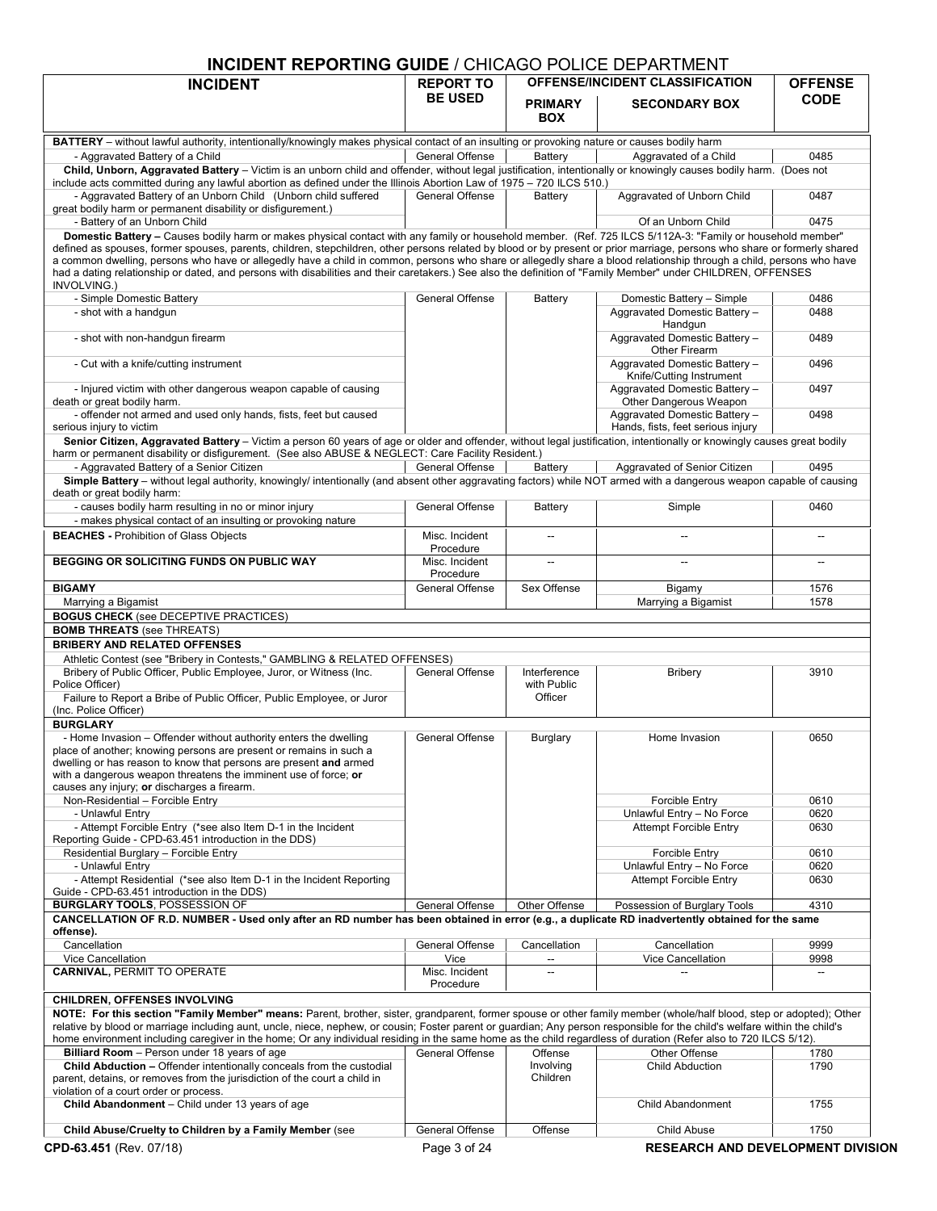| <b>INCIDENT</b>                                                                                                                                                                                                                                                                                                                                   | <b>REPORT TO</b>            |                             | <b>OFFENSE/INCIDENT CLASSIFICATION</b>                             |                               |
|---------------------------------------------------------------------------------------------------------------------------------------------------------------------------------------------------------------------------------------------------------------------------------------------------------------------------------------------------|-----------------------------|-----------------------------|--------------------------------------------------------------------|-------------------------------|
|                                                                                                                                                                                                                                                                                                                                                   | <b>BE USED</b>              | <b>PRIMARY</b>              | <b>SECONDARY BOX</b>                                               | <b>OFFENSE</b><br><b>CODE</b> |
|                                                                                                                                                                                                                                                                                                                                                   |                             | <b>BOX</b>                  |                                                                    |                               |
|                                                                                                                                                                                                                                                                                                                                                   |                             |                             |                                                                    |                               |
| <b>BATTERY</b> – without lawful authority, intentionally/knowingly makes physical contact of an insulting or provoking nature or causes bodily harm<br>- Aggravated Battery of a Child                                                                                                                                                            | General Offense             | Battery                     | Aggravated of a Child                                              | 0485                          |
| Child, Unborn, Aggravated Battery - Victim is an unborn child and offender, without legal justification, intentionally or knowingly causes bodily harm. (Does not                                                                                                                                                                                 |                             |                             |                                                                    |                               |
| include acts committed during any lawful abortion as defined under the Illinois Abortion Law of 1975 - 720 ILCS 510.)                                                                                                                                                                                                                             |                             |                             |                                                                    |                               |
| - Aggravated Battery of an Unborn Child (Unborn child suffered<br>great bodily harm or permanent disability or disfigurement.)                                                                                                                                                                                                                    | General Offense             | Battery                     | Aggravated of Unborn Child                                         | 0487                          |
| - Battery of an Unborn Child                                                                                                                                                                                                                                                                                                                      |                             |                             | Of an Unborn Child                                                 | 0475                          |
| Domestic Battery - Causes bodily harm or makes physical contact with any family or household member. (Ref. 725 ILCS 5/112A-3: "Family or household member"                                                                                                                                                                                        |                             |                             |                                                                    |                               |
| defined as spouses, former spouses, parents, children, stepchildren, other persons related by blood or by present or prior marriage, persons who share or formerly shared<br>a common dwelling, persons who have or allegedly have a child in common, persons who share or allegedly share a blood relationship through a child, persons who have |                             |                             |                                                                    |                               |
| had a dating relationship or dated, and persons with disabilities and their caretakers.) See also the definition of "Family Member" under CHILDREN, OFFENSES                                                                                                                                                                                      |                             |                             |                                                                    |                               |
| INVOLVING.)                                                                                                                                                                                                                                                                                                                                       |                             |                             |                                                                    |                               |
| - Simple Domestic Battery                                                                                                                                                                                                                                                                                                                         | General Offense             | Battery                     | Domestic Battery - Simple                                          | 0486                          |
| - shot with a handgun                                                                                                                                                                                                                                                                                                                             |                             |                             | Aggravated Domestic Battery -<br>Handgun                           | 0488                          |
| - shot with non-handgun firearm                                                                                                                                                                                                                                                                                                                   |                             |                             | Aggravated Domestic Battery -                                      | 0489                          |
|                                                                                                                                                                                                                                                                                                                                                   |                             |                             | Other Firearm                                                      |                               |
| - Cut with a knife/cutting instrument                                                                                                                                                                                                                                                                                                             |                             |                             | Aggravated Domestic Battery -<br>Knife/Cutting Instrument          | 0496                          |
| - Injured victim with other dangerous weapon capable of causing                                                                                                                                                                                                                                                                                   |                             |                             | Aggravated Domestic Battery -                                      | 0497                          |
| death or great bodily harm.                                                                                                                                                                                                                                                                                                                       |                             |                             | Other Dangerous Weapon                                             |                               |
| - offender not armed and used only hands, fists, feet but caused<br>serious injury to victim                                                                                                                                                                                                                                                      |                             |                             | Aggravated Domestic Battery -<br>Hands, fists, feet serious injury | 0498                          |
| Senior Citizen, Aggravated Battery - Victim a person 60 years of age or older and offender, without legal justification, intentionally or knowingly causes great bodily                                                                                                                                                                           |                             |                             |                                                                    |                               |
| harm or permanent disability or disfigurement. (See also ABUSE & NEGLECT: Care Facility Resident.)                                                                                                                                                                                                                                                |                             |                             |                                                                    |                               |
| - Aggravated Battery of a Senior Citizen                                                                                                                                                                                                                                                                                                          | General Offense             | Battery                     | Aggravated of Senior Citizen                                       | 0495                          |
| Simple Battery - without legal authority, knowingly/ intentionally (and absent other aggravating factors) while NOT armed with a dangerous weapon capable of causing<br>death or great bodily harm:                                                                                                                                               |                             |                             |                                                                    |                               |
| - causes bodily harm resulting in no or minor injury                                                                                                                                                                                                                                                                                              | General Offense             | Battery                     | Simple                                                             | 0460                          |
| - makes physical contact of an insulting or provoking nature                                                                                                                                                                                                                                                                                      |                             |                             |                                                                    |                               |
| <b>BEACHES</b> - Prohibition of Glass Objects                                                                                                                                                                                                                                                                                                     | Misc. Incident              |                             |                                                                    | $\overline{a}$                |
| <b>BEGGING OR SOLICITING FUNDS ON PUBLIC WAY</b>                                                                                                                                                                                                                                                                                                  | Procedure<br>Misc. Incident | $\sim$                      |                                                                    | $\overline{a}$                |
|                                                                                                                                                                                                                                                                                                                                                   | Procedure                   |                             |                                                                    |                               |
| <b>BIGAMY</b>                                                                                                                                                                                                                                                                                                                                     | General Offense             | Sex Offense                 | Bigamy                                                             | 1576                          |
| Marrying a Bigamist                                                                                                                                                                                                                                                                                                                               |                             |                             | Marrying a Bigamist                                                | 1578                          |
| <b>BOGUS CHECK (see DECEPTIVE PRACTICES)</b><br><b>BOMB THREATS (see THREATS)</b>                                                                                                                                                                                                                                                                 |                             |                             |                                                                    |                               |
| <b>BRIBERY AND RELATED OFFENSES</b>                                                                                                                                                                                                                                                                                                               |                             |                             |                                                                    |                               |
| Athletic Contest (see "Bribery in Contests," GAMBLING & RELATED OFFENSES)                                                                                                                                                                                                                                                                         |                             |                             |                                                                    |                               |
| Bribery of Public Officer, Public Employee, Juror, or Witness (Inc.                                                                                                                                                                                                                                                                               | <b>General Offense</b>      | Interference<br>with Public | <b>Bribery</b>                                                     | 3910                          |
| Police Officer)<br>Failure to Report a Bribe of Public Officer, Public Employee, or Juror                                                                                                                                                                                                                                                         |                             | Officer                     |                                                                    |                               |
| (Inc. Police Officer)                                                                                                                                                                                                                                                                                                                             |                             |                             |                                                                    |                               |
| <b>BURGLARY</b>                                                                                                                                                                                                                                                                                                                                   |                             |                             |                                                                    |                               |
| - Home Invasion - Offender without authority enters the dwelling<br>place of another; knowing persons are present or remains in such a                                                                                                                                                                                                            | General Offense             | Burglary                    | Home Invasion                                                      | 0650                          |
| dwelling or has reason to know that persons are present and armed                                                                                                                                                                                                                                                                                 |                             |                             |                                                                    |                               |
| with a dangerous weapon threatens the imminent use of force; or                                                                                                                                                                                                                                                                                   |                             |                             |                                                                    |                               |
| causes any injury; or discharges a firearm.<br>Non-Residential - Forcible Entry                                                                                                                                                                                                                                                                   |                             |                             | <b>Forcible Entry</b>                                              | 0610                          |
| - Unlawful Entry                                                                                                                                                                                                                                                                                                                                  |                             |                             | Unlawful Entry - No Force                                          | 0620                          |
| - Attempt Forcible Entry (*see also Item D-1 in the Incident                                                                                                                                                                                                                                                                                      |                             |                             | <b>Attempt Forcible Entry</b>                                      | 0630                          |
| Reporting Guide - CPD-63.451 introduction in the DDS)                                                                                                                                                                                                                                                                                             |                             |                             |                                                                    |                               |
| Residential Burglary - Forcible Entry<br>- Unlawful Entry                                                                                                                                                                                                                                                                                         |                             |                             | <b>Forcible Entry</b><br>Unlawful Entry - No Force                 | 0610<br>0620                  |
| - Attempt Residential (*see also Item D-1 in the Incident Reporting                                                                                                                                                                                                                                                                               |                             |                             | <b>Attempt Forcible Entry</b>                                      | 0630                          |
| Guide - CPD-63.451 introduction in the DDS)                                                                                                                                                                                                                                                                                                       |                             |                             |                                                                    |                               |
| <b>BURGLARY TOOLS, POSSESSION OF</b>                                                                                                                                                                                                                                                                                                              | General Offense             | Other Offense               | Possession of Burglary Tools                                       | 4310                          |
| CANCELLATION OF R.D. NUMBER - Used only after an RD number has been obtained in error (e.g., a duplicate RD inadvertently obtained for the same<br>offense).                                                                                                                                                                                      |                             |                             |                                                                    |                               |
| Cancellation                                                                                                                                                                                                                                                                                                                                      | General Offense             | Cancellation                | Cancellation                                                       | 9999                          |
| Vice Cancellation                                                                                                                                                                                                                                                                                                                                 | Vice                        | $\overline{\phantom{a}}$    | Vice Cancellation                                                  | 9998                          |
| <b>CARNIVAL, PERMIT TO OPERATE</b>                                                                                                                                                                                                                                                                                                                | Misc. Incident<br>Procedure |                             |                                                                    | $\overline{\phantom{a}}$      |
| <b>CHILDREN, OFFENSES INVOLVING</b>                                                                                                                                                                                                                                                                                                               |                             |                             |                                                                    |                               |
| NOTE: For this section "Family Member" means: Parent, brother, sister, grandparent, former spouse or other family member (whole/half blood, step or adopted); Other                                                                                                                                                                               |                             |                             |                                                                    |                               |
| relative by blood or marriage including aunt, uncle, niece, nephew, or cousin; Foster parent or guardian; Any person responsible for the child's welfare within the child's                                                                                                                                                                       |                             |                             |                                                                    |                               |
| home environment including caregiver in the home; Or any individual residing in the same home as the child regardless of duration (Refer also to 720 ILCS 5/12).                                                                                                                                                                                  |                             |                             |                                                                    |                               |
| Billiard Room - Person under 18 years of age<br>Child Abduction - Offender intentionally conceals from the custodial                                                                                                                                                                                                                              | General Offense             | Offense<br>Involving        | Other Offense<br><b>Child Abduction</b>                            | 1780<br>1790                  |
| parent, detains, or removes from the jurisdiction of the court a child in                                                                                                                                                                                                                                                                         |                             | Children                    |                                                                    |                               |
| violation of a court order or process.                                                                                                                                                                                                                                                                                                            |                             |                             |                                                                    |                               |
| Child Abandonment - Child under 13 years of age                                                                                                                                                                                                                                                                                                   |                             |                             | Child Abandonment                                                  | 1755                          |
| Child Abuse/Cruelty to Children by a Family Member (see                                                                                                                                                                                                                                                                                           | General Offense             | Offense                     | Child Abuse                                                        | 1750                          |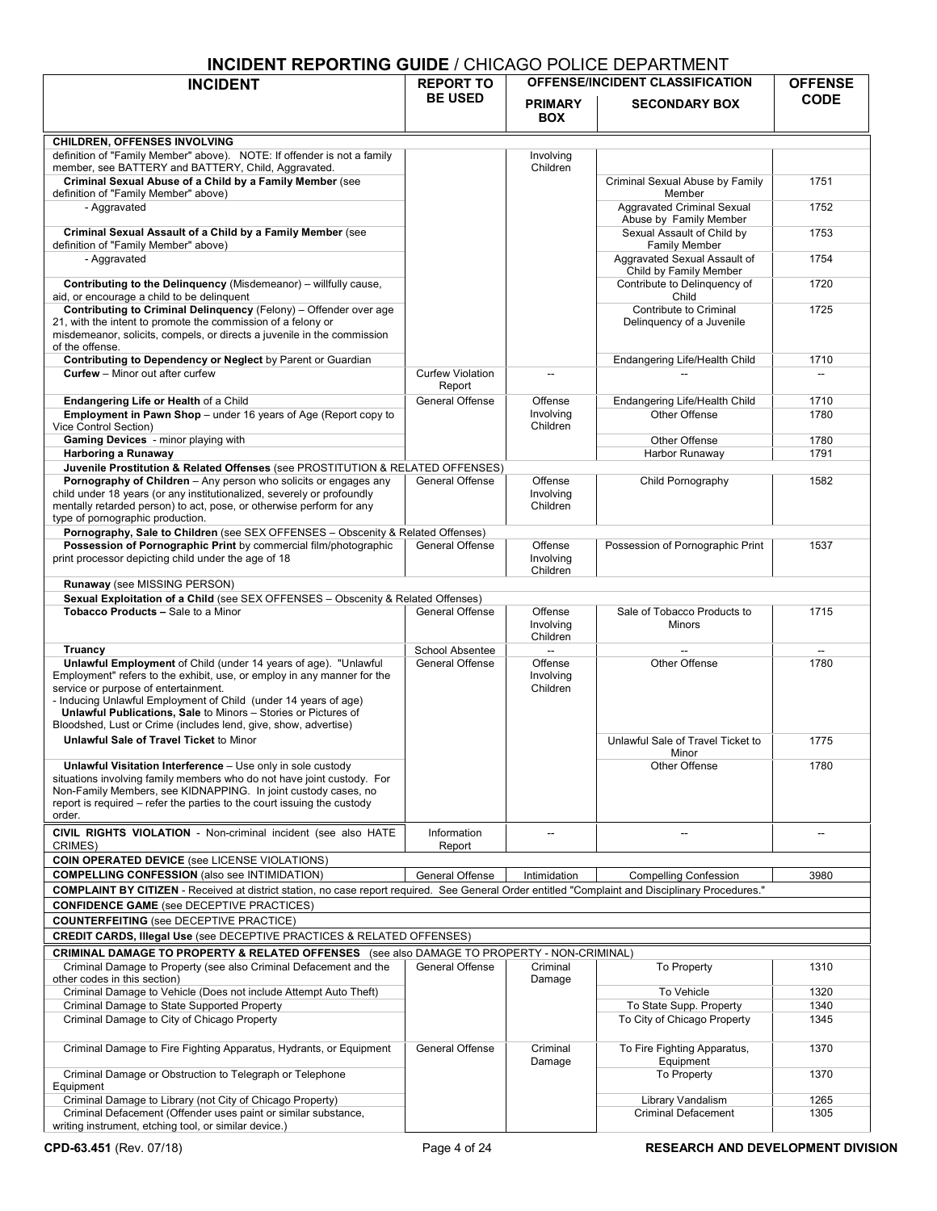| <b>INCIDENT</b>                                                                                                                                                                                                                                                                                                                                                                            | טרוטוו וט ו<br><b>REPORT TO</b>                                                   |                                  | ULIUL DLI AIVIIILIVI<br><b>OFFENSE/INCIDENT CLASSIFICATION</b> | <b>OFFENSE</b>           |  |  |
|--------------------------------------------------------------------------------------------------------------------------------------------------------------------------------------------------------------------------------------------------------------------------------------------------------------------------------------------------------------------------------------------|-----------------------------------------------------------------------------------|----------------------------------|----------------------------------------------------------------|--------------------------|--|--|
|                                                                                                                                                                                                                                                                                                                                                                                            | <b>BE USED</b>                                                                    |                                  |                                                                | <b>CODE</b>              |  |  |
|                                                                                                                                                                                                                                                                                                                                                                                            |                                                                                   | <b>PRIMARY</b><br><b>BOX</b>     | <b>SECONDARY BOX</b>                                           |                          |  |  |
| CHILDREN, OFFENSES INVOLVING                                                                                                                                                                                                                                                                                                                                                               |                                                                                   |                                  |                                                                |                          |  |  |
| definition of "Family Member" above). NOTE: If offender is not a family                                                                                                                                                                                                                                                                                                                    |                                                                                   | Involving                        |                                                                |                          |  |  |
| member, see BATTERY and BATTERY, Child, Aggravated.                                                                                                                                                                                                                                                                                                                                        |                                                                                   | Children                         |                                                                |                          |  |  |
| Criminal Sexual Abuse of a Child by a Family Member (see<br>definition of "Family Member" above)                                                                                                                                                                                                                                                                                           |                                                                                   |                                  | Criminal Sexual Abuse by Family<br>Member                      | 1751                     |  |  |
| - Aggravated                                                                                                                                                                                                                                                                                                                                                                               |                                                                                   |                                  | <b>Aggravated Criminal Sexual</b><br>Abuse by Family Member    | 1752                     |  |  |
| Criminal Sexual Assault of a Child by a Family Member (see<br>definition of "Family Member" above)                                                                                                                                                                                                                                                                                         |                                                                                   |                                  | Sexual Assault of Child by<br><b>Family Member</b>             | 1753                     |  |  |
| - Aggravated                                                                                                                                                                                                                                                                                                                                                                               |                                                                                   |                                  | Aggravated Sexual Assault of<br>Child by Family Member         | 1754                     |  |  |
| Contributing to the Delinquency (Misdemeanor) - willfully cause,<br>aid, or encourage a child to be delinquent                                                                                                                                                                                                                                                                             |                                                                                   |                                  | Contribute to Delinquency of<br>Child                          | 1720                     |  |  |
| Contributing to Criminal Delinquency (Felony) - Offender over age<br>21, with the intent to promote the commission of a felony or<br>misdemeanor, solicits, compels, or directs a juvenile in the commission<br>of the offense.                                                                                                                                                            |                                                                                   |                                  | Contribute to Criminal<br>Delinquency of a Juvenile            | 1725                     |  |  |
| Contributing to Dependency or Neglect by Parent or Guardian<br><b>Curfew</b> - Minor out after curfew                                                                                                                                                                                                                                                                                      | <b>Curfew Violation</b>                                                           |                                  | Endangering Life/Health Child                                  | 1710                     |  |  |
|                                                                                                                                                                                                                                                                                                                                                                                            | Report                                                                            |                                  |                                                                |                          |  |  |
| Endangering Life or Health of a Child                                                                                                                                                                                                                                                                                                                                                      | General Offense                                                                   | Offense                          | Endangering Life/Health Child                                  | 1710                     |  |  |
| Employment in Pawn Shop - under 16 years of Age (Report copy to<br>Vice Control Section)                                                                                                                                                                                                                                                                                                   |                                                                                   | Involving<br>Children            | Other Offense                                                  | 1780                     |  |  |
| Gaming Devices - minor playing with                                                                                                                                                                                                                                                                                                                                                        |                                                                                   |                                  | Other Offense                                                  | 1780                     |  |  |
| Harboring a Runaway                                                                                                                                                                                                                                                                                                                                                                        |                                                                                   |                                  | Harbor Runaway                                                 | 1791                     |  |  |
| Juvenile Prostitution & Related Offenses (see PROSTITUTION & RELATED OFFENSES)                                                                                                                                                                                                                                                                                                             |                                                                                   |                                  |                                                                |                          |  |  |
| Pornography of Children - Any person who solicits or engages any<br>child under 18 years (or any institutionalized, severely or profoundly<br>mentally retarded person) to act, pose, or otherwise perform for any<br>type of pornographic production.                                                                                                                                     | General Offense                                                                   | Offense<br>Involving<br>Children | Child Pornography                                              | 1582                     |  |  |
| Pornography, Sale to Children (see SEX OFFENSES - Obscenity & Related Offenses)                                                                                                                                                                                                                                                                                                            |                                                                                   |                                  |                                                                |                          |  |  |
| Possession of Pornographic Print by commercial film/photographic<br>print processor depicting child under the age of 18                                                                                                                                                                                                                                                                    | General Offense                                                                   | Offense<br>Involving<br>Children | Possession of Pornographic Print                               | 1537                     |  |  |
| Runaway (see MISSING PERSON)                                                                                                                                                                                                                                                                                                                                                               |                                                                                   |                                  |                                                                |                          |  |  |
| Sexual Exploitation of a Child (see SEX OFFENSES - Obscenity & Related Offenses)                                                                                                                                                                                                                                                                                                           |                                                                                   |                                  |                                                                |                          |  |  |
| Tobacco Products - Sale to a Minor                                                                                                                                                                                                                                                                                                                                                         | General Offense                                                                   | Offense<br>Involving<br>Children | Sale of Tobacco Products to<br>Minors                          | 1715                     |  |  |
| Truancy                                                                                                                                                                                                                                                                                                                                                                                    | School Absentee                                                                   | $\sim$                           |                                                                |                          |  |  |
| Unlawful Employment of Child (under 14 years of age). "Unlawful<br>Employment" refers to the exhibit, use, or employ in any manner for the<br>service or purpose of entertainment.<br>- Inducing Unlawful Employment of Child (under 14 years of age)<br>Unlawful Publications, Sale to Minors - Stories or Pictures of<br>Bloodshed, Lust or Crime (includes lend, give, show, advertise) | General Offense                                                                   | Offense<br>Involving<br>Children | Other Offense                                                  | 1780                     |  |  |
| <b>Unlawful Sale of Travel Ticket to Minor</b>                                                                                                                                                                                                                                                                                                                                             |                                                                                   |                                  | Unlawful Sale of Travel Ticket to<br>Minor                     | 1775                     |  |  |
| Unlawful Visitation Interference - Use only in sole custody                                                                                                                                                                                                                                                                                                                                |                                                                                   |                                  | Other Offense                                                  | 1780                     |  |  |
| situations involving family members who do not have joint custody. For<br>Non-Family Members, see KIDNAPPING. In joint custody cases, no<br>report is required – refer the parties to the court issuing the custody<br>order.                                                                                                                                                              |                                                                                   |                                  |                                                                |                          |  |  |
| <b>CIVIL RIGHTS VIOLATION</b> - Non-criminal incident (see also HATE<br>CRIMES)                                                                                                                                                                                                                                                                                                            | Information<br>Report                                                             | $\overline{\phantom{a}}$         | $\overline{\phantom{a}}$                                       | $\overline{\phantom{a}}$ |  |  |
| <b>COIN OPERATED DEVICE (see LICENSE VIOLATIONS)</b>                                                                                                                                                                                                                                                                                                                                       |                                                                                   |                                  |                                                                |                          |  |  |
| <b>COMPELLING CONFESSION (also see INTIMIDATION)</b>                                                                                                                                                                                                                                                                                                                                       | General Offense                                                                   | Intimidation                     | <b>Compelling Confession</b>                                   | 3980                     |  |  |
| COMPLAINT BY CITIZEN - Received at district station, no case report required. See General Order entitled "Complaint and Disciplinary Procedures."                                                                                                                                                                                                                                          |                                                                                   |                                  |                                                                |                          |  |  |
| <b>CONFIDENCE GAME</b> (see DECEPTIVE PRACTICES)                                                                                                                                                                                                                                                                                                                                           |                                                                                   |                                  |                                                                |                          |  |  |
| <b>COUNTERFEITING</b> (see DECEPTIVE PRACTICE)                                                                                                                                                                                                                                                                                                                                             |                                                                                   |                                  |                                                                |                          |  |  |
|                                                                                                                                                                                                                                                                                                                                                                                            | <b>CREDIT CARDS, Illegal Use (see DECEPTIVE PRACTICES &amp; RELATED OFFENSES)</b> |                                  |                                                                |                          |  |  |
| CRIMINAL DAMAGE TO PROPERTY & RELATED OFFENSES (see also DAMAGE TO PROPERTY - NON-CRIMINAL)                                                                                                                                                                                                                                                                                                |                                                                                   |                                  |                                                                |                          |  |  |
| Criminal Damage to Property (see also Criminal Defacement and the<br>other codes in this section)                                                                                                                                                                                                                                                                                          | General Offense                                                                   | Criminal<br>Damage               | To Property                                                    | 1310                     |  |  |
| Criminal Damage to Vehicle (Does not include Attempt Auto Theft)                                                                                                                                                                                                                                                                                                                           |                                                                                   |                                  | To Vehicle                                                     | 1320                     |  |  |
| Criminal Damage to State Supported Property                                                                                                                                                                                                                                                                                                                                                |                                                                                   |                                  | To State Supp. Property                                        | 1340                     |  |  |
| Criminal Damage to City of Chicago Property                                                                                                                                                                                                                                                                                                                                                |                                                                                   |                                  | To City of Chicago Property                                    | 1345                     |  |  |
| Criminal Damage to Fire Fighting Apparatus, Hydrants, or Equipment                                                                                                                                                                                                                                                                                                                         | General Offense                                                                   | Criminal<br>Damage               | To Fire Fighting Apparatus,<br>Equipment                       | 1370                     |  |  |
| Criminal Damage or Obstruction to Telegraph or Telephone<br>Equipment                                                                                                                                                                                                                                                                                                                      |                                                                                   |                                  | To Property                                                    | 1370                     |  |  |
| Criminal Damage to Library (not City of Chicago Property)                                                                                                                                                                                                                                                                                                                                  |                                                                                   |                                  | Library Vandalism                                              | 1265                     |  |  |
| Criminal Defacement (Offender uses paint or similar substance,<br>writing instrument, etching tool, or similar device.)                                                                                                                                                                                                                                                                    |                                                                                   |                                  | <b>Criminal Defacement</b>                                     | 1305                     |  |  |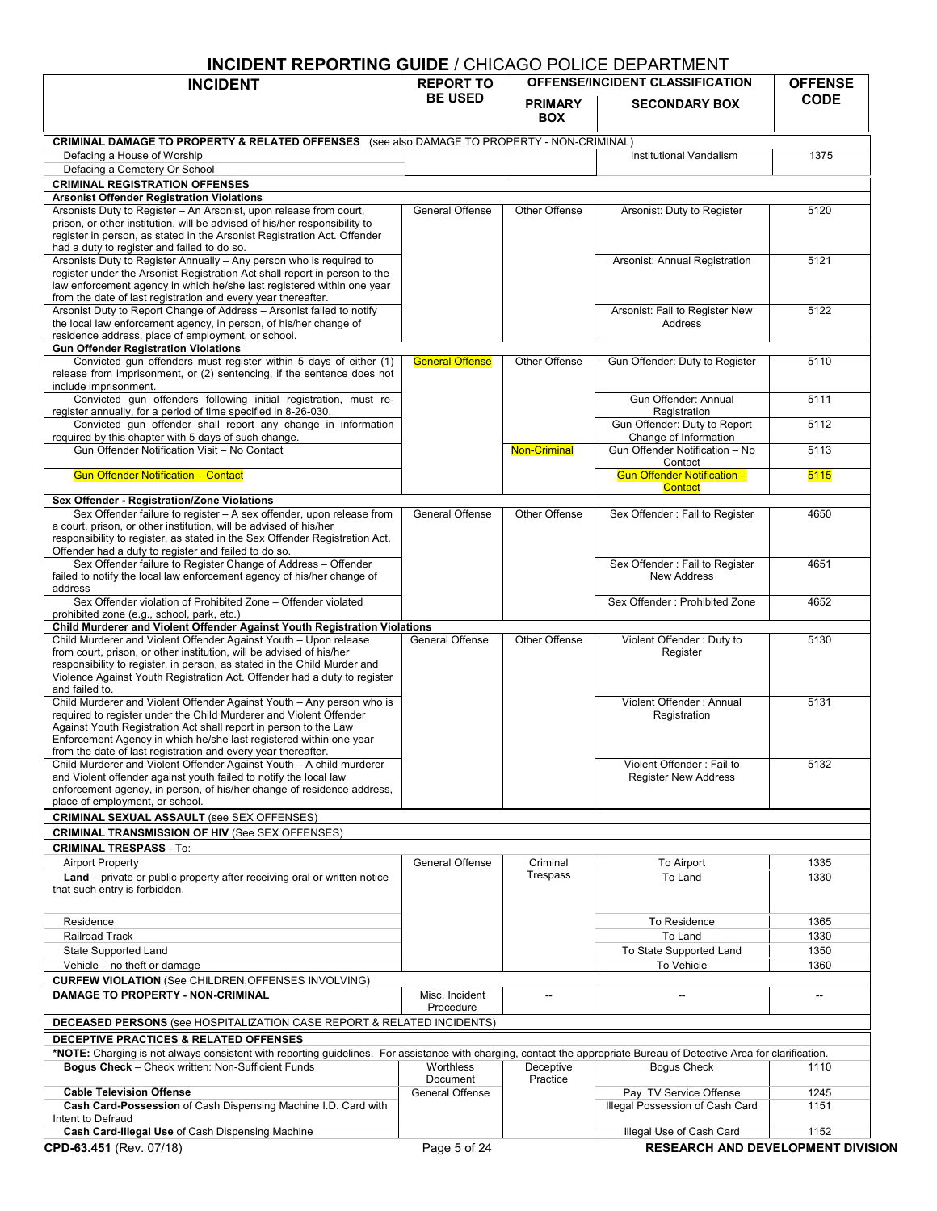| <b>INCIDENT</b>                                                                                                                                                                                                                                                                                                                                        | <b>REPORT TO</b>       | <b>OFFENSE/INCIDENT CLASSIFICATION</b> |                                                          | <b>OFFENSE</b> |
|--------------------------------------------------------------------------------------------------------------------------------------------------------------------------------------------------------------------------------------------------------------------------------------------------------------------------------------------------------|------------------------|----------------------------------------|----------------------------------------------------------|----------------|
|                                                                                                                                                                                                                                                                                                                                                        | <b>BE USED</b>         | <b>PRIMARY</b><br><b>BOX</b>           | <b>SECONDARY BOX</b>                                     | <b>CODE</b>    |
| CRIMINAL DAMAGE TO PROPERTY & RELATED OFFENSES (see also DAMAGE TO PROPERTY - NON-CRIMINAL)                                                                                                                                                                                                                                                            |                        |                                        |                                                          |                |
| Defacing a House of Worship                                                                                                                                                                                                                                                                                                                            |                        |                                        | Institutional Vandalism                                  | 1375           |
| Defacing a Cemetery Or School<br><b>CRIMINAL REGISTRATION OFFENSES</b>                                                                                                                                                                                                                                                                                 |                        |                                        |                                                          |                |
| <b>Arsonist Offender Registration Violations</b>                                                                                                                                                                                                                                                                                                       |                        |                                        |                                                          |                |
| Arsonists Duty to Register - An Arsonist, upon release from court,                                                                                                                                                                                                                                                                                     | General Offense        | Other Offense                          | Arsonist: Duty to Register                               | 5120           |
| prison, or other institution, will be advised of his/her responsibility to<br>register in person, as stated in the Arsonist Registration Act. Offender<br>had a duty to register and failed to do so.                                                                                                                                                  |                        |                                        |                                                          |                |
| Arsonists Duty to Register Annually - Any person who is required to<br>register under the Arsonist Registration Act shall report in person to the<br>law enforcement agency in which he/she last registered within one year<br>from the date of last registration and every year thereafter.                                                           |                        |                                        | Arsonist: Annual Registration                            | 5121           |
| Arsonist Duty to Report Change of Address - Arsonist failed to notify<br>the local law enforcement agency, in person, of his/her change of<br>residence address, place of employment, or school.                                                                                                                                                       |                        |                                        | Arsonist: Fail to Register New<br>Address                | 5122           |
| <b>Gun Offender Registration Violations</b>                                                                                                                                                                                                                                                                                                            |                        |                                        |                                                          |                |
| Convicted gun offenders must register within 5 days of either (1)<br>release from imprisonment, or (2) sentencing, if the sentence does not<br>include imprisonment.                                                                                                                                                                                   | <b>General Offense</b> | Other Offense                          | Gun Offender: Duty to Register                           | 5110           |
| Convicted gun offenders following initial registration, must re-                                                                                                                                                                                                                                                                                       |                        |                                        | Gun Offender: Annual                                     | 5111           |
| register annually, for a period of time specified in 8-26-030.<br>Convicted qun offender shall report any change in information                                                                                                                                                                                                                        |                        |                                        | Registration<br>Gun Offender: Duty to Report             | 5112           |
| required by this chapter with 5 days of such change.<br>Gun Offender Notification Visit - No Contact                                                                                                                                                                                                                                                   |                        | <b>Non-Criminal</b>                    | Change of Information<br>Gun Offender Notification - No  | 5113           |
| <b>Gun Offender Notification - Contact</b>                                                                                                                                                                                                                                                                                                             |                        |                                        | Contact<br><b>Gun Offender Notification -</b>            | 5115           |
|                                                                                                                                                                                                                                                                                                                                                        |                        |                                        | <b>Contact</b>                                           |                |
| Sex Offender - Registration/Zone Violations<br>Sex Offender failure to register - A sex offender, upon release from                                                                                                                                                                                                                                    | General Offense        | Other Offense                          | Sex Offender: Fail to Register                           | 4650           |
| a court, prison, or other institution, will be advised of his/her<br>responsibility to register, as stated in the Sex Offender Registration Act.<br>Offender had a duty to register and failed to do so.                                                                                                                                               |                        |                                        |                                                          |                |
| Sex Offender failure to Register Change of Address - Offender<br>failed to notify the local law enforcement agency of his/her change of<br>address                                                                                                                                                                                                     |                        |                                        | Sex Offender: Fail to Register<br><b>New Address</b>     | 4651           |
| Sex Offender violation of Prohibited Zone - Offender violated<br>prohibited zone (e.g., school, park, etc.)                                                                                                                                                                                                                                            |                        |                                        | Sex Offender: Prohibited Zone                            | 4652           |
| Child Murderer and Violent Offender Against Youth Registration Violations                                                                                                                                                                                                                                                                              |                        |                                        |                                                          |                |
| Child Murderer and Violent Offender Against Youth - Upon release<br>from court, prison, or other institution, will be advised of his/her<br>responsibility to register, in person, as stated in the Child Murder and<br>Violence Against Youth Registration Act. Offender had a duty to register<br>and failed to.                                     | General Offense        | Other Offense                          | Violent Offender: Duty to<br>Register                    | 5130           |
| Child Murderer and Violent Offender Against Youth - Any person who is<br>required to register under the Child Murderer and Violent Offender<br>Against Youth Registration Act shall report in person to the Law<br>Enforcement Agency in which he/she last registered within one year<br>from the date of last registration and every year thereafter. |                        |                                        | Violent Offender: Annual<br>Registration                 | 5131           |
| Child Murderer and Violent Offender Against Youth - A child murderer<br>and Violent offender against youth failed to notify the local law<br>enforcement agency, in person, of his/her change of residence address,<br>place of employment, or school.                                                                                                 |                        |                                        | Violent Offender: Fail to<br><b>Register New Address</b> | 5132           |
| <b>CRIMINAL SEXUAL ASSAULT (see SEX OFFENSES)</b>                                                                                                                                                                                                                                                                                                      |                        |                                        |                                                          |                |
| <b>CRIMINAL TRANSMISSION OF HIV (See SEX OFFENSES)</b>                                                                                                                                                                                                                                                                                                 |                        |                                        |                                                          |                |
| <b>CRIMINAL TRESPASS - To:</b>                                                                                                                                                                                                                                                                                                                         |                        |                                        |                                                          |                |
| <b>Airport Property</b><br><b>Land</b> – private or public property after receiving oral or written notice<br>that such entry is forbidden.                                                                                                                                                                                                            | General Offense        | Criminal<br>Trespass                   | To Airport<br>To Land                                    | 1335<br>1330   |
| Residence                                                                                                                                                                                                                                                                                                                                              |                        |                                        | To Residence                                             | 1365           |
| <b>Railroad Track</b>                                                                                                                                                                                                                                                                                                                                  |                        |                                        | To Land                                                  | 1330           |
| <b>State Supported Land</b>                                                                                                                                                                                                                                                                                                                            |                        |                                        | To State Supported Land                                  | 1350           |
| Vehicle - no theft or damage                                                                                                                                                                                                                                                                                                                           |                        |                                        | To Vehicle                                               | 1360           |
| <b>CURFEW VIOLATION (See CHILDREN, OFFENSES INVOLVING)</b><br><b>DAMAGE TO PROPERTY - NON-CRIMINAL</b>                                                                                                                                                                                                                                                 | Misc. Incident         | $\overline{a}$                         |                                                          |                |
| <b>DECEASED PERSONS</b> (see HOSPITALIZATION CASE REPORT & RELATED INCIDENTS)                                                                                                                                                                                                                                                                          | Procedure              |                                        |                                                          |                |
| <b>DECEPTIVE PRACTICES &amp; RELATED OFFENSES</b>                                                                                                                                                                                                                                                                                                      |                        |                                        |                                                          |                |
| *NOTE: Charging is not always consistent with reporting guidelines. For assistance with charging, contact the appropriate Bureau of Detective Area for clarification.                                                                                                                                                                                  |                        |                                        |                                                          |                |
| Bogus Check - Check written: Non-Sufficient Funds                                                                                                                                                                                                                                                                                                      | Worthless<br>Document  | Deceptive<br>Practice                  | <b>Bogus Check</b>                                       | 1110           |
| <b>Cable Television Offense</b>                                                                                                                                                                                                                                                                                                                        | General Offense        |                                        | Pay TV Service Offense                                   | 1245           |
| Cash Card-Possession of Cash Dispensing Machine I.D. Card with                                                                                                                                                                                                                                                                                         |                        |                                        | Illegal Possession of Cash Card                          | 1151           |
| Intent to Defraud<br>Cash Card-Illegal Use of Cash Dispensing Machine                                                                                                                                                                                                                                                                                  |                        |                                        | Illegal Use of Cash Card                                 | 1152           |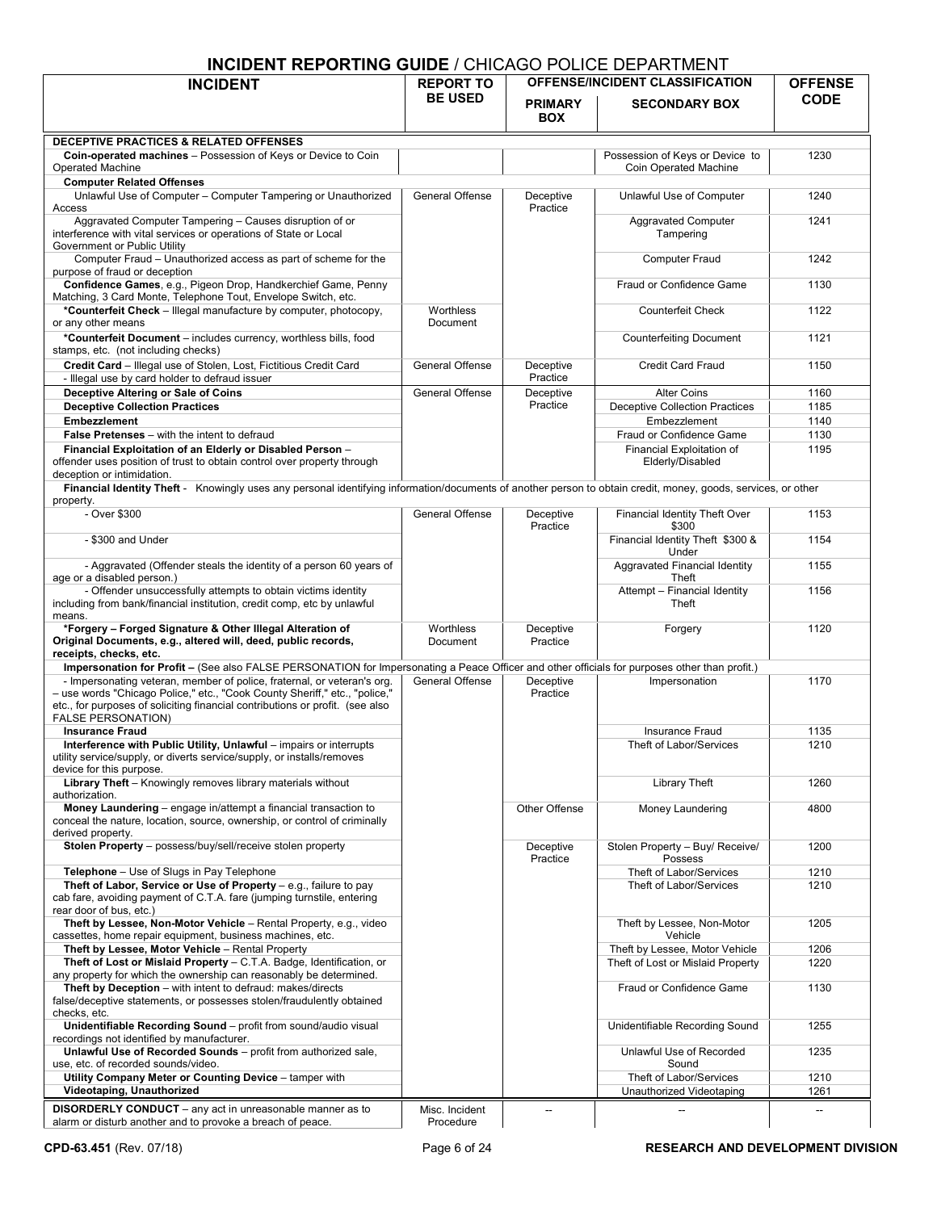| <b>INCIDENT</b>                                                                                                                                                                                                                        | <b>REPORT TO</b>       | <u>INVIDENT NEFUNTING GUIDE / CHICACO I OLICE DEI ANTIVIENT</u><br><b>OFFENSE/INCIDENT CLASSIFICATION</b> |                                                          | <b>OFFENSE</b> |
|----------------------------------------------------------------------------------------------------------------------------------------------------------------------------------------------------------------------------------------|------------------------|-----------------------------------------------------------------------------------------------------------|----------------------------------------------------------|----------------|
|                                                                                                                                                                                                                                        | <b>BE USED</b>         | <b>PRIMARY</b><br><b>BOX</b>                                                                              | <b>SECONDARY BOX</b>                                     | <b>CODE</b>    |
| <b>DECEPTIVE PRACTICES &amp; RELATED OFFENSES</b>                                                                                                                                                                                      |                        |                                                                                                           |                                                          |                |
| Coin-operated machines - Possession of Keys or Device to Coin<br>Operated Machine                                                                                                                                                      |                        |                                                                                                           | Possession of Keys or Device to<br>Coin Operated Machine | 1230           |
| <b>Computer Related Offenses</b>                                                                                                                                                                                                       |                        |                                                                                                           |                                                          |                |
| Unlawful Use of Computer - Computer Tampering or Unauthorized<br>Access                                                                                                                                                                | General Offense        | Deceptive<br>Practice                                                                                     | Unlawful Use of Computer                                 | 1240           |
| Aggravated Computer Tampering - Causes disruption of or<br>interference with vital services or operations of State or Local<br>Government or Public Utility                                                                            |                        |                                                                                                           | <b>Aggravated Computer</b><br>Tampering                  | 1241           |
| Computer Fraud - Unauthorized access as part of scheme for the<br>purpose of fraud or deception                                                                                                                                        |                        |                                                                                                           | <b>Computer Fraud</b>                                    | 1242           |
| Confidence Games, e.g., Pigeon Drop, Handkerchief Game, Penny<br>Matching, 3 Card Monte, Telephone Tout, Envelope Switch, etc.                                                                                                         |                        |                                                                                                           | Fraud or Confidence Game                                 | 1130           |
| *Counterfeit Check - Illegal manufacture by computer, photocopy,<br>or any other means                                                                                                                                                 | Worthless<br>Document  |                                                                                                           | <b>Counterfeit Check</b>                                 | 1122           |
| *Counterfeit Document - includes currency, worthless bills, food<br>stamps, etc. (not including checks)                                                                                                                                |                        |                                                                                                           | <b>Counterfeiting Document</b>                           | 1121           |
| Credit Card - Illegal use of Stolen, Lost, Fictitious Credit Card                                                                                                                                                                      | General Offense        | Deceptive<br>Practice                                                                                     | <b>Credit Card Fraud</b>                                 | 1150           |
| - Illegal use by card holder to defraud issuer<br>Deceptive Altering or Sale of Coins                                                                                                                                                  | General Offense        | Deceptive                                                                                                 | <b>Alter Coins</b>                                       | 1160           |
| <b>Deceptive Collection Practices</b>                                                                                                                                                                                                  |                        | Practice                                                                                                  | Deceptive Collection Practices                           | 1185           |
| <b>Embezzlement</b>                                                                                                                                                                                                                    |                        |                                                                                                           | Embezzlement                                             | 1140           |
| <b>False Pretenses</b> – with the intent to defraud                                                                                                                                                                                    |                        |                                                                                                           | Fraud or Confidence Game                                 | 1130           |
| Financial Exploitation of an Elderly or Disabled Person -<br>offender uses position of trust to obtain control over property through<br>deception or intimidation.                                                                     |                        |                                                                                                           | Financial Exploitation of<br>Elderly/Disabled            | 1195           |
| Financial Identity Theft - Knowingly uses any personal identifying information/documents of another person to obtain credit, money, goods, services, or other<br>property.                                                             |                        |                                                                                                           |                                                          |                |
| - Over \$300                                                                                                                                                                                                                           | General Offense        | Deceptive<br>Practice                                                                                     | Financial Identity Theft Over<br>\$300                   | 1153           |
| - \$300 and Under                                                                                                                                                                                                                      |                        |                                                                                                           | Financial Identity Theft \$300 &<br>Under                | 1154           |
| - Aggravated (Offender steals the identity of a person 60 years of<br>age or a disabled person.)                                                                                                                                       |                        |                                                                                                           | Aggravated Financial Identity<br>Theft                   | 1155           |
| - Offender unsuccessfully attempts to obtain victims identity<br>including from bank/financial institution, credit comp, etc by unlawful<br>means.                                                                                     |                        |                                                                                                           | Attempt - Financial Identity<br>Theft                    | 1156           |
| *Forgery - Forged Signature & Other Illegal Alteration of<br>Original Documents, e.g., altered will, deed, public records,<br>receipts, checks, etc.                                                                                   | Worthless<br>Document  | Deceptive<br>Practice                                                                                     | Forgery                                                  | 1120           |
| Impersonation for Profit - (See also FALSE PERSONATION for Impersonating a Peace Officer and other officials for purposes other than profit.)                                                                                          |                        |                                                                                                           |                                                          |                |
| - Impersonating veteran, member of police, fraternal, or veteran's org.<br>- use words "Chicago Police," etc., "Cook County Sheriff," etc., "police,"<br>etc., for purposes of soliciting financial contributions or profit. (see also | <b>General Offense</b> | Deceptive<br>Practice                                                                                     | Impersonation                                            | 1170           |
| <b>FALSE PERSONATION)</b><br><b>Insurance Fraud</b>                                                                                                                                                                                    |                        |                                                                                                           | <b>Insurance Fraud</b>                                   | 1135           |
| Interference with Public Utility, Unlawful - impairs or interrupts<br>utility service/supply, or diverts service/supply, or installs/removes<br>device for this purpose.                                                               |                        |                                                                                                           | Theft of Labor/Services                                  | 1210           |
| Library Theft - Knowingly removes library materials without<br>authorization.                                                                                                                                                          |                        |                                                                                                           | <b>Library Theft</b>                                     | 1260           |
| Money Laundering – engage in/attempt a financial transaction to<br>conceal the nature, location, source, ownership, or control of criminally<br>derived property.                                                                      |                        | Other Offense                                                                                             | Money Laundering                                         | 4800           |
| Stolen Property - possess/buy/sell/receive stolen property                                                                                                                                                                             |                        | Deceptive<br>Practice                                                                                     | Stolen Property - Buy/ Receive/<br>Possess               | 1200           |
| <b>Telephone</b> – Use of Slugs in Pay Telephone                                                                                                                                                                                       |                        |                                                                                                           | Theft of Labor/Services                                  | 1210           |
| Theft of Labor, Service or Use of Property - e.g., failure to pay<br>cab fare, avoiding payment of C.T.A. fare (jumping turnstile, entering<br>rear door of bus, etc.)                                                                 |                        |                                                                                                           | Theft of Labor/Services                                  | 1210           |
| Theft by Lessee, Non-Motor Vehicle - Rental Property, e.g., video<br>cassettes, home repair equipment, business machines, etc.                                                                                                         |                        |                                                                                                           | Theft by Lessee, Non-Motor<br>Vehicle                    | 1205           |
| Theft by Lessee, Motor Vehicle - Rental Property                                                                                                                                                                                       |                        |                                                                                                           | Theft by Lessee, Motor Vehicle                           | 1206           |
| Theft of Lost or Mislaid Property - C.T.A. Badge, Identification, or<br>any property for which the ownership can reasonably be determined.                                                                                             |                        |                                                                                                           | Theft of Lost or Mislaid Property                        | 1220           |
| Theft by Deception - with intent to defraud: makes/directs<br>false/deceptive statements, or possesses stolen/fraudulently obtained<br>checks, etc.                                                                                    |                        |                                                                                                           | Fraud or Confidence Game                                 | 1130           |
| Unidentifiable Recording Sound - profit from sound/audio visual<br>recordings not identified by manufacturer.                                                                                                                          |                        |                                                                                                           | Unidentifiable Recording Sound                           | 1255           |
| Unlawful Use of Recorded Sounds - profit from authorized sale,<br>use, etc. of recorded sounds/video.                                                                                                                                  |                        |                                                                                                           | Unlawful Use of Recorded<br>Sound                        | 1235           |
| Utility Company Meter or Counting Device - tamper with                                                                                                                                                                                 |                        |                                                                                                           | Theft of Labor/Services                                  | 1210           |
| Videotaping, Unauthorized                                                                                                                                                                                                              |                        |                                                                                                           | Unauthorized Videotaping                                 | 1261           |
| <b>DISORDERLY CONDUCT</b> – any act in unreasonable manner as to                                                                                                                                                                       | Misc. Incident         | --                                                                                                        |                                                          |                |
| alarm or disturb another and to provoke a breach of peace.                                                                                                                                                                             | Procedure              |                                                                                                           |                                                          |                |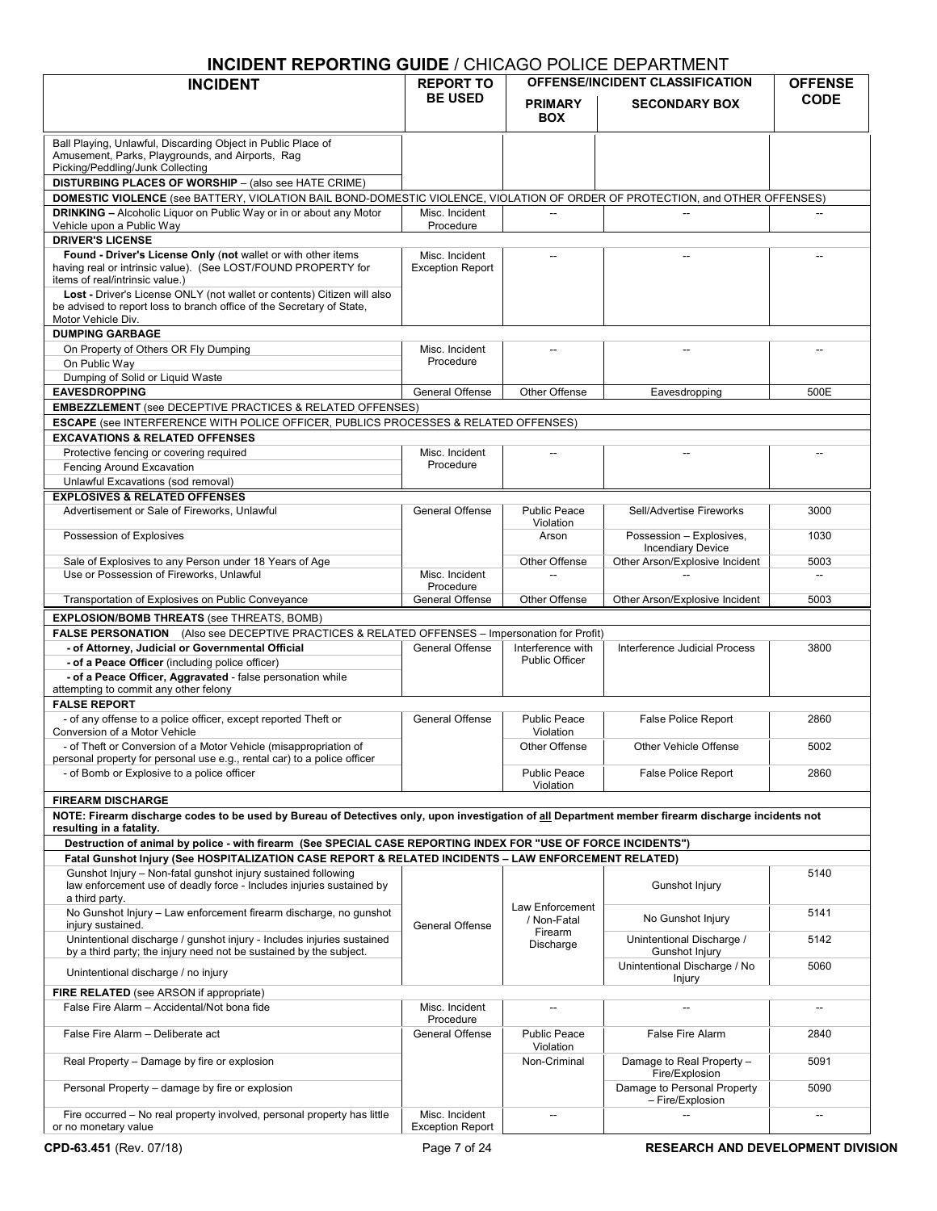| <b>INCIDENT</b>                                                                                                                                    | <b>REPORT TO</b>                          |                                            | ובואוויות ובע בטובט ו טטראטוויוט ו בש<br><b>OFFENSE/INCIDENT CLASSIFICATION</b> | <b>OFFENSE</b>           |
|----------------------------------------------------------------------------------------------------------------------------------------------------|-------------------------------------------|--------------------------------------------|---------------------------------------------------------------------------------|--------------------------|
|                                                                                                                                                    | <b>BE USED</b>                            |                                            |                                                                                 | <b>CODE</b>              |
|                                                                                                                                                    |                                           | <b>PRIMARY</b>                             | <b>SECONDARY BOX</b>                                                            |                          |
|                                                                                                                                                    |                                           | <b>BOX</b>                                 |                                                                                 |                          |
| Ball Playing, Unlawful, Discarding Object in Public Place of                                                                                       |                                           |                                            |                                                                                 |                          |
| Amusement, Parks, Playgrounds, and Airports, Rag                                                                                                   |                                           |                                            |                                                                                 |                          |
| Picking/Peddling/Junk Collecting                                                                                                                   |                                           |                                            |                                                                                 |                          |
| DISTURBING PLACES OF WORSHIP - (also see HATE CRIME)                                                                                               |                                           |                                            |                                                                                 |                          |
| DOMESTIC VIOLENCE (see BATTERY, VIOLATION BAIL BOND-DOMESTIC VIOLENCE, VIOLATION OF ORDER OF PROTECTION, and OTHER OFFENSES)                       |                                           |                                            |                                                                                 |                          |
| <b>DRINKING - Alcoholic Liquor on Public Way or in or about any Motor</b>                                                                          | Misc. Incident                            |                                            | $\overline{a}$                                                                  |                          |
| Vehicle upon a Public Way                                                                                                                          | Procedure                                 |                                            |                                                                                 |                          |
| <b>DRIVER'S LICENSE</b>                                                                                                                            |                                           |                                            |                                                                                 |                          |
| Found - Driver's License Only (not wallet or with other items<br>having real or intrinsic value). (See LOST/FOUND PROPERTY for                     | Misc. Incident<br><b>Exception Report</b> |                                            |                                                                                 |                          |
| items of real/intrinsic value.)                                                                                                                    |                                           |                                            |                                                                                 |                          |
| Lost - Driver's License ONLY (not wallet or contents) Citizen will also                                                                            |                                           |                                            |                                                                                 |                          |
| be advised to report loss to branch office of the Secretary of State,                                                                              |                                           |                                            |                                                                                 |                          |
| Motor Vehicle Div.                                                                                                                                 |                                           |                                            |                                                                                 |                          |
| <b>DUMPING GARBAGE</b>                                                                                                                             |                                           |                                            |                                                                                 |                          |
| On Property of Others OR Fly Dumping                                                                                                               | Misc. Incident                            |                                            |                                                                                 |                          |
| On Public Way                                                                                                                                      | Procedure                                 |                                            |                                                                                 |                          |
| Dumping of Solid or Liquid Waste                                                                                                                   |                                           |                                            |                                                                                 |                          |
| <b>EAVESDROPPING</b>                                                                                                                               | General Offense                           | Other Offense                              | Eavesdropping                                                                   | 500E                     |
| <b>EMBEZZLEMENT</b> (see DECEPTIVE PRACTICES & RELATED OFFENSES)                                                                                   |                                           |                                            |                                                                                 |                          |
| <b>ESCAPE</b> (see INTERFERENCE WITH POLICE OFFICER, PUBLICS PROCESSES & RELATED OFFENSES)                                                         |                                           |                                            |                                                                                 |                          |
| <b>EXCAVATIONS &amp; RELATED OFFENSES</b>                                                                                                          |                                           |                                            |                                                                                 |                          |
| Protective fencing or covering required                                                                                                            | Misc. Incident                            |                                            |                                                                                 |                          |
| Fencing Around Excavation                                                                                                                          | Procedure                                 |                                            |                                                                                 |                          |
| Unlawful Excavations (sod removal)                                                                                                                 |                                           |                                            |                                                                                 |                          |
| <b>EXPLOSIVES &amp; RELATED OFFENSES</b>                                                                                                           |                                           |                                            |                                                                                 |                          |
| Advertisement or Sale of Fireworks, Unlawful                                                                                                       | General Offense                           | <b>Public Peace</b><br>Violation           | Sell/Advertise Fireworks                                                        | 3000                     |
| Possession of Explosives                                                                                                                           |                                           | Arson                                      | Possession - Explosives,                                                        | 1030                     |
|                                                                                                                                                    |                                           |                                            | <b>Incendiary Device</b>                                                        |                          |
| Sale of Explosives to any Person under 18 Years of Age                                                                                             |                                           | Other Offense                              | Other Arson/Explosive Incident                                                  | 5003                     |
| Use or Possession of Fireworks, Unlawful                                                                                                           | Misc. Incident                            |                                            |                                                                                 |                          |
|                                                                                                                                                    | Procedure<br>General Offense              | Other Offense                              |                                                                                 |                          |
| Transportation of Explosives on Public Conveyance                                                                                                  |                                           |                                            | Other Arson/Explosive Incident                                                  | 5003                     |
| <b>EXPLOSION/BOMB THREATS (see THREATS, BOMB)</b>                                                                                                  |                                           |                                            |                                                                                 |                          |
| FALSE PERSONATION (Also see DECEPTIVE PRACTICES & RELATED OFFENSES - Impersonation for Profit)                                                     |                                           |                                            |                                                                                 |                          |
| - of Attorney, Judicial or Governmental Official                                                                                                   | General Offense                           | Interference with<br><b>Public Officer</b> | Interference Judicial Process                                                   | 3800                     |
| - of a Peace Officer (including police officer)                                                                                                    |                                           |                                            |                                                                                 |                          |
| - of a Peace Officer, Aggravated - false personation while<br>attempting to commit any other felony                                                |                                           |                                            |                                                                                 |                          |
| <b>FALSE REPORT</b>                                                                                                                                |                                           |                                            |                                                                                 |                          |
| - of any offense to a police officer, except reported Theft or                                                                                     | General Offense                           | <b>Public Peace</b>                        | <b>False Police Report</b>                                                      | 2860                     |
| Conversion of a Motor Vehicle                                                                                                                      |                                           | Violation                                  |                                                                                 |                          |
| - of Theft or Conversion of a Motor Vehicle (misappropriation of                                                                                   |                                           | Other Offense                              | Other Vehicle Offense                                                           | 5002                     |
| personal property for personal use e.g., rental car) to a police officer                                                                           |                                           |                                            |                                                                                 |                          |
| - of Bomb or Explosive to a police officer                                                                                                         |                                           | <b>Public Peace</b>                        | <b>False Police Report</b>                                                      | 2860                     |
|                                                                                                                                                    |                                           | Violation                                  |                                                                                 |                          |
| <b>FIREARM DISCHARGE</b>                                                                                                                           |                                           |                                            |                                                                                 |                          |
| NOTE: Firearm discharge codes to be used by Bureau of Detectives only, upon investigation of all Department member firearm discharge incidents not |                                           |                                            |                                                                                 |                          |
| resulting in a fatality.                                                                                                                           |                                           |                                            |                                                                                 |                          |
| Destruction of animal by police - with firearm (See SPECIAL CASE REPORTING INDEX FOR "USE OF FORCE INCIDENTS")                                     |                                           |                                            |                                                                                 |                          |
| Fatal Gunshot Injury (See HOSPITALIZATION CASE REPORT & RELATED INCIDENTS - LAW ENFORCEMENT RELATED)                                               |                                           |                                            |                                                                                 |                          |
| Gunshot Injury - Non-fatal gunshot injury sustained following<br>law enforcement use of deadly force - Includes injuries sustained by              |                                           |                                            | Gunshot Injury                                                                  | 5140                     |
| a third party.                                                                                                                                     |                                           |                                            |                                                                                 |                          |
| No Gunshot Injury - Law enforcement firearm discharge, no gunshot                                                                                  |                                           | Law Enforcement                            |                                                                                 | 5141                     |
| injury sustained.                                                                                                                                  | General Offense                           | / Non-Fatal                                | No Gunshot Injury                                                               |                          |
| Unintentional discharge / gunshot injury - Includes injuries sustained                                                                             |                                           | Firearm<br>Discharge                       | Unintentional Discharge /                                                       | 5142                     |
| by a third party; the injury need not be sustained by the subject.                                                                                 |                                           |                                            | Gunshot Injury                                                                  |                          |
| Unintentional discharge / no injury                                                                                                                |                                           |                                            | Unintentional Discharge / No                                                    | 5060                     |
|                                                                                                                                                    |                                           |                                            | <b>Injury</b>                                                                   |                          |
| FIRE RELATED (see ARSON if appropriate)                                                                                                            |                                           |                                            |                                                                                 |                          |
| False Fire Alarm - Accidental/Not bona fide                                                                                                        | Misc. Incident<br>Procedure               |                                            |                                                                                 | $\overline{a}$           |
| False Fire Alarm - Deliberate act                                                                                                                  | General Offense                           | <b>Public Peace</b>                        | False Fire Alarm                                                                | 2840                     |
|                                                                                                                                                    |                                           | Violation                                  |                                                                                 |                          |
| Real Property - Damage by fire or explosion                                                                                                        |                                           | Non-Criminal                               | Damage to Real Property -                                                       | 5091                     |
|                                                                                                                                                    |                                           |                                            | Fire/Explosion                                                                  |                          |
| Personal Property - damage by fire or explosion                                                                                                    |                                           |                                            | Damage to Personal Property                                                     | 5090                     |
|                                                                                                                                                    |                                           |                                            | - Fire/Explosion                                                                |                          |
| Fire occurred - No real property involved, personal property has little                                                                            | Misc. Incident                            | $\overline{\phantom{a}}$                   |                                                                                 | $\overline{\phantom{a}}$ |
| or no monetary value                                                                                                                               | <b>Exception Report</b>                   |                                            |                                                                                 |                          |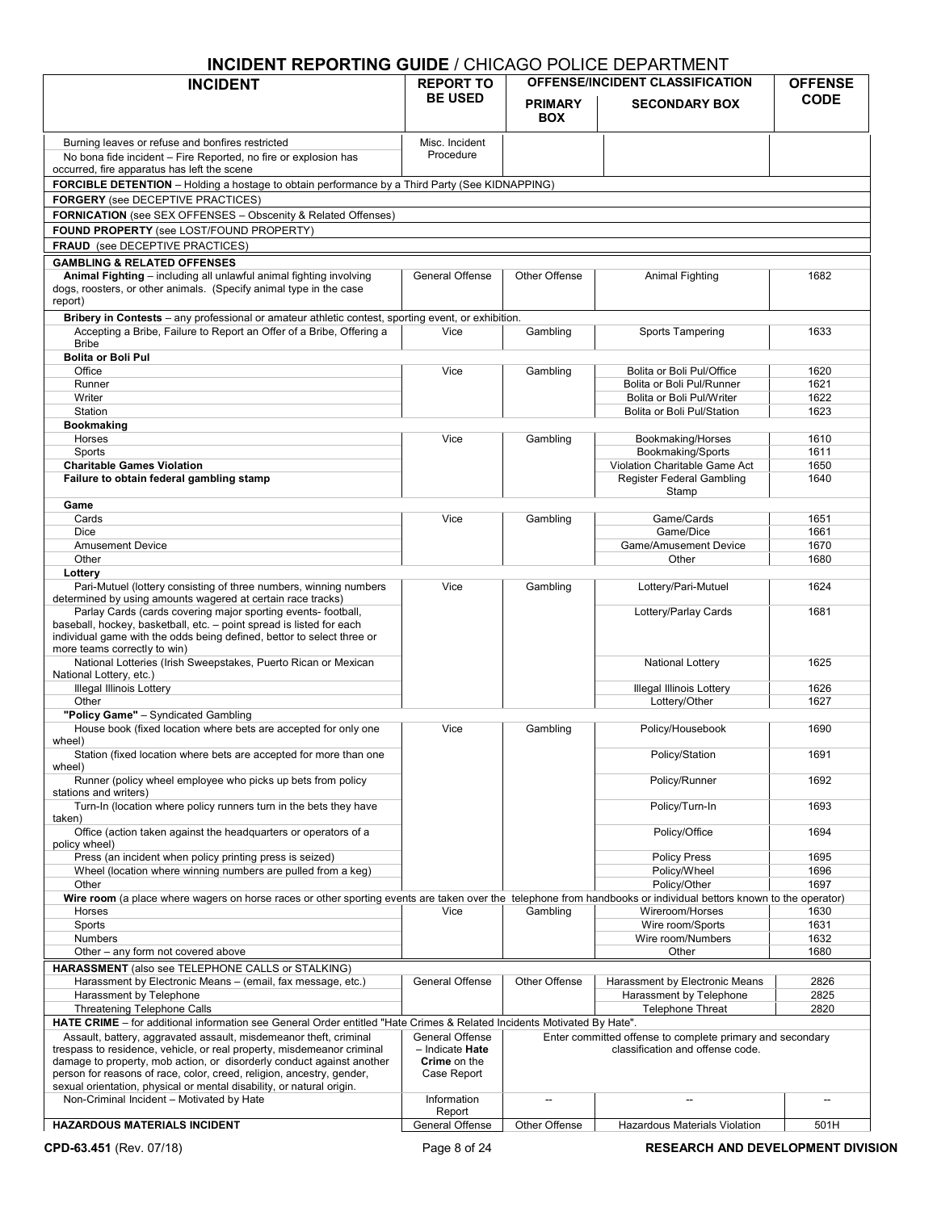|                                                                                                                                                                                                                 | <b>REPORT TO</b>       |                          | <u>UL DLI / \I \I IVILI</u><br><b>OFFENSE/INCIDENT CLASSIFICATION</b> | <b>OFFENSE</b> |
|-----------------------------------------------------------------------------------------------------------------------------------------------------------------------------------------------------------------|------------------------|--------------------------|-----------------------------------------------------------------------|----------------|
| <b>INCIDENT</b>                                                                                                                                                                                                 | <b>BE USED</b>         |                          |                                                                       |                |
|                                                                                                                                                                                                                 |                        | <b>PRIMARY</b>           | <b>SECONDARY BOX</b>                                                  | <b>CODE</b>    |
|                                                                                                                                                                                                                 |                        | <b>BOX</b>               |                                                                       |                |
| Burning leaves or refuse and bonfires restricted                                                                                                                                                                | Misc. Incident         |                          |                                                                       |                |
| No bona fide incident – Fire Reported, no fire or explosion has                                                                                                                                                 | Procedure              |                          |                                                                       |                |
| occurred, fire apparatus has left the scene                                                                                                                                                                     |                        |                          |                                                                       |                |
| <b>FORCIBLE DETENTION</b> – Holding a hostage to obtain performance by a Third Party (See KIDNAPPING)                                                                                                           |                        |                          |                                                                       |                |
| <b>FORGERY</b> (see DECEPTIVE PRACTICES)                                                                                                                                                                        |                        |                          |                                                                       |                |
| <b>FORNICATION</b> (see SEX OFFENSES - Obscenity & Related Offenses)                                                                                                                                            |                        |                          |                                                                       |                |
| <b>FOUND PROPERTY</b> (see LOST/FOUND PROPERTY)                                                                                                                                                                 |                        |                          |                                                                       |                |
| <b>FRAUD</b> (see DECEPTIVE PRACTICES)                                                                                                                                                                          |                        |                          |                                                                       |                |
| <b>GAMBLING &amp; RELATED OFFENSES</b>                                                                                                                                                                          |                        |                          |                                                                       |                |
| Animal Fighting - including all unlawful animal fighting involving<br>dogs, roosters, or other animals. (Specify animal type in the case<br>report)                                                             | <b>General Offense</b> | Other Offense            | Animal Fighting                                                       | 1682           |
| Bribery in Contests – any professional or amateur athletic contest, sporting event, or exhibition.                                                                                                              |                        |                          |                                                                       |                |
| Accepting a Bribe, Failure to Report an Offer of a Bribe, Offering a                                                                                                                                            | Vice                   | Gambling                 | <b>Sports Tampering</b>                                               | 1633           |
| <b>Bribe</b>                                                                                                                                                                                                    |                        |                          |                                                                       |                |
| <b>Bolita or Boli Pul</b>                                                                                                                                                                                       |                        |                          |                                                                       |                |
| Office                                                                                                                                                                                                          | Vice                   | Gambling                 | Bolita or Boli Pul/Office                                             | 1620           |
| Runner                                                                                                                                                                                                          |                        |                          | Bolita or Boli Pul/Runner                                             | 1621           |
| Writer                                                                                                                                                                                                          |                        |                          | Bolita or Boli Pul/Writer                                             | 1622           |
| Station<br><b>Bookmaking</b>                                                                                                                                                                                    |                        |                          | Bolita or Boli Pul/Station                                            | 1623           |
| Horses                                                                                                                                                                                                          | Vice                   | Gambling                 | Bookmaking/Horses                                                     | 1610           |
| Sports                                                                                                                                                                                                          |                        |                          | Bookmaking/Sports                                                     | 1611           |
| <b>Charitable Games Violation</b>                                                                                                                                                                               |                        |                          | Violation Charitable Game Act                                         | 1650           |
| Failure to obtain federal gambling stamp                                                                                                                                                                        |                        |                          | Register Federal Gambling                                             | 1640           |
|                                                                                                                                                                                                                 |                        |                          | Stamp                                                                 |                |
| Game                                                                                                                                                                                                            |                        |                          |                                                                       |                |
| Cards                                                                                                                                                                                                           | Vice                   | Gambling                 | Game/Cards                                                            | 1651           |
| <b>Dice</b><br><b>Amusement Device</b>                                                                                                                                                                          |                        |                          | Game/Dice<br>Game/Amusement Device                                    | 1661<br>1670   |
| Other                                                                                                                                                                                                           |                        |                          | Other                                                                 | 1680           |
| Lottery                                                                                                                                                                                                         |                        |                          |                                                                       |                |
| Pari-Mutuel (lottery consisting of three numbers, winning numbers                                                                                                                                               | Vice                   | Gambling                 | Lottery/Pari-Mutuel                                                   | 1624           |
| determined by using amounts wagered at certain race tracks)                                                                                                                                                     |                        |                          |                                                                       |                |
| Parlay Cards (cards covering major sporting events- football,<br>baseball, hockey, basketball, etc. - point spread is listed for each<br>individual game with the odds being defined, bettor to select three or |                        |                          | Lottery/Parlay Cards                                                  | 1681           |
| more teams correctly to win)<br>National Lotteries (Irish Sweepstakes, Puerto Rican or Mexican<br>National Lottery, etc.)                                                                                       |                        |                          | National Lottery                                                      | 1625           |
| <b>Illegal Illinois Lottery</b>                                                                                                                                                                                 |                        |                          | Illegal Illinois Lottery                                              | 1626           |
| Other                                                                                                                                                                                                           |                        |                          | Lottery/Other                                                         | 1627           |
| "Policy Game" - Syndicated Gambling                                                                                                                                                                             |                        |                          |                                                                       |                |
| House book (fixed location where bets are accepted for only one<br>wheel)                                                                                                                                       | Vice                   | Gambling                 | Policy/Housebook                                                      | 1690           |
| Station (fixed location where bets are accepted for more than one<br>wheel)                                                                                                                                     |                        |                          | Policy/Station                                                        | 1691           |
| Runner (policy wheel employee who picks up bets from policy<br>stations and writers)                                                                                                                            |                        |                          | Policy/Runner                                                         | 1692           |
| Turn-In (location where policy runners turn in the bets they have<br>taken)                                                                                                                                     |                        |                          | Policy/Turn-In                                                        | 1693           |
| Office (action taken against the headquarters or operators of a<br>policy wheel)                                                                                                                                |                        |                          | Policy/Office                                                         | 1694           |
| Press (an incident when policy printing press is seized)                                                                                                                                                        |                        |                          | <b>Policy Press</b>                                                   | 1695           |
| Wheel (location where winning numbers are pulled from a keg)                                                                                                                                                    |                        |                          | Policy/Wheel                                                          | 1696           |
| Other                                                                                                                                                                                                           |                        |                          | Policy/Other                                                          | 1697           |
| Wire room (a place where wagers on horse races or other sporting events are taken over the telephone from handbooks or individual bettors known to the operator)<br>Horses                                      | Vice                   | Gambling                 | Wireroom/Horses                                                       | 1630           |
| Sports                                                                                                                                                                                                          |                        |                          | Wire room/Sports                                                      | 1631           |
| <b>Numbers</b>                                                                                                                                                                                                  |                        |                          | Wire room/Numbers                                                     | 1632           |
| Other - any form not covered above                                                                                                                                                                              |                        |                          | Other                                                                 | 1680           |
| HARASSMENT (also see TELEPHONE CALLS or STALKING)                                                                                                                                                               |                        |                          |                                                                       |                |
| Harassment by Electronic Means - (email, fax message, etc.)<br>Harassment by Telephone                                                                                                                          | General Offense        | Other Offense            | Harassment by Electronic Means<br>Harassment by Telephone             | 2826<br>2825   |
| <b>Threatening Telephone Calls</b>                                                                                                                                                                              |                        |                          | <b>Telephone Threat</b>                                               | 2820           |
| HATE CRIME - for additional information see General Order entitled "Hate Crimes & Related Incidents Motivated By Hate".                                                                                         |                        |                          |                                                                       |                |
| Assault, battery, aggravated assault, misdemeanor theft, criminal                                                                                                                                               | General Offense        |                          | Enter committed offense to complete primary and secondary             |                |
| trespass to residence, vehicle, or real property, misdemeanor criminal                                                                                                                                          | - Indicate Hate        |                          | classification and offense code.                                      |                |
| damage to property, mob action, or disorderly conduct against another<br>person for reasons of race, color, creed, religion, ancestry, gender,                                                                  | Crime on the           |                          |                                                                       |                |
| sexual orientation, physical or mental disability, or natural origin.                                                                                                                                           | Case Report            |                          |                                                                       |                |
| Non-Criminal Incident - Motivated by Hate                                                                                                                                                                       | Information            | $\overline{\phantom{a}}$ |                                                                       |                |
|                                                                                                                                                                                                                 | Report                 |                          |                                                                       |                |
| HAZARDOUS MATERIALS INCIDENT                                                                                                                                                                                    | General Offense        | Other Offense            | Hazardous Materials Violation                                         | 501H           |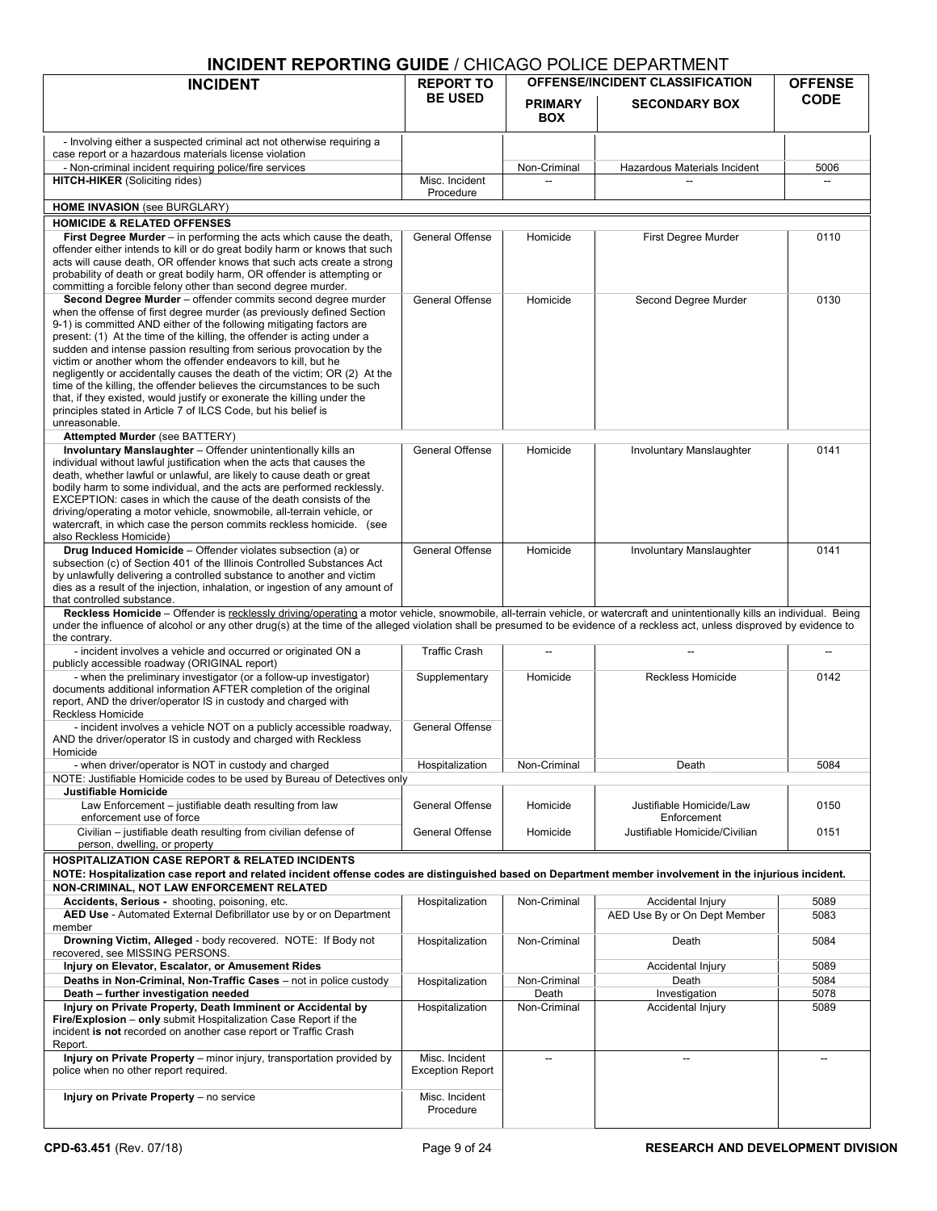|                                                                                                                                                                                                           |                                    | <b>INGIDENT REPORTING GOIDE</b> / CHICAGO FOLICE DEFAILMMENT<br><b>OFFENSE/INCIDENT CLASSIFICATION</b> |                                         |                               |  |
|-----------------------------------------------------------------------------------------------------------------------------------------------------------------------------------------------------------|------------------------------------|--------------------------------------------------------------------------------------------------------|-----------------------------------------|-------------------------------|--|
| <b>INCIDENT</b>                                                                                                                                                                                           | <b>REPORT TO</b><br><b>BE USED</b> |                                                                                                        |                                         | <b>OFFENSE</b><br><b>CODE</b> |  |
|                                                                                                                                                                                                           |                                    | <b>PRIMARY</b>                                                                                         | <b>SECONDARY BOX</b>                    |                               |  |
|                                                                                                                                                                                                           |                                    | <b>BOX</b>                                                                                             |                                         |                               |  |
| - Involving either a suspected criminal act not otherwise requiring a                                                                                                                                     |                                    |                                                                                                        |                                         |                               |  |
| case report or a hazardous materials license violation                                                                                                                                                    |                                    |                                                                                                        | Hazardous Materials Incident            |                               |  |
| - Non-criminal incident requiring police/fire services<br><b>HITCH-HIKER (Soliciting rides)</b>                                                                                                           | Misc. Incident                     | Non-Criminal                                                                                           |                                         | 5006                          |  |
|                                                                                                                                                                                                           | Procedure                          |                                                                                                        |                                         |                               |  |
| <b>HOME INVASION</b> (see BURGLARY)                                                                                                                                                                       |                                    |                                                                                                        |                                         |                               |  |
| <b>HOMICIDE &amp; RELATED OFFENSES</b>                                                                                                                                                                    | General Offense                    | Homicide                                                                                               |                                         |                               |  |
| First Degree Murder – in performing the acts which cause the death,<br>offender either intends to kill or do great bodily harm or knows that such                                                         |                                    |                                                                                                        | First Degree Murder                     | 0110                          |  |
| acts will cause death, OR offender knows that such acts create a strong                                                                                                                                   |                                    |                                                                                                        |                                         |                               |  |
| probability of death or great bodily harm, OR offender is attempting or<br>committing a forcible felony other than second degree murder.                                                                  |                                    |                                                                                                        |                                         |                               |  |
| Second Degree Murder - offender commits second degree murder                                                                                                                                              | General Offense                    | Homicide                                                                                               | Second Degree Murder                    | 0130                          |  |
| when the offense of first degree murder (as previously defined Section                                                                                                                                    |                                    |                                                                                                        |                                         |                               |  |
| 9-1) is committed AND either of the following mitigating factors are<br>present: (1) At the time of the killing, the offender is acting under a                                                           |                                    |                                                                                                        |                                         |                               |  |
| sudden and intense passion resulting from serious provocation by the                                                                                                                                      |                                    |                                                                                                        |                                         |                               |  |
| victim or another whom the offender endeavors to kill, but he<br>negligently or accidentally causes the death of the victim; OR (2) At the                                                                |                                    |                                                                                                        |                                         |                               |  |
| time of the killing, the offender believes the circumstances to be such                                                                                                                                   |                                    |                                                                                                        |                                         |                               |  |
| that, if they existed, would justify or exonerate the killing under the                                                                                                                                   |                                    |                                                                                                        |                                         |                               |  |
| principles stated in Article 7 of ILCS Code, but his belief is<br>unreasonable.                                                                                                                           |                                    |                                                                                                        |                                         |                               |  |
| Attempted Murder (see BATTERY)                                                                                                                                                                            |                                    |                                                                                                        |                                         |                               |  |
| Involuntary Manslaughter - Offender unintentionally kills an                                                                                                                                              | General Offense                    | Homicide                                                                                               | <b>Involuntary Manslaughter</b>         | 0141                          |  |
| individual without lawful justification when the acts that causes the<br>death, whether lawful or unlawful, are likely to cause death or great                                                            |                                    |                                                                                                        |                                         |                               |  |
| bodily harm to some individual, and the acts are performed recklessly.                                                                                                                                    |                                    |                                                                                                        |                                         |                               |  |
| EXCEPTION: cases in which the cause of the death consists of the                                                                                                                                          |                                    |                                                                                                        |                                         |                               |  |
| driving/operating a motor vehicle, snowmobile, all-terrain vehicle, or<br>watercraft, in which case the person commits reckless homicide. (see                                                            |                                    |                                                                                                        |                                         |                               |  |
| also Reckless Homicide)                                                                                                                                                                                   |                                    |                                                                                                        |                                         |                               |  |
| Drug Induced Homicide - Offender violates subsection (a) or                                                                                                                                               | General Offense                    | Homicide                                                                                               | <b>Involuntary Manslaughter</b>         | 0141                          |  |
| subsection (c) of Section 401 of the Illinois Controlled Substances Act<br>by unlawfully delivering a controlled substance to another and victim                                                          |                                    |                                                                                                        |                                         |                               |  |
| dies as a result of the injection, inhalation, or ingestion of any amount of                                                                                                                              |                                    |                                                                                                        |                                         |                               |  |
| that controlled substance.<br>Reckless Homicide - Offender is recklessly driving/operating a motor vehicle, snowmobile, all-terrain vehicle, or watercraft and unintentionally kills an individual. Being |                                    |                                                                                                        |                                         |                               |  |
| under the influence of alcohol or any other drug(s) at the time of the alleged violation shall be presumed to be evidence of a reckless act, unless disproved by evidence to                              |                                    |                                                                                                        |                                         |                               |  |
| the contrary.                                                                                                                                                                                             |                                    |                                                                                                        |                                         |                               |  |
| - incident involves a vehicle and occurred or originated ON a<br>publicly accessible roadway (ORIGINAL report)                                                                                            | <b>Traffic Crash</b>               |                                                                                                        |                                         |                               |  |
| - when the preliminary investigator (or a follow-up investigator)                                                                                                                                         | Supplementary                      | Homicide                                                                                               | <b>Reckless Homicide</b>                | 0142                          |  |
| documents additional information AFTER completion of the original                                                                                                                                         |                                    |                                                                                                        |                                         |                               |  |
| report, AND the driver/operator IS in custody and charged with<br>Reckless Homicide                                                                                                                       |                                    |                                                                                                        |                                         |                               |  |
| - incident involves a vehicle NOT on a publicly accessible roadway,                                                                                                                                       | General Offense                    |                                                                                                        |                                         |                               |  |
| AND the driver/operator IS in custody and charged with Reckless<br>Homicide                                                                                                                               |                                    |                                                                                                        |                                         |                               |  |
| - when driver/operator is NOT in custody and charged                                                                                                                                                      | Hospitalization                    | Non-Criminal                                                                                           | Death                                   | 5084                          |  |
| NOTE: Justifiable Homicide codes to be used by Bureau of Detectives only                                                                                                                                  |                                    |                                                                                                        |                                         |                               |  |
| Justifiable Homicide                                                                                                                                                                                      |                                    |                                                                                                        |                                         |                               |  |
| Law Enforcement - justifiable death resulting from law<br>enforcement use of force                                                                                                                        | General Offense                    | Homicide                                                                                               | Justifiable Homicide/Law<br>Enforcement | 0150                          |  |
| Civilian – justifiable death resulting from civilian defense of                                                                                                                                           | General Offense                    | Homicide                                                                                               | Justifiable Homicide/Civilian           | 0151                          |  |
| person, dwelling, or property                                                                                                                                                                             |                                    |                                                                                                        |                                         |                               |  |
| <b>HOSPITALIZATION CASE REPORT &amp; RELATED INCIDENTS</b>                                                                                                                                                |                                    |                                                                                                        |                                         |                               |  |
| NOTE: Hospitalization case report and related incident offense codes are distinguished based on Department member involvement in the injurious incident.<br>NON-CRIMINAL, NOT LAW ENFORCEMENT RELATED     |                                    |                                                                                                        |                                         |                               |  |
| Accidents, Serious - shooting, poisoning, etc.                                                                                                                                                            | Hospitalization                    | Non-Criminal                                                                                           | Accidental Injury                       | 5089                          |  |
| AED Use - Automated External Defibrillator use by or on Department                                                                                                                                        |                                    |                                                                                                        | AED Use By or On Dept Member            | 5083                          |  |
| member<br><b>Drowning Victim, Alleged</b> - body recovered. NOTE: If Body not                                                                                                                             | Hospitalization                    | Non-Criminal                                                                                           | Death                                   | 5084                          |  |
| recovered, see MISSING PERSONS.                                                                                                                                                                           |                                    |                                                                                                        |                                         |                               |  |
| Injury on Elevator, Escalator, or Amusement Rides                                                                                                                                                         |                                    |                                                                                                        | Accidental Injury                       | 5089                          |  |
| Deaths in Non-Criminal, Non-Traffic Cases – not in police custody                                                                                                                                         | Hospitalization                    | Non-Criminal                                                                                           | Death                                   | 5084                          |  |
| Death - further investigation needed<br>Injury on Private Property, Death Imminent or Accidental by                                                                                                       | Hospitalization                    | Death<br>Non-Criminal                                                                                  | Investigation<br>Accidental Injury      | 5078<br>5089                  |  |
| Fire/Explosion - only submit Hospitalization Case Report if the                                                                                                                                           |                                    |                                                                                                        |                                         |                               |  |
| incident is not recorded on another case report or Traffic Crash                                                                                                                                          |                                    |                                                                                                        |                                         |                               |  |
| Report.<br>Injury on Private Property – minor injury, transportation provided by                                                                                                                          | Misc. Incident                     | $\overline{\phantom{a}}$                                                                               | $\overline{a}$                          | $\overline{\phantom{a}}$      |  |
| police when no other report required.                                                                                                                                                                     | <b>Exception Report</b>            |                                                                                                        |                                         |                               |  |
|                                                                                                                                                                                                           |                                    |                                                                                                        |                                         |                               |  |
| Injury on Private Property - no service                                                                                                                                                                   | Misc. Incident<br>Procedure        |                                                                                                        |                                         |                               |  |
|                                                                                                                                                                                                           |                                    |                                                                                                        |                                         |                               |  |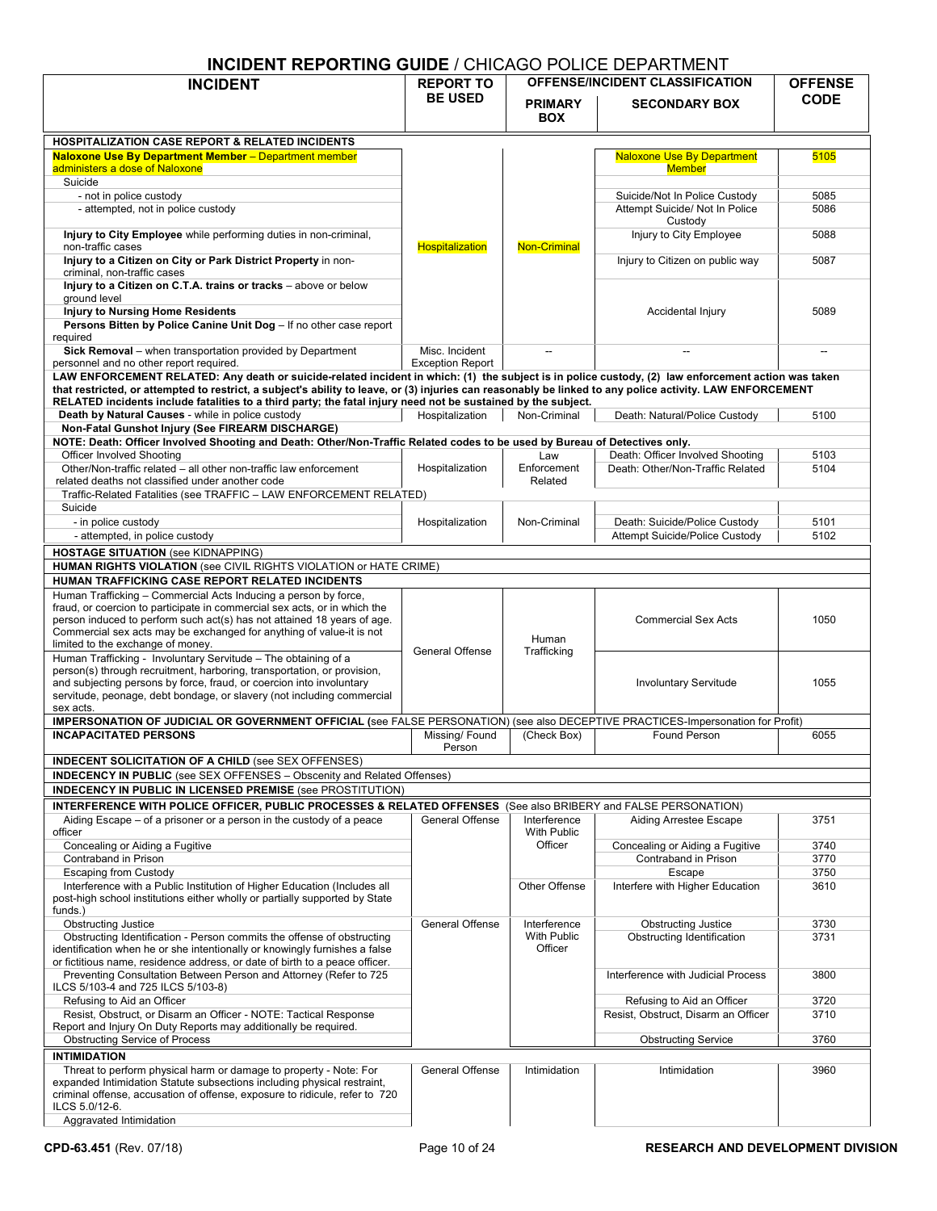| <b>INCIDENT</b>                                                                                                                                                                                | , <b>טוווע</b><br>OO LOLIOL DLI AINTIVILIVI<br><b>OFFENSE/INCIDENT CLASSIFICATION</b><br><b>REPORT TO</b> |                              |                                                                    | <b>OFFENSE</b> |  |  |
|------------------------------------------------------------------------------------------------------------------------------------------------------------------------------------------------|-----------------------------------------------------------------------------------------------------------|------------------------------|--------------------------------------------------------------------|----------------|--|--|
|                                                                                                                                                                                                | <b>BE USED</b>                                                                                            |                              |                                                                    | <b>CODE</b>    |  |  |
|                                                                                                                                                                                                |                                                                                                           | <b>PRIMARY</b><br><b>BOX</b> | <b>SECONDARY BOX</b>                                               |                |  |  |
|                                                                                                                                                                                                |                                                                                                           |                              |                                                                    |                |  |  |
| <b>HOSPITALIZATION CASE REPORT &amp; RELATED INCIDENTS</b>                                                                                                                                     |                                                                                                           |                              |                                                                    |                |  |  |
| <b>Naloxone Use By Department Member - Department member</b><br>administers a dose of Naloxone                                                                                                 |                                                                                                           |                              | <b>Naloxone Use By Department</b><br><b>Member</b>                 | 5105           |  |  |
| Suicide                                                                                                                                                                                        |                                                                                                           |                              |                                                                    |                |  |  |
| - not in police custody                                                                                                                                                                        |                                                                                                           |                              | Suicide/Not In Police Custody                                      | 5085           |  |  |
| - attempted, not in police custody                                                                                                                                                             |                                                                                                           |                              | Attempt Suicide/ Not In Police                                     | 5086           |  |  |
|                                                                                                                                                                                                |                                                                                                           |                              | Custody                                                            |                |  |  |
| Injury to City Employee while performing duties in non-criminal,<br>non-traffic cases                                                                                                          | Hospitalization                                                                                           | <b>Non-Criminal</b>          | Injury to City Employee                                            | 5088           |  |  |
| Injury to a Citizen on City or Park District Property in non-                                                                                                                                  |                                                                                                           |                              | Injury to Citizen on public way                                    | 5087           |  |  |
| criminal, non-traffic cases                                                                                                                                                                    |                                                                                                           |                              |                                                                    |                |  |  |
| Injury to a Citizen on C.T.A. trains or tracks - above or below                                                                                                                                |                                                                                                           |                              |                                                                    |                |  |  |
| ground level<br><b>Injury to Nursing Home Residents</b>                                                                                                                                        |                                                                                                           |                              | Accidental Injury                                                  | 5089           |  |  |
| Persons Bitten by Police Canine Unit Dog - If no other case report                                                                                                                             |                                                                                                           |                              |                                                                    |                |  |  |
| required                                                                                                                                                                                       |                                                                                                           |                              |                                                                    |                |  |  |
| Sick Removal - when transportation provided by Department                                                                                                                                      | Misc. Incident                                                                                            |                              |                                                                    |                |  |  |
| personnel and no other report required.<br>LAW ENFORCEMENT RELATED: Any death or suicide-related incident in which: (1) the subject is in police custody, (2) law enforcement action was taken | <b>Exception Report</b>                                                                                   |                              |                                                                    |                |  |  |
| that restricted, or attempted to restrict, a subject's ability to leave, or (3) injuries can reasonably be linked to any police activity. LAW ENFORCEMENT                                      |                                                                                                           |                              |                                                                    |                |  |  |
| RELATED incidents include fatalities to a third party; the fatal injury need not be sustained by the subject.                                                                                  |                                                                                                           |                              |                                                                    |                |  |  |
| Death by Natural Causes - while in police custody                                                                                                                                              | Hospitalization                                                                                           | Non-Criminal                 | Death: Natural/Police Custody                                      | 5100           |  |  |
| Non-Fatal Gunshot Injury (See FIREARM DISCHARGE)                                                                                                                                               |                                                                                                           |                              |                                                                    |                |  |  |
| NOTE: Death: Officer Involved Shooting and Death: Other/Non-Traffic Related codes to be used by Bureau of Detectives only.<br>Officer Involved Shooting                                        |                                                                                                           | Law                          | Death: Officer Involved Shooting                                   | 5103           |  |  |
| Other/Non-traffic related – all other non-traffic law enforcement                                                                                                                              | Hospitalization                                                                                           | Enforcement                  | Death: Other/Non-Traffic Related                                   | 5104           |  |  |
| related deaths not classified under another code                                                                                                                                               |                                                                                                           | Related                      |                                                                    |                |  |  |
| Traffic-Related Fatalities (see TRAFFIC - LAW ENFORCEMENT RELATED)                                                                                                                             |                                                                                                           |                              |                                                                    |                |  |  |
| Suicide                                                                                                                                                                                        |                                                                                                           |                              |                                                                    |                |  |  |
| - in police custody                                                                                                                                                                            | Hospitalization                                                                                           | Non-Criminal                 | Death: Suicide/Police Custody                                      | 5101           |  |  |
| - attempted, in police custody                                                                                                                                                                 |                                                                                                           |                              | Attempt Suicide/Police Custody                                     | 5102           |  |  |
| <b>HOSTAGE SITUATION (see KIDNAPPING)</b>                                                                                                                                                      |                                                                                                           |                              |                                                                    |                |  |  |
| HUMAN RIGHTS VIOLATION (see CIVIL RIGHTS VIOLATION or HATE CRIME)<br>HUMAN TRAFFICKING CASE REPORT RELATED INCIDENTS                                                                           |                                                                                                           |                              |                                                                    |                |  |  |
| Human Trafficking - Commercial Acts Inducing a person by force,                                                                                                                                |                                                                                                           |                              |                                                                    |                |  |  |
| fraud, or coercion to participate in commercial sex acts, or in which the                                                                                                                      |                                                                                                           |                              |                                                                    |                |  |  |
| person induced to perform such act(s) has not attained 18 years of age.                                                                                                                        |                                                                                                           |                              | <b>Commercial Sex Acts</b>                                         | 1050           |  |  |
| Commercial sex acts may be exchanged for anything of value-it is not<br>limited to the exchange of money.                                                                                      |                                                                                                           | Human<br>Trafficking         |                                                                    |                |  |  |
| Human Trafficking - Involuntary Servitude - The obtaining of a                                                                                                                                 | <b>General Offense</b>                                                                                    |                              |                                                                    |                |  |  |
| person(s) through recruitment, harboring, transportation, or provision,                                                                                                                        |                                                                                                           |                              |                                                                    |                |  |  |
| and subjecting persons by force, fraud, or coercion into involuntary                                                                                                                           |                                                                                                           |                              | <b>Involuntary Servitude</b>                                       | 1055           |  |  |
| servitude, peonage, debt bondage, or slavery (not including commercial<br>sex acts.                                                                                                            |                                                                                                           |                              |                                                                    |                |  |  |
| IMPERSONATION OF JUDICIAL OR GOVERNMENT OFFICIAL (see FALSE PERSONATION) (see also DECEPTIVE PRACTICES-Impersonation for Profit)                                                               |                                                                                                           |                              |                                                                    |                |  |  |
| <b>INCAPACITATED PERSONS</b>                                                                                                                                                                   | Missing/ Found                                                                                            | (Check Box)                  | Found Person                                                       | 6055           |  |  |
|                                                                                                                                                                                                | Person                                                                                                    |                              |                                                                    |                |  |  |
| <b>INDECENT SOLICITATION OF A CHILD (see SEX OFFENSES)</b>                                                                                                                                     |                                                                                                           |                              |                                                                    |                |  |  |
| <b>INDECENCY IN PUBLIC</b> (see SEX OFFENSES - Obscenity and Related Offenses)                                                                                                                 |                                                                                                           |                              |                                                                    |                |  |  |
| <b>INDECENCY IN PUBLIC IN LICENSED PREMISE (see PROSTITUTION)</b>                                                                                                                              |                                                                                                           |                              |                                                                    |                |  |  |
| <b>INTERFERENCE WITH POLICE OFFICER, PUBLIC PROCESSES &amp; RELATED OFFENSES</b><br>Aiding Escape – of a prisoner or a person in the custody of a peace                                        | General Offense                                                                                           | Interference                 | (See also BRIBERY and FALSE PERSONATION)<br>Aiding Arrestee Escape | 3751           |  |  |
| officer                                                                                                                                                                                        |                                                                                                           | <b>With Public</b>           |                                                                    |                |  |  |
| Concealing or Aiding a Fugitive                                                                                                                                                                |                                                                                                           | Officer                      | Concealing or Aiding a Fugitive                                    | 3740           |  |  |
| Contraband in Prison                                                                                                                                                                           |                                                                                                           |                              | Contraband in Prison                                               | 3770           |  |  |
| <b>Escaping from Custody</b>                                                                                                                                                                   |                                                                                                           |                              | Escape                                                             | 3750           |  |  |
| Interference with a Public Institution of Higher Education (Includes all<br>post-high school institutions either wholly or partially supported by State                                        |                                                                                                           | Other Offense                | Interfere with Higher Education                                    | 3610           |  |  |
| funds.)                                                                                                                                                                                        |                                                                                                           |                              |                                                                    |                |  |  |
| <b>Obstructing Justice</b>                                                                                                                                                                     | <b>General Offense</b>                                                                                    | Interference                 | <b>Obstructing Justice</b>                                         | 3730           |  |  |
| Obstructing Identification - Person commits the offense of obstructing                                                                                                                         |                                                                                                           | <b>With Public</b>           | Obstructing Identification                                         | 3731           |  |  |
| identification when he or she intentionally or knowingly furnishes a false<br>or fictitious name, residence address, or date of birth to a peace officer.                                      |                                                                                                           | Officer                      |                                                                    |                |  |  |
| Preventing Consultation Between Person and Attorney (Refer to 725                                                                                                                              |                                                                                                           |                              | Interference with Judicial Process                                 | 3800           |  |  |
| ILCS 5/103-4 and 725 ILCS 5/103-8)                                                                                                                                                             |                                                                                                           |                              |                                                                    |                |  |  |
| Refusing to Aid an Officer                                                                                                                                                                     |                                                                                                           |                              | Refusing to Aid an Officer                                         | 3720           |  |  |
| Resist, Obstruct, or Disarm an Officer - NOTE: Tactical Response                                                                                                                               |                                                                                                           |                              | Resist, Obstruct, Disarm an Officer                                | 3710           |  |  |
| Report and Injury On Duty Reports may additionally be required.<br><b>Obstructing Service of Process</b>                                                                                       |                                                                                                           |                              | <b>Obstructing Service</b>                                         | 3760           |  |  |
| <b>INTIMIDATION</b>                                                                                                                                                                            |                                                                                                           |                              |                                                                    |                |  |  |
| Threat to perform physical harm or damage to property - Note: For                                                                                                                              | <b>General Offense</b>                                                                                    | Intimidation                 | Intimidation                                                       | 3960           |  |  |
| expanded Intimidation Statute subsections including physical restraint,                                                                                                                        |                                                                                                           |                              |                                                                    |                |  |  |
| criminal offense, accusation of offense, exposure to ridicule, refer to 720                                                                                                                    |                                                                                                           |                              |                                                                    |                |  |  |
| ILCS 5.0/12-6.<br>Aggravated Intimidation                                                                                                                                                      |                                                                                                           |                              |                                                                    |                |  |  |
|                                                                                                                                                                                                |                                                                                                           |                              |                                                                    |                |  |  |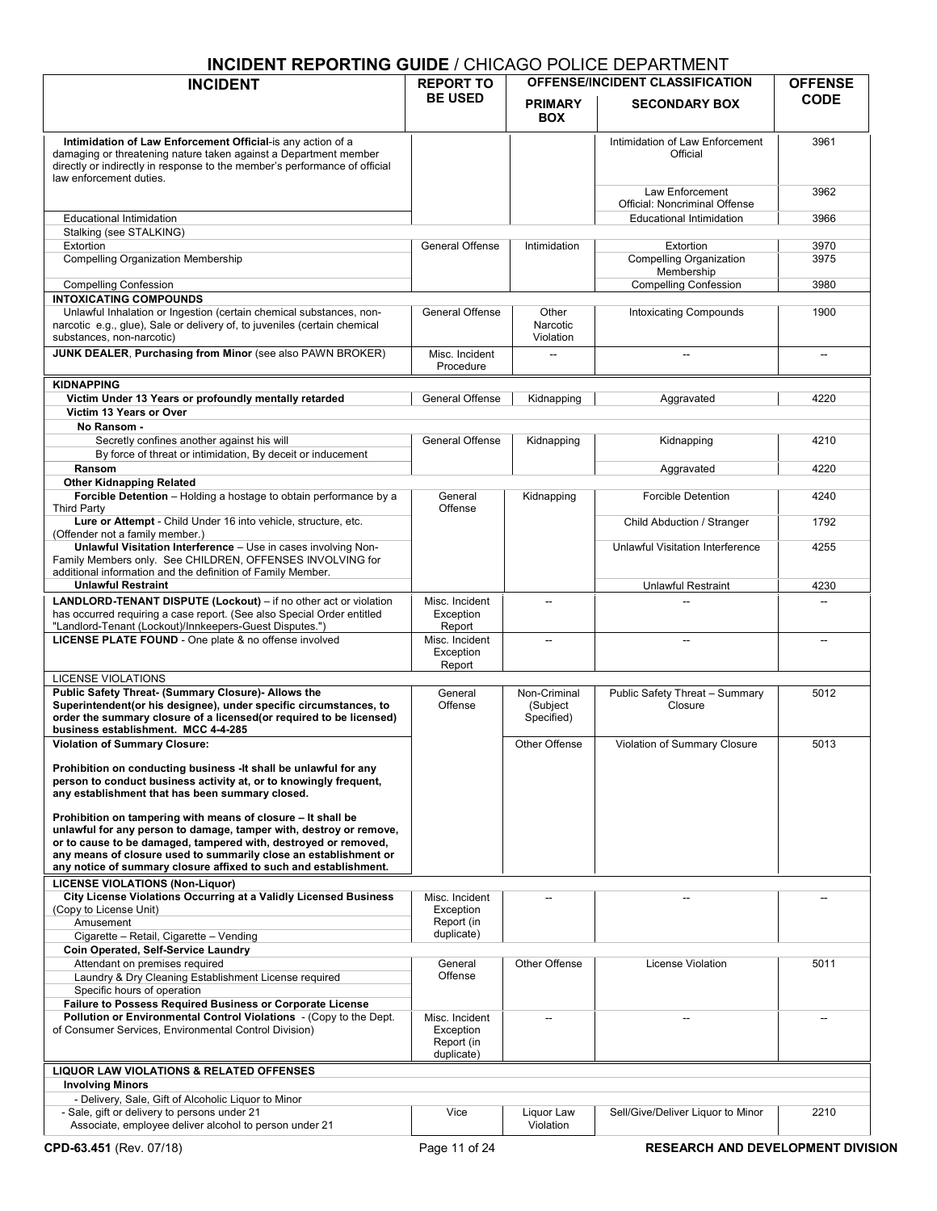| <u>INCIDENT REPURTING GUIDE / CHICAGO FOLICE DEFARTIVIENT</u>                                                                                                                                                                                                                                                                                 |                                       |                              |                                                                |                               |
|-----------------------------------------------------------------------------------------------------------------------------------------------------------------------------------------------------------------------------------------------------------------------------------------------------------------------------------------------|---------------------------------------|------------------------------|----------------------------------------------------------------|-------------------------------|
| <b>INCIDENT</b>                                                                                                                                                                                                                                                                                                                               | <b>REPORT TO</b><br><b>BE USED</b>    | <b>PRIMARY</b><br><b>BOX</b> | <b>OFFENSE/INCIDENT CLASSIFICATION</b><br><b>SECONDARY BOX</b> | <b>OFFENSE</b><br><b>CODE</b> |
| Intimidation of Law Enforcement Official-is any action of a<br>damaging or threatening nature taken against a Department member<br>directly or indirectly in response to the member's performance of official                                                                                                                                 |                                       |                              | Intimidation of Law Enforcement<br>Official                    | 3961                          |
| law enforcement duties.                                                                                                                                                                                                                                                                                                                       |                                       |                              | Law Enforcement<br>Official: Noncriminal Offense               | 3962                          |
| <b>Educational Intimidation</b><br>Stalking (see STALKING)                                                                                                                                                                                                                                                                                    |                                       |                              | <b>Educational Intimidation</b>                                | 3966                          |
| Extortion                                                                                                                                                                                                                                                                                                                                     | General Offense                       | Intimidation                 | Extortion                                                      | 3970                          |
| Compelling Organization Membership                                                                                                                                                                                                                                                                                                            |                                       |                              | <b>Compelling Organization</b><br>Membership                   | 3975                          |
| <b>Compelling Confession</b>                                                                                                                                                                                                                                                                                                                  |                                       |                              | <b>Compelling Confession</b>                                   | 3980                          |
| <b>INTOXICATING COMPOUNDS</b><br>Unlawful Inhalation or Ingestion (certain chemical substances, non-                                                                                                                                                                                                                                          | General Offense                       | Other                        | <b>Intoxicating Compounds</b>                                  | 1900                          |
| narcotic e.g., glue), Sale or delivery of, to juveniles (certain chemical<br>substances, non-narcotic)                                                                                                                                                                                                                                        |                                       | Narcotic<br>Violation        |                                                                |                               |
| JUNK DEALER, Purchasing from Minor (see also PAWN BROKER)                                                                                                                                                                                                                                                                                     | Misc. Incident<br>Procedure           |                              | $\overline{\phantom{a}}$                                       | $\overline{\phantom{a}}$      |
| <b>KIDNAPPING</b>                                                                                                                                                                                                                                                                                                                             |                                       |                              |                                                                |                               |
| Victim Under 13 Years or profoundly mentally retarded<br>Victim 13 Years or Over                                                                                                                                                                                                                                                              | General Offense                       | Kidnapping                   | Aggravated                                                     | 4220                          |
| No Ransom -<br>Secretly confines another against his will                                                                                                                                                                                                                                                                                     | General Offense                       | Kidnapping                   | Kidnapping                                                     | 4210                          |
| By force of threat or intimidation, By deceit or inducement<br>Ransom                                                                                                                                                                                                                                                                         |                                       |                              | Aggravated                                                     | 4220                          |
| <b>Other Kidnapping Related</b><br>Forcible Detention - Holding a hostage to obtain performance by a                                                                                                                                                                                                                                          | General                               | Kidnapping                   | <b>Forcible Detention</b>                                      | 4240                          |
| <b>Third Party</b><br>Lure or Attempt - Child Under 16 into vehicle, structure, etc.                                                                                                                                                                                                                                                          | Offense                               |                              | Child Abduction / Stranger                                     | 1792                          |
| (Offender not a family member.)<br>Unlawful Visitation Interference - Use in cases involving Non-<br>Family Members only. See CHILDREN, OFFENSES INVOLVING for                                                                                                                                                                                |                                       |                              | Unlawful Visitation Interference                               | 4255                          |
| additional information and the definition of Family Member.<br><b>Unlawful Restraint</b>                                                                                                                                                                                                                                                      |                                       |                              | Unlawful Restraint                                             | 4230                          |
| LANDLORD-TENANT DISPUTE (Lockout) - if no other act or violation<br>has occurred requiring a case report. (See also Special Order entitled                                                                                                                                                                                                    | Misc. Incident<br>Exception           | $\overline{\phantom{a}}$     |                                                                |                               |
| "Landlord-Tenant (Lockout)/Innkeepers-Guest Disputes.")<br>LICENSE PLATE FOUND - One plate & no offense involved                                                                                                                                                                                                                              | Report<br>Misc. Incident<br>Exception | $\overline{\phantom{a}}$     | $\overline{\phantom{a}}$                                       | $\overline{\phantom{a}}$      |
|                                                                                                                                                                                                                                                                                                                                               | Report                                |                              |                                                                |                               |
| <b>LICENSE VIOLATIONS</b>                                                                                                                                                                                                                                                                                                                     |                                       | Non-Criminal                 |                                                                |                               |
| Public Safety Threat- (Summary Closure)- Allows the<br>Superintendent(or his designee), under specific circumstances, to<br>order the summary closure of a licensed(or required to be licensed)                                                                                                                                               | General<br>Offense                    | (Subject<br>Specified)       | Public Safety Threat - Summary<br>Closure                      | 5012                          |
| business establishment. MCC 4-4-285<br><b>Violation of Summary Closure:</b>                                                                                                                                                                                                                                                                   |                                       | Other Offense                | Violation of Summary Closure                                   | 5013                          |
| Prohibition on conducting business - It shall be unlawful for any<br>person to conduct business activity at, or to knowingly frequent,<br>any establishment that has been summary closed.                                                                                                                                                     |                                       |                              |                                                                |                               |
| Prohibition on tampering with means of closure - It shall be<br>unlawful for any person to damage, tamper with, destroy or remove,<br>or to cause to be damaged, tampered with, destroyed or removed,<br>any means of closure used to summarily close an establishment or<br>any notice of summary closure affixed to such and establishment. |                                       |                              |                                                                |                               |
| <b>LICENSE VIOLATIONS (Non-Liquor)</b>                                                                                                                                                                                                                                                                                                        |                                       |                              |                                                                |                               |
| City License Violations Occurring at a Validly Licensed Business                                                                                                                                                                                                                                                                              | Misc. Incident                        |                              |                                                                |                               |
| (Copy to License Unit)<br>Amusement                                                                                                                                                                                                                                                                                                           | Exception<br>Report (in               |                              |                                                                |                               |
| Cigarette - Retail, Cigarette - Vending                                                                                                                                                                                                                                                                                                       | duplicate)                            |                              |                                                                |                               |
| Coin Operated, Self-Service Laundry                                                                                                                                                                                                                                                                                                           |                                       |                              |                                                                |                               |
| Attendant on premises required                                                                                                                                                                                                                                                                                                                | General                               | Other Offense                | License Violation                                              | 5011                          |
| Laundry & Dry Cleaning Establishment License required<br>Specific hours of operation                                                                                                                                                                                                                                                          | Offense                               |                              |                                                                |                               |
| Failure to Possess Required Business or Corporate License<br>Pollution or Environmental Control Violations - (Copy to the Dept.                                                                                                                                                                                                               | Misc. Incident                        |                              |                                                                |                               |
| of Consumer Services, Environmental Control Division)                                                                                                                                                                                                                                                                                         | Exception<br>Report (in<br>duplicate) |                              |                                                                |                               |
| <b>LIQUOR LAW VIOLATIONS &amp; RELATED OFFENSES</b>                                                                                                                                                                                                                                                                                           |                                       |                              |                                                                |                               |
| <b>Involving Minors</b>                                                                                                                                                                                                                                                                                                                       |                                       |                              |                                                                |                               |
| - Delivery, Sale, Gift of Alcoholic Liquor to Minor<br>- Sale, gift or delivery to persons under 21<br>Associate, employee deliver alcohol to person under 21                                                                                                                                                                                 | Vice                                  | Liquor Law<br>Violation      | Sell/Give/Deliver Liquor to Minor                              | 2210                          |
| CPD-63.451 (Rev. 07/18)                                                                                                                                                                                                                                                                                                                       | Page 11 of 24                         |                              | <b>RESEARCH AND DEVELOPMENT DIVISION</b>                       |                               |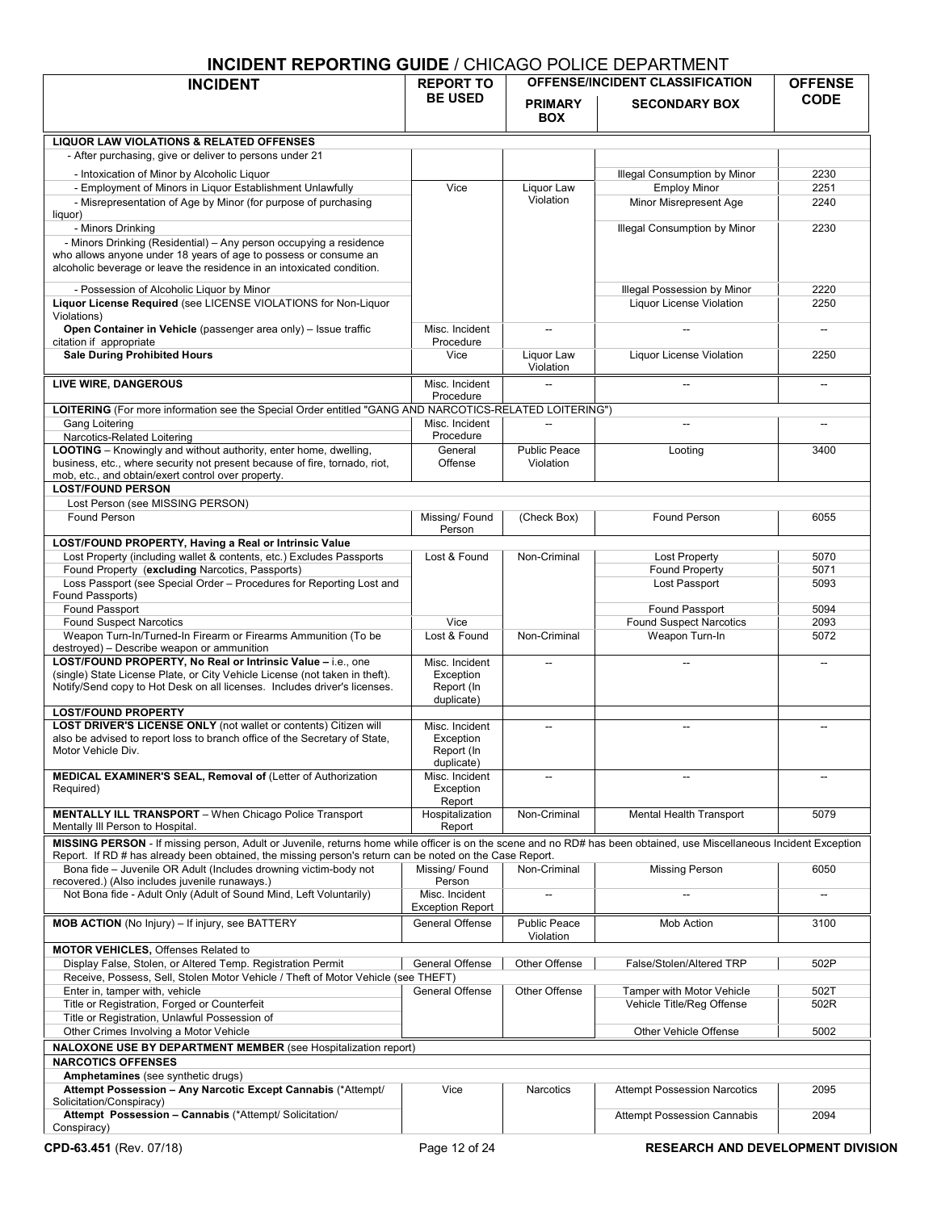| <b>INCIDENT REPORTING GOIDE</b> / CHICAGO FOLICE DEFAILMMENT<br><b>INCIDENT</b>                                                                                      | <b>REPORT TO</b>            |                                  | <b>OFFENSE/INCIDENT CLASSIFICATION</b>              | <b>OFFENSE</b> |
|----------------------------------------------------------------------------------------------------------------------------------------------------------------------|-----------------------------|----------------------------------|-----------------------------------------------------|----------------|
|                                                                                                                                                                      | <b>BE USED</b>              |                                  |                                                     | <b>CODE</b>    |
|                                                                                                                                                                      |                             | <b>PRIMARY</b><br><b>BOX</b>     | <b>SECONDARY BOX</b>                                |                |
|                                                                                                                                                                      |                             |                                  |                                                     |                |
| <b>LIQUOR LAW VIOLATIONS &amp; RELATED OFFENSES</b><br>- After purchasing, give or deliver to persons under 21                                                       |                             |                                  |                                                     |                |
|                                                                                                                                                                      |                             |                                  |                                                     |                |
| - Intoxication of Minor by Alcoholic Liquor<br>- Employment of Minors in Liquor Establishment Unlawfully                                                             | Vice                        | Liquor Law                       | Illegal Consumption by Minor<br><b>Employ Minor</b> | 2230<br>2251   |
| - Misrepresentation of Age by Minor (for purpose of purchasing                                                                                                       |                             | Violation                        | Minor Misrepresent Age                              | 2240           |
| liquor)                                                                                                                                                              |                             |                                  |                                                     |                |
| - Minors Drinking                                                                                                                                                    |                             |                                  | Illegal Consumption by Minor                        | 2230           |
| - Minors Drinking (Residential) – Any person occupying a residence                                                                                                   |                             |                                  |                                                     |                |
| who allows anyone under 18 years of age to possess or consume an<br>alcoholic beverage or leave the residence in an intoxicated condition.                           |                             |                                  |                                                     |                |
|                                                                                                                                                                      |                             |                                  |                                                     |                |
| - Possession of Alcoholic Liquor by Minor                                                                                                                            |                             |                                  | Illegal Possession by Minor                         | 2220           |
| Liquor License Required (see LICENSE VIOLATIONS for Non-Liquor<br>Violations)                                                                                        |                             |                                  | <b>Liquor License Violation</b>                     | 2250           |
| Open Container in Vehicle (passenger area only) - Issue traffic                                                                                                      | Misc. Incident              |                                  |                                                     |                |
| citation if appropriate                                                                                                                                              | Procedure                   |                                  |                                                     |                |
| <b>Sale During Prohibited Hours</b>                                                                                                                                  | Vice                        | Liquor Law                       | <b>Liquor License Violation</b>                     | 2250           |
|                                                                                                                                                                      |                             | Violation                        |                                                     |                |
| LIVE WIRE, DANGEROUS                                                                                                                                                 | Misc. Incident<br>Procedure |                                  |                                                     |                |
| LOITERING (For more information see the Special Order entitled "GANG AND NARCOTICS-RELATED LOITERING")                                                               |                             |                                  |                                                     |                |
| Gang Loitering                                                                                                                                                       | Misc. Incident              |                                  |                                                     |                |
| Narcotics-Related Loitering                                                                                                                                          | Procedure                   |                                  |                                                     |                |
| <b>LOOTING</b> - Knowingly and without authority, enter home, dwelling,<br>business, etc., where security not present because of fire, tornado, riot,                | General<br>Offense          | <b>Public Peace</b><br>Violation | Looting                                             | 3400           |
| mob, etc., and obtain/exert control over property.                                                                                                                   |                             |                                  |                                                     |                |
| <b>LOST/FOUND PERSON</b>                                                                                                                                             |                             |                                  |                                                     |                |
| Lost Person (see MISSING PERSON)                                                                                                                                     |                             |                                  |                                                     |                |
| Found Person                                                                                                                                                         | Missing/ Found              | (Check Box)                      | Found Person                                        | 6055           |
| LOST/FOUND PROPERTY, Having a Real or Intrinsic Value                                                                                                                | Person                      |                                  |                                                     |                |
| Lost Property (including wallet & contents, etc.) Excludes Passports                                                                                                 | Lost & Found                | Non-Criminal                     | <b>Lost Property</b>                                | 5070           |
| Found Property (excluding Narcotics, Passports)                                                                                                                      |                             |                                  | <b>Found Property</b>                               | 5071           |
| Loss Passport (see Special Order - Procedures for Reporting Lost and                                                                                                 |                             |                                  | Lost Passport                                       | 5093           |
| Found Passports)                                                                                                                                                     |                             |                                  |                                                     |                |
| Found Passport<br><b>Found Suspect Narcotics</b>                                                                                                                     | Vice                        |                                  | Found Passport<br><b>Found Suspect Narcotics</b>    | 5094<br>2093   |
| Weapon Turn-In/Turned-In Firearm or Firearms Ammunition (To be                                                                                                       | Lost & Found                | Non-Criminal                     | Weapon Turn-In                                      | 5072           |
| destroyed) - Describe weapon or ammunition                                                                                                                           |                             |                                  |                                                     |                |
| LOST/FOUND PROPERTY, No Real or Intrinsic Value - i.e., one                                                                                                          | Misc. Incident              |                                  |                                                     |                |
| (single) State License Plate, or City Vehicle License (not taken in theft).<br>Notify/Send copy to Hot Desk on all licenses. Includes driver's licenses.             | Exception<br>Report (In     |                                  |                                                     |                |
|                                                                                                                                                                      | duplicate)                  |                                  |                                                     |                |
| <b>LOST/FOUND PROPERTY</b>                                                                                                                                           |                             |                                  |                                                     |                |
| LOST DRIVER'S LICENSE ONLY (not wallet or contents) Citizen will<br>also be advised to report loss to branch office of the Secretary of State,                       | Misc. Incident<br>Exception |                                  |                                                     |                |
| Motor Vehicle Div.                                                                                                                                                   | Report (In                  |                                  |                                                     |                |
|                                                                                                                                                                      | duplicate)                  |                                  |                                                     |                |
| MEDICAL EXAMINER'S SEAL, Removal of (Letter of Authorization                                                                                                         | Misc. Incident              | $\overline{\phantom{a}}$         |                                                     |                |
| Required)                                                                                                                                                            | Exception<br>Report         |                                  |                                                     |                |
| <b>MENTALLY ILL TRANSPORT</b> - When Chicago Police Transport                                                                                                        | Hospitalization             | Non-Criminal                     | Mental Health Transport                             | 5079           |
| Mentally III Person to Hospital.                                                                                                                                     | Report                      |                                  |                                                     |                |
| MISSING PERSON - If missing person, Adult or Juvenile, returns home while officer is on the scene and no RD# has been obtained, use Miscellaneous Incident Exception |                             |                                  |                                                     |                |
| Report. If RD # has already been obtained, the missing person's return can be noted on the Case Report.                                                              |                             | Non-Criminal                     |                                                     |                |
| Bona fide - Juvenile OR Adult (Includes drowning victim-body not<br>recovered.) (Also includes juvenile runaways.)                                                   | Missing/Found<br>Person     |                                  | <b>Missing Person</b>                               | 6050           |
| Not Bona fide - Adult Only (Adult of Sound Mind, Left Voluntarily)                                                                                                   | Misc. Incident              |                                  |                                                     |                |
|                                                                                                                                                                      | <b>Exception Report</b>     |                                  |                                                     |                |
| <b>MOB ACTION</b> (No Injury) - If injury, see BATTERY                                                                                                               | General Offense             | <b>Public Peace</b>              | Mob Action                                          | 3100           |
|                                                                                                                                                                      |                             | Violation                        |                                                     |                |
| <b>MOTOR VEHICLES, Offenses Related to</b><br>Display False, Stolen, or Altered Temp. Registration Permit                                                            | General Offense             | Other Offense                    | False/Stolen/Altered TRP                            | 502P           |
| Receive, Possess, Sell, Stolen Motor Vehicle / Theft of Motor Vehicle (see THEFT)                                                                                    |                             |                                  |                                                     |                |
| Enter in, tamper with, vehicle                                                                                                                                       | General Offense             | <b>Other Offense</b>             | Tamper with Motor Vehicle                           | 502T           |
| Title or Registration, Forged or Counterfeit                                                                                                                         |                             |                                  | Vehicle Title/Reg Offense                           | 502R           |
| Title or Registration, Unlawful Possession of                                                                                                                        |                             |                                  |                                                     |                |
| Other Crimes Involving a Motor Vehicle                                                                                                                               |                             |                                  | Other Vehicle Offense                               | 5002           |
| <b>NALOXONE USE BY DEPARTMENT MEMBER</b> (see Hospitalization report)<br><b>NARCOTICS OFFENSES</b>                                                                   |                             |                                  |                                                     |                |
| Amphetamines (see synthetic drugs)                                                                                                                                   |                             |                                  |                                                     |                |
| Attempt Possession - Any Narcotic Except Cannabis (*Attempt/                                                                                                         | Vice                        | Narcotics                        | <b>Attempt Possession Narcotics</b>                 | 2095           |
| Solicitation/Conspiracy)                                                                                                                                             |                             |                                  |                                                     |                |
| Attempt Possession - Cannabis (*Attempt/ Solicitation/<br>Conspiracy)                                                                                                |                             |                                  | <b>Attempt Possession Cannabis</b>                  | 2094           |
|                                                                                                                                                                      |                             |                                  |                                                     |                |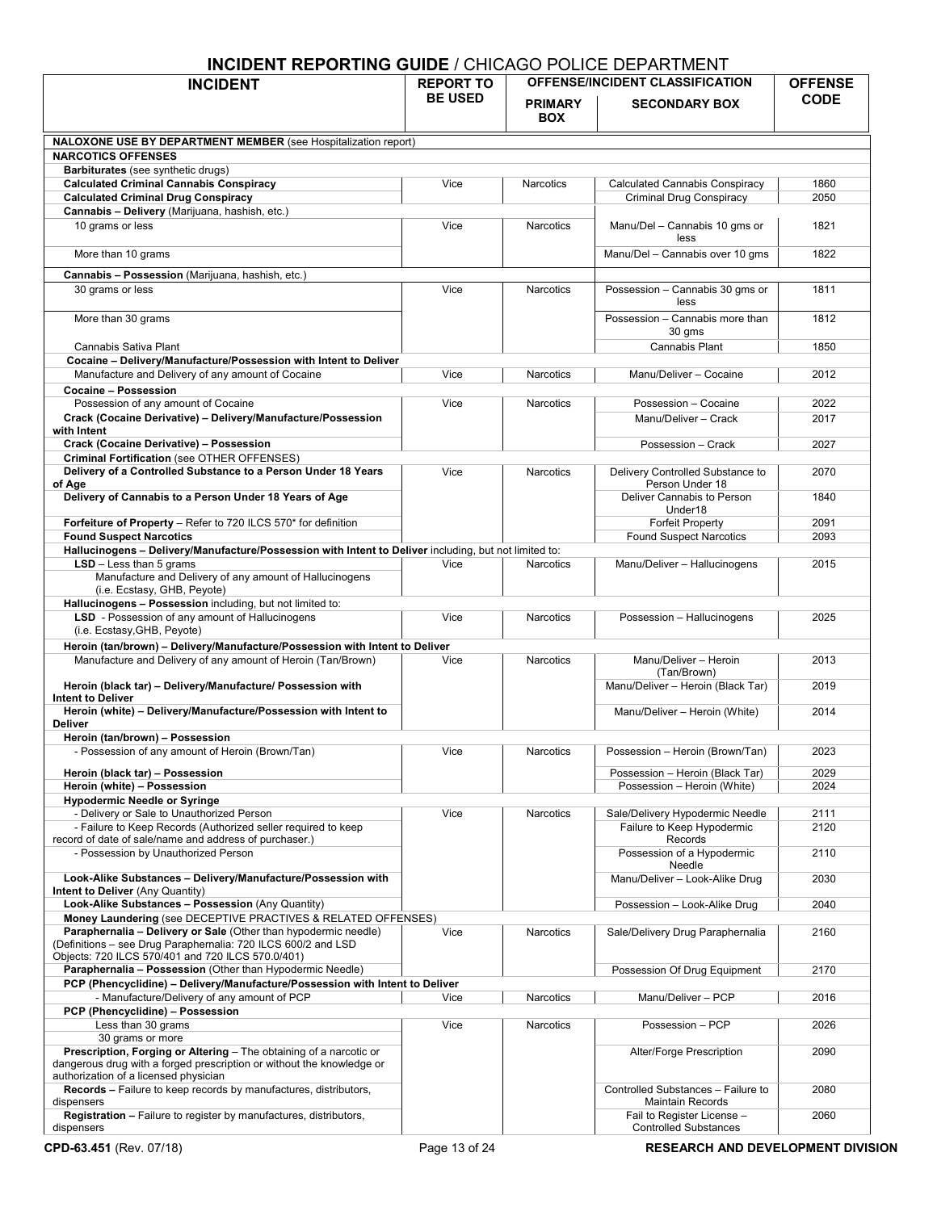| <b>INCIDENT</b>                                                                                                                           | <b>REPORT TO</b> |                  | <u>ULIUL DLI / \I \I IVILI \I I</u><br><b>OFFENSE/INCIDENT CLASSIFICATION</b> | <b>OFFENSE</b> |
|-------------------------------------------------------------------------------------------------------------------------------------------|------------------|------------------|-------------------------------------------------------------------------------|----------------|
|                                                                                                                                           | <b>BE USED</b>   |                  |                                                                               | <b>CODE</b>    |
|                                                                                                                                           |                  | <b>PRIMARY</b>   | <b>SECONDARY BOX</b>                                                          |                |
|                                                                                                                                           |                  | <b>BOX</b>       |                                                                               |                |
| <b>NALOXONE USE BY DEPARTMENT MEMBER</b> (see Hospitalization report)                                                                     |                  |                  |                                                                               |                |
| <b>NARCOTICS OFFENSES</b>                                                                                                                 |                  |                  |                                                                               |                |
| <b>Barbiturates</b> (see synthetic drugs)                                                                                                 |                  |                  |                                                                               |                |
| <b>Calculated Criminal Cannabis Conspiracy</b>                                                                                            | Vice             | Narcotics        | Calculated Cannabis Conspiracy                                                | 1860           |
| <b>Calculated Criminal Drug Conspiracy</b>                                                                                                |                  |                  | Criminal Drug Conspiracy                                                      | 2050           |
| Cannabis - Delivery (Marijuana, hashish, etc.)                                                                                            |                  |                  |                                                                               |                |
| 10 grams or less                                                                                                                          | Vice             | Narcotics        | Manu/Del - Cannabis 10 gms or<br>less                                         | 1821           |
| More than 10 grams                                                                                                                        |                  |                  | Manu/Del - Cannabis over 10 gms                                               | 1822           |
|                                                                                                                                           |                  |                  |                                                                               |                |
| Cannabis - Possession (Marijuana, hashish, etc.)                                                                                          |                  |                  |                                                                               |                |
| 30 grams or less                                                                                                                          | Vice             | <b>Narcotics</b> | Possession - Cannabis 30 gms or                                               | 1811           |
|                                                                                                                                           |                  |                  | less                                                                          |                |
| More than 30 grams                                                                                                                        |                  |                  | Possession - Cannabis more than<br>30 gms                                     | 1812           |
| Cannabis Sativa Plant                                                                                                                     |                  |                  | Cannabis Plant                                                                | 1850           |
| Cocaine - Delivery/Manufacture/Possession with Intent to Deliver                                                                          |                  |                  |                                                                               |                |
| Manufacture and Delivery of any amount of Cocaine                                                                                         | Vice             | <b>Narcotics</b> | Manu/Deliver - Cocaine                                                        | 2012           |
| <b>Cocaine - Possession</b>                                                                                                               |                  |                  |                                                                               |                |
| Possession of any amount of Cocaine                                                                                                       | Vice             | <b>Narcotics</b> | Possession - Cocaine                                                          | 2022           |
| Crack (Cocaine Derivative) - Delivery/Manufacture/Possession                                                                              |                  |                  | Manu/Deliver - Crack                                                          | 2017           |
| with Intent                                                                                                                               |                  |                  |                                                                               |                |
| Crack (Cocaine Derivative) - Possession                                                                                                   |                  |                  | Possession - Crack                                                            | 2027           |
| Criminal Fortification (see OTHER OFFENSES)<br>Delivery of a Controlled Substance to a Person Under 18 Years                              | Vice             | Narcotics        | Delivery Controlled Substance to                                              | 2070           |
| of Age                                                                                                                                    |                  |                  | Person Under 18                                                               |                |
| Delivery of Cannabis to a Person Under 18 Years of Age                                                                                    |                  |                  | Deliver Cannabis to Person                                                    | 1840           |
|                                                                                                                                           |                  |                  | Under18                                                                       |                |
| Forfeiture of Property - Refer to 720 ILCS 570* for definition                                                                            |                  |                  | Forfeit Property                                                              | 2091           |
| <b>Found Suspect Narcotics</b>                                                                                                            |                  |                  | <b>Found Suspect Narcotics</b>                                                | 2093           |
| Hallucinogens - Delivery/Manufacture/Possession with Intent to Deliver including, but not limited to:<br>$LSD - Less than 5 grams$        | Vice             | <b>Narcotics</b> | Manu/Deliver - Hallucinogens                                                  | 2015           |
| Manufacture and Delivery of any amount of Hallucinogens                                                                                   |                  |                  |                                                                               |                |
| (i.e. Ecstasy, GHB, Peyote)                                                                                                               |                  |                  |                                                                               |                |
| Hallucinogens - Possession including, but not limited to:                                                                                 |                  |                  |                                                                               |                |
| LSD - Possession of any amount of Hallucinogens                                                                                           | Vice             | <b>Narcotics</b> | Possession - Hallucinogens                                                    | 2025           |
| (i.e. Ecstasy, GHB, Peyote)                                                                                                               |                  |                  |                                                                               |                |
| Heroin (tan/brown) - Delivery/Manufacture/Possession with Intent to Deliver                                                               |                  |                  |                                                                               |                |
| Manufacture and Delivery of any amount of Heroin (Tan/Brown)                                                                              | Vice             | <b>Narcotics</b> | Manu/Deliver - Heroin<br>(Tan/Brown)                                          | 2013           |
| Heroin (black tar) - Delivery/Manufacture/ Possession with                                                                                |                  |                  | Manu/Deliver - Heroin (Black Tar)                                             | 2019           |
| <b>Intent to Deliver</b>                                                                                                                  |                  |                  |                                                                               |                |
| Heroin (white) - Delivery/Manufacture/Possession with Intent to                                                                           |                  |                  | Manu/Deliver - Heroin (White)                                                 | 2014           |
| <b>Deliver</b>                                                                                                                            |                  |                  |                                                                               |                |
| Heroin (tan/brown) - Possession<br>- Possession of any amount of Heroin (Brown/Tan)                                                       | Vice             | Narcotics        | Possession - Heroin (Brown/Tan)                                               | 2023           |
|                                                                                                                                           |                  |                  |                                                                               |                |
| Heroin (black tar) - Possession                                                                                                           |                  |                  | Possession - Heroin (Black Tar)                                               | 2029           |
| Heroin (white) - Possession                                                                                                               |                  |                  | Possession - Heroin (White)                                                   | 2024           |
| <b>Hypodermic Needle or Syringe</b><br>- Delivery or Sale to Unauthorized Person                                                          | Vice             |                  |                                                                               |                |
| - Failure to Keep Records (Authorized seller required to keep                                                                             |                  | Narcotics        | Sale/Delivery Hypodermic Needle<br>Failure to Keep Hypodermic                 | 2111<br>2120   |
| record of date of sale/name and address of purchaser.)                                                                                    |                  |                  | Records                                                                       |                |
| - Possession by Unauthorized Person                                                                                                       |                  |                  | Possession of a Hypodermic                                                    | 2110           |
|                                                                                                                                           |                  |                  | Needle                                                                        |                |
| Look-Alike Substances - Delivery/Manufacture/Possession with<br>Intent to Deliver (Any Quantity)                                          |                  |                  | Manu/Deliver - Look-Alike Drug                                                | 2030           |
| Look-Alike Substances - Possession (Any Quantity)                                                                                         |                  |                  | Possession - Look-Alike Drug                                                  | 2040           |
| Money Laundering (see DECEPTIVE PRACTIVES & RELATED OFFENSES)                                                                             |                  |                  |                                                                               |                |
| Paraphernalia - Delivery or Sale (Other than hypodermic needle)                                                                           | Vice             | Narcotics        | Sale/Delivery Drug Paraphernalia                                              | 2160           |
| (Definitions - see Drug Paraphernalia: 720 ILCS 600/2 and LSD                                                                             |                  |                  |                                                                               |                |
| Objects: 720 ILCS 570/401 and 720 ILCS 570.0/401)                                                                                         |                  |                  |                                                                               |                |
| Paraphernalia - Possession (Other than Hypodermic Needle)<br>PCP (Phencyclidine) - Delivery/Manufacture/Possession with Intent to Deliver |                  |                  | Possession Of Drug Equipment                                                  | 2170           |
| - Manufacture/Delivery of any amount of PCP                                                                                               | Vice             | Narcotics        | Manu/Deliver - PCP                                                            | 2016           |
| PCP (Phencyclidine) - Possession                                                                                                          |                  |                  |                                                                               |                |
| Less than 30 grams                                                                                                                        | Vice             | Narcotics        | Possession - PCP                                                              | 2026           |
| 30 grams or more                                                                                                                          |                  |                  |                                                                               |                |
| Prescription, Forging or Altering - The obtaining of a narcotic or                                                                        |                  |                  | Alter/Forge Prescription                                                      | 2090           |
| dangerous drug with a forged prescription or without the knowledge or<br>authorization of a licensed physician                            |                  |                  |                                                                               |                |
| <b>Records - Failure to keep records by manufactures, distributors,</b>                                                                   |                  |                  | Controlled Substances - Failure to                                            | 2080           |
| dispensers                                                                                                                                |                  |                  | Maintain Records                                                              |                |
| <b>Registration - Failure to register by manufactures, distributors,</b>                                                                  |                  |                  | Fail to Register License -                                                    | 2060           |
| dispensers                                                                                                                                |                  |                  | <b>Controlled Substances</b>                                                  |                |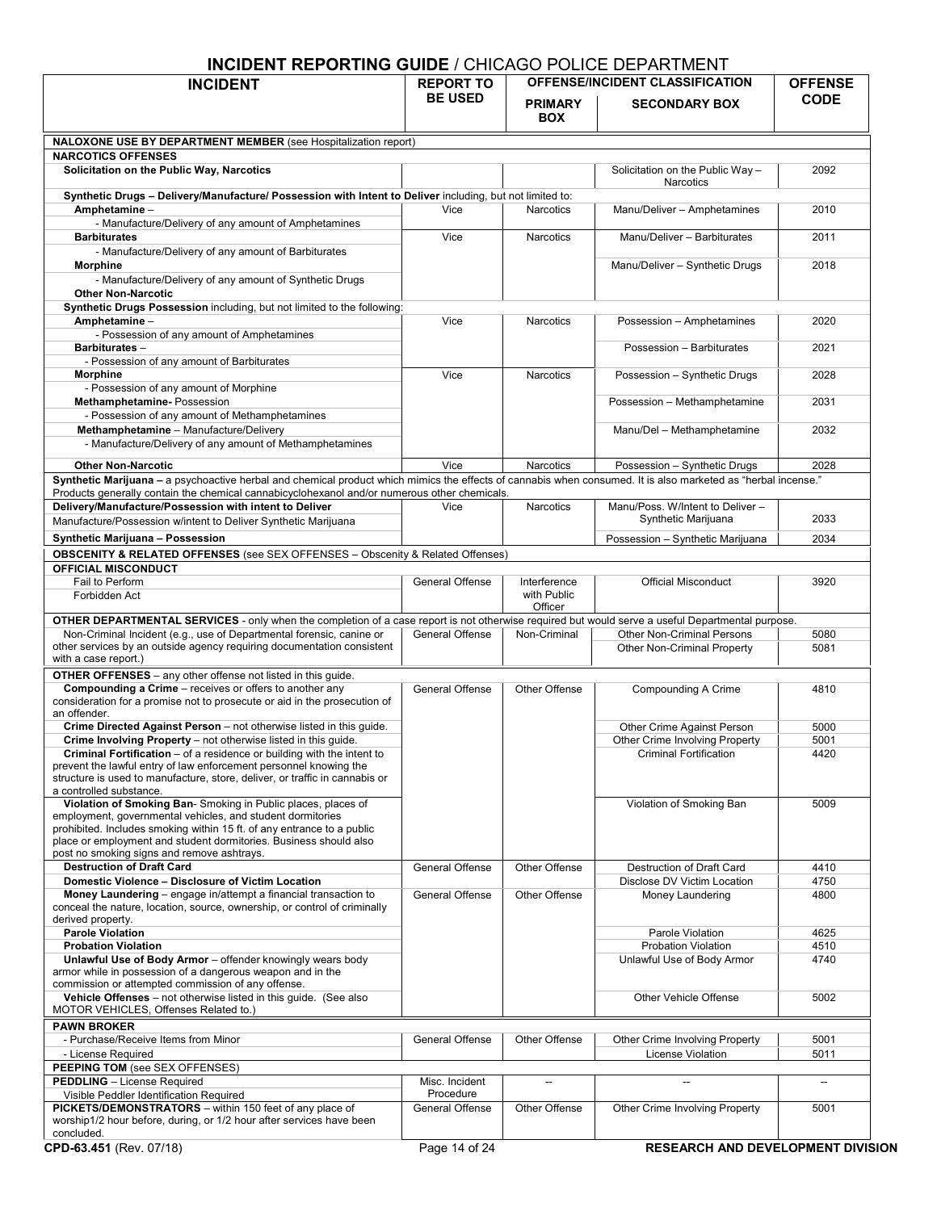| <u>INVIDENT NEFUNTING GUIDE / CHICACO I OLICE DEI ANTIVIENT</u>                                                                                               |                                    |                              | OFFENSE/INCIDENT CLASSIFICATION                                 |                               |  |
|---------------------------------------------------------------------------------------------------------------------------------------------------------------|------------------------------------|------------------------------|-----------------------------------------------------------------|-------------------------------|--|
| <b>INCIDENT</b>                                                                                                                                               | <b>REPORT TO</b><br><b>BE USED</b> | <b>PRIMARY</b><br><b>BOX</b> | <b>SECONDARY BOX</b>                                            | <b>OFFENSE</b><br><b>CODE</b> |  |
| <b>NALOXONE USE BY DEPARTMENT MEMBER</b> (see Hospitalization report)                                                                                         |                                    |                              |                                                                 |                               |  |
| <b>NARCOTICS OFFENSES</b>                                                                                                                                     |                                    |                              |                                                                 |                               |  |
| Solicitation on the Public Way, Narcotics                                                                                                                     |                                    |                              | Solicitation on the Public Way-<br><b>Narcotics</b>             | 2092                          |  |
| Synthetic Drugs - Delivery/Manufacture/ Possession with Intent to Deliver including, but not limited to:                                                      |                                    |                              |                                                                 |                               |  |
| Amphetamine -                                                                                                                                                 | Vice                               | Narcotics                    | Manu/Deliver - Amphetamines                                     | 2010                          |  |
| - Manufacture/Delivery of any amount of Amphetamines                                                                                                          |                                    |                              |                                                                 |                               |  |
| <b>Barbiturates</b><br>- Manufacture/Delivery of any amount of Barbiturates                                                                                   | Vice                               | <b>Narcotics</b>             | Manu/Deliver - Barbiturates                                     | 2011                          |  |
| <b>Morphine</b>                                                                                                                                               |                                    |                              | Manu/Deliver - Synthetic Drugs                                  | 2018                          |  |
| - Manufacture/Delivery of any amount of Synthetic Drugs                                                                                                       |                                    |                              |                                                                 |                               |  |
| <b>Other Non-Narcotic</b>                                                                                                                                     |                                    |                              |                                                                 |                               |  |
| Synthetic Drugs Possession including, but not limited to the following:<br>Amphetamine-                                                                       | Vice                               | Narcotics                    | Possession - Amphetamines                                       | 2020                          |  |
| - Possession of any amount of Amphetamines                                                                                                                    |                                    |                              |                                                                 |                               |  |
| <b>Barbiturates-</b>                                                                                                                                          |                                    |                              | Possession - Barbiturates                                       | 2021                          |  |
| - Possession of any amount of Barbiturates                                                                                                                    |                                    |                              |                                                                 |                               |  |
| <b>Morphine</b>                                                                                                                                               | Vice                               | Narcotics                    | Possession - Synthetic Drugs                                    | 2028                          |  |
| - Possession of any amount of Morphine<br>Methamphetamine-Possession                                                                                          |                                    |                              | Possession - Methamphetamine                                    | 2031                          |  |
| - Possession of any amount of Methamphetamines                                                                                                                |                                    |                              |                                                                 |                               |  |
| Methamphetamine - Manufacture/Delivery                                                                                                                        |                                    |                              | Manu/Del - Methamphetamine                                      | 2032                          |  |
| - Manufacture/Delivery of any amount of Methamphetamines                                                                                                      |                                    |                              |                                                                 |                               |  |
| <b>Other Non-Narcotic</b>                                                                                                                                     | Vice                               | <b>Narcotics</b>             | Possession - Synthetic Drugs                                    | 2028                          |  |
| Synthetic Marijuana - a psychoactive herbal and chemical product which mimics the effects of cannabis when consumed. It is also marketed as "herbal incense." |                                    |                              |                                                                 |                               |  |
| Products generally contain the chemical cannabicyclohexanol and/or numerous other chemicals.                                                                  |                                    |                              |                                                                 |                               |  |
| Delivery/Manufacture/Possession with intent to Deliver                                                                                                        | Vice                               | Narcotics                    | Manu/Poss. W/Intent to Deliver -<br>Synthetic Marijuana         | 2033                          |  |
| Manufacture/Possession w/intent to Deliver Synthetic Marijuana                                                                                                |                                    |                              |                                                                 |                               |  |
| Synthetic Marijuana - Possession                                                                                                                              |                                    |                              | Possession - Synthetic Marijuana                                | 2034                          |  |
| <b>OBSCENITY &amp; RELATED OFFENSES</b> (see SEX OFFENSES - Obscenity & Related Offenses)<br><b>OFFICIAL MISCONDUCT</b>                                       |                                    |                              |                                                                 |                               |  |
| Fail to Perform                                                                                                                                               | General Offense                    | Interference                 | <b>Official Misconduct</b>                                      | 3920                          |  |
| Forbidden Act                                                                                                                                                 |                                    | with Public                  |                                                                 |                               |  |
| <b>OTHER DEPARTMENTAL SERVICES</b> - only when the completion of a case report is not otherwise required but would serve a useful Departmental purpose.       |                                    | Officer                      |                                                                 |                               |  |
| Non-Criminal Incident (e.g., use of Departmental forensic, canine or                                                                                          | General Offense                    | Non-Criminal                 | <b>Other Non-Criminal Persons</b>                               | 5080                          |  |
| other services by an outside agency requiring documentation consistent                                                                                        |                                    |                              | Other Non-Criminal Property                                     | 5081                          |  |
| with a case report.)                                                                                                                                          |                                    |                              |                                                                 |                               |  |
| <b>OTHER OFFENSES</b> - any other offense not listed in this guide.                                                                                           |                                    |                              |                                                                 |                               |  |
| Compounding a Crime – receives or offers to another any<br>consideration for a promise not to prosecute or aid in the prosecution of                          | General Offense                    | Other Offense                | Compounding A Crime                                             | 4810                          |  |
| an offender.                                                                                                                                                  |                                    |                              |                                                                 |                               |  |
| Crime Directed Against Person - not otherwise listed in this guide.                                                                                           |                                    |                              | Other Crime Against Person                                      | 5000                          |  |
| Crime Involving Property - not otherwise listed in this guide.<br>Criminal Fortification - of a residence or building with the intent to                      |                                    |                              | Other Crime Involving Property<br><b>Criminal Fortification</b> | 5001<br>4420                  |  |
| prevent the lawful entry of law enforcement personnel knowing the                                                                                             |                                    |                              |                                                                 |                               |  |
| structure is used to manufacture, store, deliver, or traffic in cannabis or                                                                                   |                                    |                              |                                                                 |                               |  |
| a controlled substance.<br>Violation of Smoking Ban-Smoking in Public places, places of                                                                       |                                    |                              | Violation of Smoking Ban                                        | 5009                          |  |
| employment, governmental vehicles, and student dormitories                                                                                                    |                                    |                              |                                                                 |                               |  |
| prohibited. Includes smoking within 15 ft. of any entrance to a public                                                                                        |                                    |                              |                                                                 |                               |  |
| place or employment and student dormitories. Business should also                                                                                             |                                    |                              |                                                                 |                               |  |
| post no smoking signs and remove ashtrays.<br><b>Destruction of Draft Card</b>                                                                                | <b>General Offense</b>             | Other Offense                | Destruction of Draft Card                                       | 4410                          |  |
| Domestic Violence - Disclosure of Victim Location                                                                                                             |                                    |                              | Disclose DV Victim Location                                     | 4750                          |  |
| Money Laundering - engage in/attempt a financial transaction to                                                                                               | General Offense                    | Other Offense                | Money Laundering                                                | 4800                          |  |
| conceal the nature, location, source, ownership, or control of criminally                                                                                     |                                    |                              |                                                                 |                               |  |
| derived property.<br><b>Parole Violation</b>                                                                                                                  |                                    |                              | Parole Violation                                                | 4625                          |  |
| <b>Probation Violation</b>                                                                                                                                    |                                    |                              | <b>Probation Violation</b>                                      | 4510                          |  |
| Unlawful Use of Body Armor - offender knowingly wears body                                                                                                    |                                    |                              | Unlawful Use of Body Armor                                      | 4740                          |  |
| armor while in possession of a dangerous weapon and in the<br>commission or attempted commission of any offense.                                              |                                    |                              |                                                                 |                               |  |
| Vehicle Offenses - not otherwise listed in this guide. (See also                                                                                              |                                    |                              | Other Vehicle Offense                                           | 5002                          |  |
| MOTOR VEHICLES, Offenses Related to.)                                                                                                                         |                                    |                              |                                                                 |                               |  |
| <b>PAWN BROKER</b>                                                                                                                                            |                                    |                              |                                                                 |                               |  |
| - Purchase/Receive Items from Minor                                                                                                                           | <b>General Offense</b>             | Other Offense                | Other Crime Involving Property                                  | 5001                          |  |
| - License Required                                                                                                                                            |                                    |                              | License Violation                                               | 5011                          |  |
| <b>PEEPING TOM (see SEX OFFENSES)</b><br><b>PEDDLING</b> - License Required                                                                                   | Misc. Incident                     |                              |                                                                 |                               |  |
| Visible Peddler Identification Required                                                                                                                       | Procedure                          |                              |                                                                 |                               |  |
| PICKETS/DEMONSTRATORS - within 150 feet of any place of                                                                                                       | General Offense                    | Other Offense                | Other Crime Involving Property                                  | 5001                          |  |
| worship1/2 hour before, during, or 1/2 hour after services have been                                                                                          |                                    |                              |                                                                 |                               |  |
| concluded.                                                                                                                                                    |                                    |                              |                                                                 |                               |  |
| CPD-63.451 (Rev. 07/18)                                                                                                                                       | Page 14 of 24                      |                              | <b>RESEARCH AND DEVELOPMENT DIVISION</b>                        |                               |  |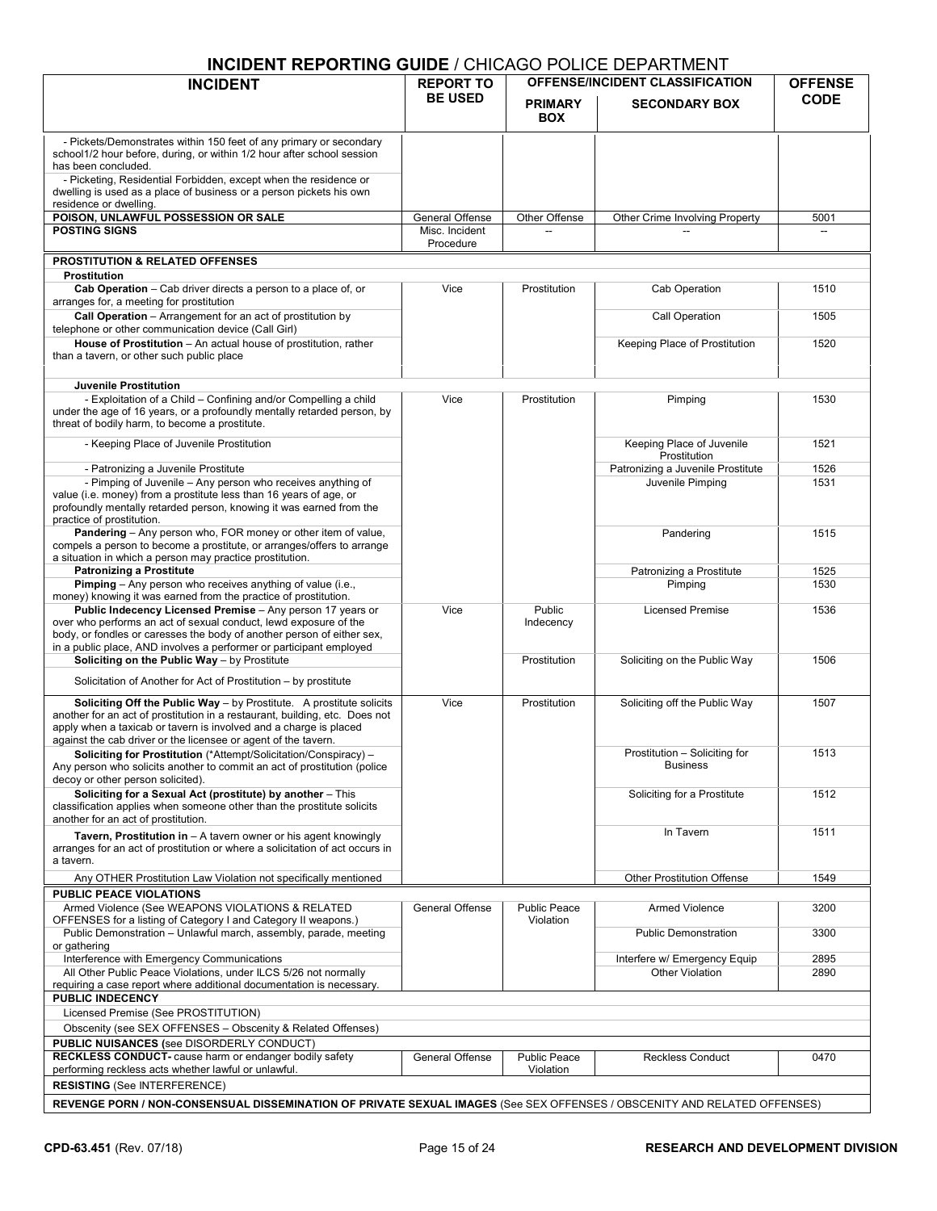| <b>INCIDENT</b>                                                                                                                                  | <b>REPORT TO</b>                  | <u>UL DLI / \I \I IVILI \I</u><br><b>OFFENSE/INCIDENT CLASSIFICATION</b> |                                                  |                               |  |
|--------------------------------------------------------------------------------------------------------------------------------------------------|-----------------------------------|--------------------------------------------------------------------------|--------------------------------------------------|-------------------------------|--|
|                                                                                                                                                  | <b>BE USED</b>                    | <b>PRIMARY</b>                                                           | <b>SECONDARY BOX</b>                             | <b>OFFENSE</b><br><b>CODE</b> |  |
|                                                                                                                                                  |                                   | <b>BOX</b>                                                               |                                                  |                               |  |
| - Pickets/Demonstrates within 150 feet of any primary or secondary                                                                               |                                   |                                                                          |                                                  |                               |  |
| school1/2 hour before, during, or within 1/2 hour after school session                                                                           |                                   |                                                                          |                                                  |                               |  |
| has been concluded.<br>- Picketing, Residential Forbidden, except when the residence or                                                          |                                   |                                                                          |                                                  |                               |  |
| dwelling is used as a place of business or a person pickets his own                                                                              |                                   |                                                                          |                                                  |                               |  |
| residence or dwelling.                                                                                                                           |                                   |                                                                          |                                                  |                               |  |
| POISON, UNLAWFUL POSSESSION OR SALE<br><b>POSTING SIGNS</b>                                                                                      | General Offense<br>Misc. Incident | Other Offense                                                            | Other Crime Involving Property                   | 5001                          |  |
|                                                                                                                                                  | Procedure                         |                                                                          |                                                  |                               |  |
| <b>PROSTITUTION &amp; RELATED OFFENSES</b>                                                                                                       |                                   |                                                                          |                                                  |                               |  |
| <b>Prostitution</b>                                                                                                                              |                                   |                                                                          |                                                  |                               |  |
| <b>Cab Operation</b> – Cab driver directs a person to a place of, or<br>arranges for, a meeting for prostitution                                 | Vice                              | Prostitution                                                             | Cab Operation                                    | 1510                          |  |
| <b>Call Operation</b> – Arrangement for an act of prostitution by<br>telephone or other communication device (Call Girl)                         |                                   |                                                                          | Call Operation                                   | 1505                          |  |
| House of Prostitution - An actual house of prostitution, rather<br>than a tavern, or other such public place                                     |                                   |                                                                          | Keeping Place of Prostitution                    | 1520                          |  |
|                                                                                                                                                  |                                   |                                                                          |                                                  |                               |  |
| Juvenile Prostitution                                                                                                                            |                                   |                                                                          |                                                  |                               |  |
| - Exploitation of a Child - Confining and/or Compelling a child                                                                                  | Vice                              | Prostitution                                                             | Pimping                                          | 1530                          |  |
| under the age of 16 years, or a profoundly mentally retarded person, by<br>threat of bodily harm, to become a prostitute.                        |                                   |                                                                          |                                                  |                               |  |
| - Keeping Place of Juvenile Prostitution                                                                                                         |                                   |                                                                          | Keeping Place of Juvenile                        | 1521                          |  |
|                                                                                                                                                  |                                   |                                                                          | Prostitution                                     |                               |  |
| - Patronizing a Juvenile Prostitute                                                                                                              |                                   |                                                                          | Patronizing a Juvenile Prostitute                | 1526                          |  |
| - Pimping of Juvenile - Any person who receives anything of<br>value (i.e. money) from a prostitute less than 16 years of age, or                |                                   |                                                                          | Juvenile Pimping                                 | 1531                          |  |
| profoundly mentally retarded person, knowing it was earned from the                                                                              |                                   |                                                                          |                                                  |                               |  |
| practice of prostitution.<br>Pandering - Any person who, FOR money or other item of value,                                                       |                                   |                                                                          | Pandering                                        | 1515                          |  |
| compels a person to become a prostitute, or arranges/offers to arrange                                                                           |                                   |                                                                          |                                                  |                               |  |
| a situation in which a person may practice prostitution.                                                                                         |                                   |                                                                          |                                                  |                               |  |
| <b>Patronizing a Prostitute</b><br>Pimping - Any person who receives anything of value (i.e.,                                                    |                                   |                                                                          | Patronizing a Prostitute<br>Pimping              | 1525<br>1530                  |  |
| money) knowing it was earned from the practice of prostitution.                                                                                  |                                   |                                                                          |                                                  |                               |  |
| Public Indecency Licensed Premise - Any person 17 years or<br>over who performs an act of sexual conduct, lewd exposure of the                   | Vice                              | Public                                                                   | <b>Licensed Premise</b>                          | 1536                          |  |
| body, or fondles or caresses the body of another person of either sex,                                                                           |                                   | Indecency                                                                |                                                  |                               |  |
| in a public place, AND involves a performer or participant employed                                                                              |                                   |                                                                          |                                                  |                               |  |
| Soliciting on the Public Way - by Prostitute                                                                                                     |                                   | Prostitution                                                             | Soliciting on the Public Way                     | 1506                          |  |
| Solicitation of Another for Act of Prostitution – by prostitute                                                                                  |                                   |                                                                          |                                                  |                               |  |
| <b>Soliciting Off the Public Way</b> - by Prostitute. A prostitute solicits                                                                      | Vice                              | Prostitution                                                             | Soliciting off the Public Way                    | 1507                          |  |
| another for an act of prostitution in a restaurant, building, etc. Does not<br>apply when a taxicab or tavern is involved and a charge is placed |                                   |                                                                          |                                                  |                               |  |
| against the cab driver or the licensee or agent of the tavern.                                                                                   |                                   |                                                                          |                                                  |                               |  |
| Soliciting for Prostitution (*Attempt/Solicitation/Conspiracy) -                                                                                 |                                   |                                                                          | Prostitution - Soliciting for<br><b>Business</b> | 1513                          |  |
| Any person who solicits another to commit an act of prostitution (police<br>decoy or other person solicited).                                    |                                   |                                                                          |                                                  |                               |  |
| Soliciting for a Sexual Act (prostitute) by another - This                                                                                       |                                   |                                                                          | Soliciting for a Prostitute                      | 1512                          |  |
| classification applies when someone other than the prostitute solicits<br>another for an act of prostitution.                                    |                                   |                                                                          |                                                  |                               |  |
| <b>Tavern, Prostitution in</b> $-$ A tavern owner or his agent knowingly                                                                         |                                   |                                                                          | In Tavern                                        | 1511                          |  |
| arranges for an act of prostitution or where a solicitation of act occurs in                                                                     |                                   |                                                                          |                                                  |                               |  |
| a tavern.                                                                                                                                        |                                   |                                                                          |                                                  |                               |  |
| Any OTHER Prostitution Law Violation not specifically mentioned<br><b>PUBLIC PEACE VIOLATIONS</b>                                                |                                   |                                                                          | <b>Other Prostitution Offense</b>                | 1549                          |  |
| Armed Violence (See WEAPONS VIOLATIONS & RELATED                                                                                                 | General Offense                   | <b>Public Peace</b>                                                      | <b>Armed Violence</b>                            | 3200                          |  |
| OFFENSES for a listing of Category I and Category II weapons.)                                                                                   |                                   | Violation                                                                |                                                  |                               |  |
| Public Demonstration - Unlawful march, assembly, parade, meeting<br>or gathering                                                                 |                                   |                                                                          | <b>Public Demonstration</b>                      | 3300                          |  |
| Interference with Emergency Communications                                                                                                       |                                   |                                                                          | Interfere w/ Emergency Equip                     | 2895                          |  |
| All Other Public Peace Violations, under ILCS 5/26 not normally                                                                                  |                                   |                                                                          | <b>Other Violation</b>                           | 2890                          |  |
| requiring a case report where additional documentation is necessary.<br><b>PUBLIC INDECENCY</b>                                                  |                                   |                                                                          |                                                  |                               |  |
| Licensed Premise (See PROSTITUTION)                                                                                                              |                                   |                                                                          |                                                  |                               |  |
| Obscenity (see SEX OFFENSES - Obscenity & Related Offenses)                                                                                      |                                   |                                                                          |                                                  |                               |  |
| <b>PUBLIC NUISANCES (see DISORDERLY CONDUCT)</b>                                                                                                 |                                   |                                                                          |                                                  |                               |  |
| <b>RECKLESS CONDUCT-</b> cause harm or endanger bodily safety<br>performing reckless acts whether lawful or unlawful.                            | General Offense                   | <b>Public Peace</b><br>Violation                                         | <b>Reckless Conduct</b>                          | 0470                          |  |
| <b>RESISTING (See INTERFERENCE)</b>                                                                                                              |                                   |                                                                          |                                                  |                               |  |
| REVENGE PORN / NON-CONSENSUAL DISSEMINATION OF PRIVATE SEXUAL IMAGES (See SEX OFFENSES / OBSCENITY AND RELATED OFFENSES)                         |                                   |                                                                          |                                                  |                               |  |
|                                                                                                                                                  |                                   |                                                                          |                                                  |                               |  |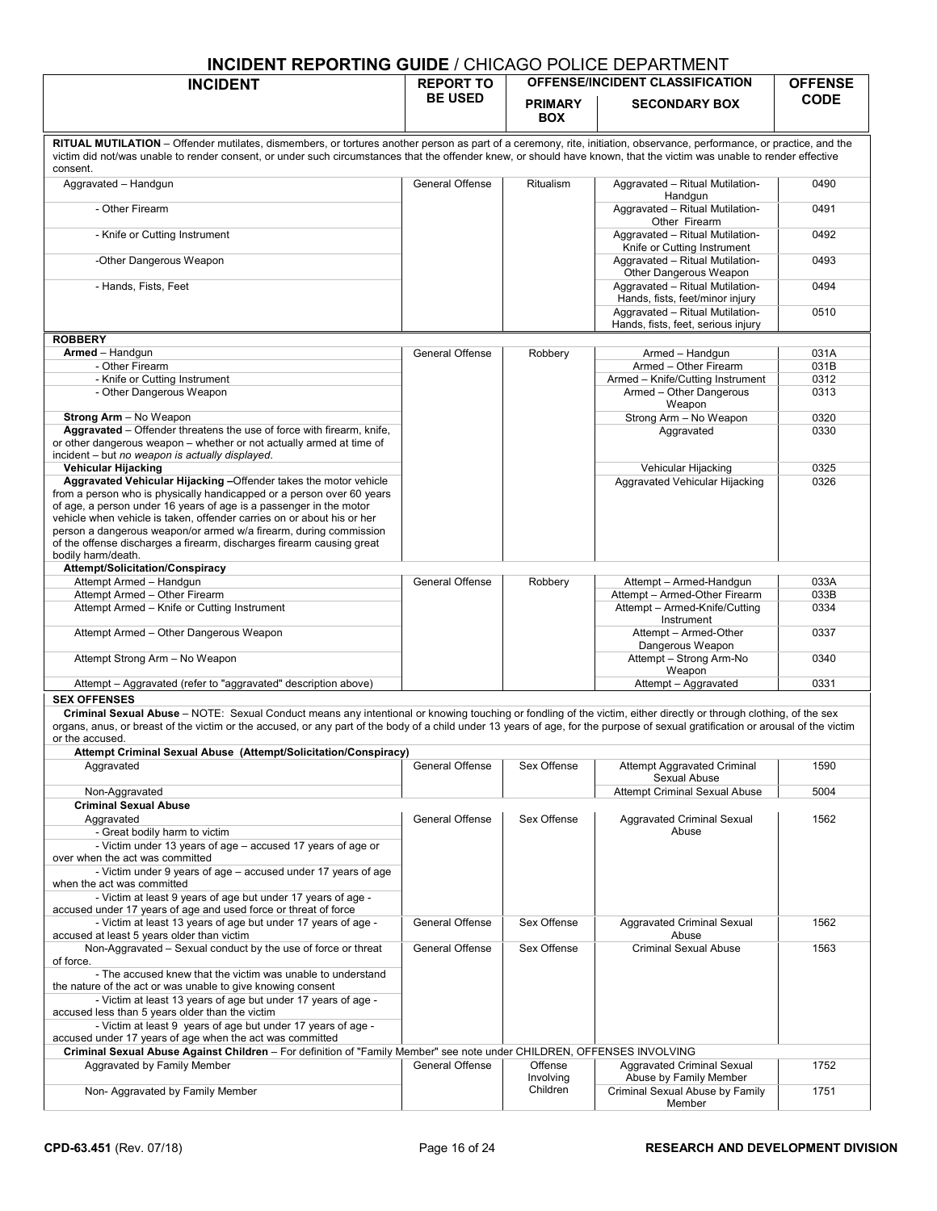#### **INCIDENT REPORTING GUIDE** / CHICAGO POLICE DEPARTMENT **INCIDENT REPORT TO BE USED OFFENSE/INCIDENT CLASSIFICATION OFFENSE PRIMARY CODE SECONDARY BOX BOX RITUAL MUTILATION** – Offender mutilates, dismembers, or tortures another person as part of a ceremony, rite, initiation, observance, performance, or practice, and the victim did not/was unable to render consent, or under such circumstances that the offender knew, or should have known, that the victim was unable to render effective consent. Aggravated – Handgun **General Offense | Ritualism | Aggravated – Ritual Mutilation-Handgun** 0490 - Other Firearm **Aggravated – Ritual Mutilation-** Aggravated – Ritual Mutilation-Other Firearm 0491 - Knife or Cutting Instrument **Aggravated – Ritual Mutilation-**Knife or Cutting Instrument 0492 -Other Dangerous Weapon **Aggravated – Ritual Mutilation-**Other Dangerous Weapon 0493 - Hands, Fists, Feet Aggravated – Ritual Mutilation-Hands, fists, feet/minor injury 0494 Aggravated – Ritual Mutilation-Hands, fists, feet, serious injury 0510 **ROBBERY Armed** – Handgun **Armed – Handgun Armed – Handgun Armed – Handgun III (1916) (1918) Armed – Handgun II (1918) (19** - Other Firearm 1991 - Other Firearm 1991 - Other Firearm 1991 - Armed – Other Firearm 1991 - Other Firearm 1991 - Other Firearm 1991 - Other Firearm 1991 - Other Firearm 1991 - Other Firearm 1991 - Other Firearm 1991 - Ot Armed – Knife/Cutting Instrument<br>Armed – Other Dangerous - Other Dangerous Weapon Weapon 0313 **Strong Arm – No Weapon** 0320 **Aggravated** – Offender threatens the use of force with firearm, knife, or other dangerous weapon – whether or not actually armed at time of incident – but *no weapon is actually displayed*. Aggravated 0330 **Vehicular Hijacking** Vehicular Hijacking 0325 **Aggravated Vehicular Hijacking –**Offender takes the motor vehicle from a person who is physically handicapped or a person over 60 years of age, a person under 16 years of age is a passenger in the motor vehicle when vehicle is taken, offender carries on or about his or her person a dangerous weapon/or armed w/a firearm, during commission of the offense discharges a firearm, discharges firearm causing great bodily harm/death. Aggravated Vehicular Hijacking **Attempt/Solicitation/Conspiracy**  General Offense Robbery Attempt – Armed-Handgun 033A<br>Attempt – Armed-Other Firearm 033B Attempt Armed – Other Firearm (Attempt – Armed-Other Firearm ) and Attempt – Armed-Other Firearm (Attempt – Armed-Other Firearm ) and Attempt – Armed-Other Firearm (Attempt – Armed-Other Firearm ) and Attempt – Armed-Other Attempt Armed – Knife or Cutting Instrument Instrument<br>Attempt – Armed-Other 0334 Attempt Armed – Other Dangerous Weapon Dangerous Weapon<br>Attempt – Strong Arm-No 0337 Attempt Strong Arm – No Weapon Weapon 0340 Attempt – Aggravated (refer to "aggravated" description above) and a control of the Aggravated CO331 **SEX OFFENSES Criminal Sexual Abuse** – NOTE: Sexual Conduct means any intentional or knowing touching or fondling of the victim, either directly or through clothing, of the sex organs, anus, or breast of the victim or the accused, or any part of the body of a child under 13 years of age, for the purpose of sexual gratification or arousal of the victim or the accused. **Attempt Criminal Sexual Abuse (Attempt/Solicitation/Conspiracy)**  Aggravated **General Offense** Sex Offense Attempt Aggravated Criminal Aggravated Criminal Sexual Abuse 1590 Non-Aggravated 5004 and 5004 and 5004 and 5004 and 5004 and 5004 and 5004 and 5004 and 5004 and 5004 and 5004 and 5004 and 5004 and 5004 and 5004 and 5004 and 5004 and 5004 and 5004 and 5004 and 5004 and 5004 and 5004 and **Criminal Sexual Abuse** Aggravated **Aggravated** Criminal Sexual General Offense Sex Offense Aggravated Criminal Sexual Abuse 1562 - Great bodily harm to victim - Victim under 13 years of age – accused 17 years of age or over when the act was committed - Victim under 9 years of age – accused under 17 years of age when the act was committed - Victim at least 9 years of age but under 17 years of age accused under 17 years of age and used force or threat of force - Victim at least 13 years of age but under 17 years of age accused at least 5 years older than victim General Offense Sex Offense Aggravated Criminal Sexual Abuse 1562 Non-Aggravated – Sexual conduct by the use of force or threat of force. General Offense Sex Offense Criminal Sexual Abuse 1563 - The accused knew that the victim was unable to understand the nature of the act or was unable to give knowing consent - Victim at least 13 years of age but under 17 years of age accused less than 5 years older than the victim - Victim at least 9 years of age but under 17 years of age accused under 17 years of age when the act was committed **Criminal Sexual Abuse Against Children** – For definition of "Family Member" see note under CHILDREN, OFFENSES INVOLVING Aggravated by Family Member Involving Children Aggravated Criminal Sexual Abuse by Family Member<br>Criminal Sexual Abuse by Family 1752 Non- Aggravated by Family Member Member 1751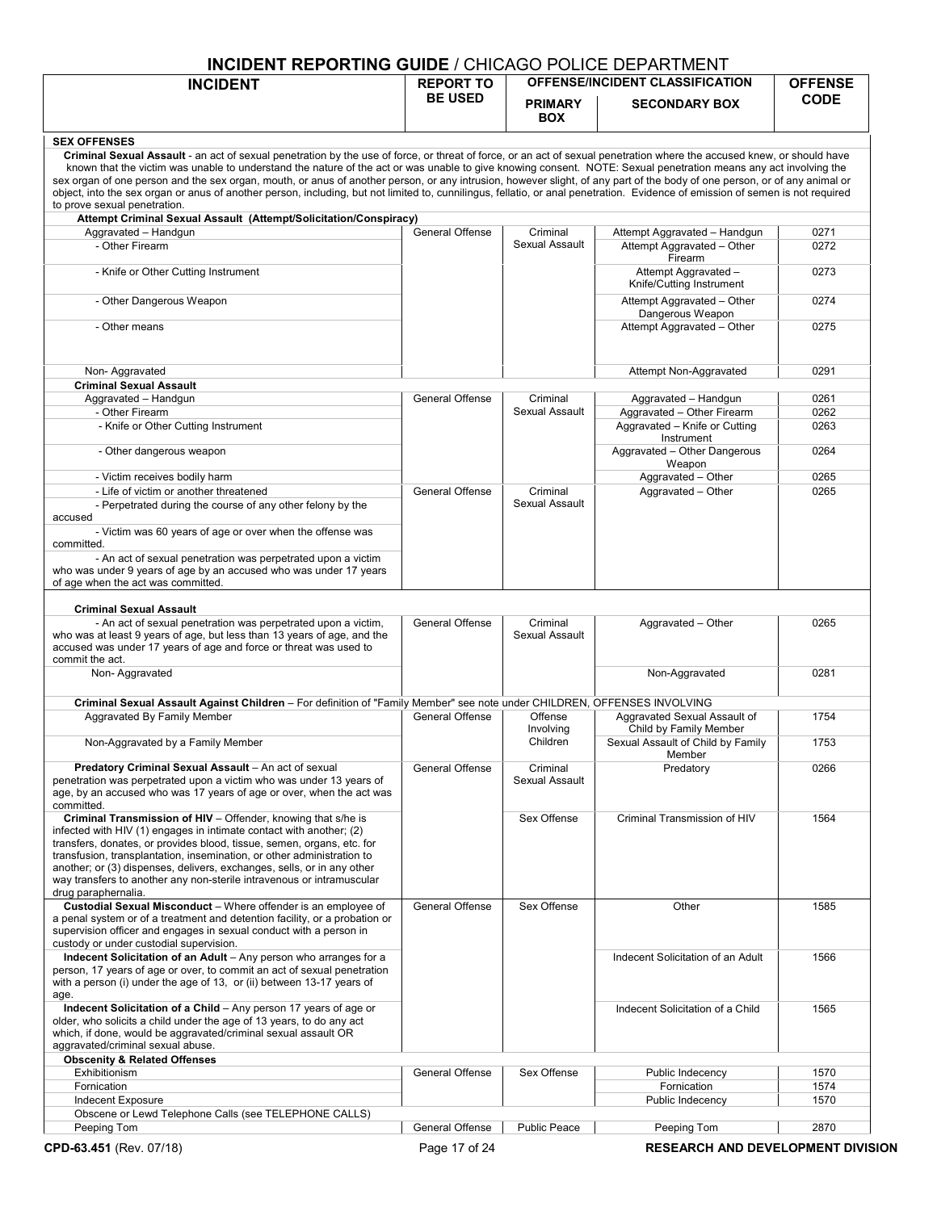| <b>INCIDENT REPORTING GUIDE / CHICAGO POLICE DEPARTMENT</b>                                                                                                                                                                                                                                                                                                                                                                                                                                                                                                                                                                                                                                                                                                      |                                    |                            |                                                                              |                               |
|------------------------------------------------------------------------------------------------------------------------------------------------------------------------------------------------------------------------------------------------------------------------------------------------------------------------------------------------------------------------------------------------------------------------------------------------------------------------------------------------------------------------------------------------------------------------------------------------------------------------------------------------------------------------------------------------------------------------------------------------------------------|------------------------------------|----------------------------|------------------------------------------------------------------------------|-------------------------------|
| <b>INCIDENT</b>                                                                                                                                                                                                                                                                                                                                                                                                                                                                                                                                                                                                                                                                                                                                                  | <b>REPORT TO</b><br><b>BE USED</b> | <b>PRIMARY</b>             | <b>OFFENSE/INCIDENT CLASSIFICATION</b><br><b>SECONDARY BOX</b>               | <b>OFFENSE</b><br><b>CODE</b> |
|                                                                                                                                                                                                                                                                                                                                                                                                                                                                                                                                                                                                                                                                                                                                                                  |                                    | <b>BOX</b>                 |                                                                              |                               |
| <b>SEX OFFENSES</b><br>Criminal Sexual Assault - an act of sexual penetration by the use of force, or threat of force, or an act of sexual penetration where the accused knew, or should have<br>known that the victim was unable to understand the nature of the act or was unable to give knowing consent. NOTE: Sexual penetration means any act involving the<br>sex organ of one person and the sex organ, mouth, or anus of another person, or any intrusion, however slight, of any part of the body of one person, or of any animal or<br>object, into the sex organ or anus of another person, including, but not limited to, cunnilingus, fellatio, or anal penetration. Evidence of emission of semen is not required<br>to prove sexual penetration. |                                    |                            |                                                                              |                               |
| Attempt Criminal Sexual Assault (Attempt/Solicitation/Conspiracy)                                                                                                                                                                                                                                                                                                                                                                                                                                                                                                                                                                                                                                                                                                |                                    |                            |                                                                              |                               |
| Aggravated - Handgun                                                                                                                                                                                                                                                                                                                                                                                                                                                                                                                                                                                                                                                                                                                                             | General Offense                    | Criminal                   | Attempt Aggravated - Handgun                                                 | 0271                          |
| - Other Firearm                                                                                                                                                                                                                                                                                                                                                                                                                                                                                                                                                                                                                                                                                                                                                  |                                    | Sexual Assault             | Attempt Aggravated - Other<br>Firearm                                        | 0272                          |
| - Knife or Other Cutting Instrument                                                                                                                                                                                                                                                                                                                                                                                                                                                                                                                                                                                                                                                                                                                              |                                    |                            | Attempt Aggravated -<br>Knife/Cutting Instrument                             | 0273                          |
| - Other Dangerous Weapon<br>- Other means                                                                                                                                                                                                                                                                                                                                                                                                                                                                                                                                                                                                                                                                                                                        |                                    |                            | Attempt Aggravated - Other<br>Dangerous Weapon<br>Attempt Aggravated - Other | 0274<br>0275                  |
|                                                                                                                                                                                                                                                                                                                                                                                                                                                                                                                                                                                                                                                                                                                                                                  |                                    |                            |                                                                              |                               |
| Non-Aggravated                                                                                                                                                                                                                                                                                                                                                                                                                                                                                                                                                                                                                                                                                                                                                   |                                    |                            | Attempt Non-Aggravated                                                       | 0291                          |
| <b>Criminal Sexual Assault</b>                                                                                                                                                                                                                                                                                                                                                                                                                                                                                                                                                                                                                                                                                                                                   |                                    |                            |                                                                              |                               |
| Aggravated - Handgun                                                                                                                                                                                                                                                                                                                                                                                                                                                                                                                                                                                                                                                                                                                                             | General Offense                    | Criminal                   | Aggravated - Handgun                                                         | 0261                          |
| - Other Firearm                                                                                                                                                                                                                                                                                                                                                                                                                                                                                                                                                                                                                                                                                                                                                  |                                    | Sexual Assault             | Aggravated - Other Firearm                                                   | 0262                          |
| - Knife or Other Cutting Instrument<br>- Other dangerous weapon                                                                                                                                                                                                                                                                                                                                                                                                                                                                                                                                                                                                                                                                                                  |                                    |                            | Aggravated - Knife or Cutting<br>Instrument<br>Aggravated - Other Dangerous  | 0263<br>0264                  |
|                                                                                                                                                                                                                                                                                                                                                                                                                                                                                                                                                                                                                                                                                                                                                                  |                                    |                            | Weapon                                                                       |                               |
| - Victim receives bodily harm                                                                                                                                                                                                                                                                                                                                                                                                                                                                                                                                                                                                                                                                                                                                    |                                    |                            | Aggravated - Other                                                           | 0265                          |
| - Life of victim or another threatened<br>- Perpetrated during the course of any other felony by the<br>accused                                                                                                                                                                                                                                                                                                                                                                                                                                                                                                                                                                                                                                                  | General Offense                    | Criminal<br>Sexual Assault | Aggravated - Other                                                           | 0265                          |
| - Victim was 60 years of age or over when the offense was<br>committed.                                                                                                                                                                                                                                                                                                                                                                                                                                                                                                                                                                                                                                                                                          |                                    |                            |                                                                              |                               |
| - An act of sexual penetration was perpetrated upon a victim<br>who was under 9 years of age by an accused who was under 17 years<br>of age when the act was committed.                                                                                                                                                                                                                                                                                                                                                                                                                                                                                                                                                                                          |                                    |                            |                                                                              |                               |
| <b>Criminal Sexual Assault</b>                                                                                                                                                                                                                                                                                                                                                                                                                                                                                                                                                                                                                                                                                                                                   |                                    |                            |                                                                              |                               |
| - An act of sexual penetration was perpetrated upon a victim,<br>who was at least 9 years of age, but less than 13 years of age, and the<br>accused was under 17 years of age and force or threat was used to<br>commit the act.                                                                                                                                                                                                                                                                                                                                                                                                                                                                                                                                 | General Offense                    | Criminal<br>Sexual Assault | Aggravated - Other                                                           | 0265                          |
| Non-Aggravated                                                                                                                                                                                                                                                                                                                                                                                                                                                                                                                                                                                                                                                                                                                                                   |                                    |                            | Non-Aggravated                                                               | 0281                          |
| Criminal Sexual Assault Against Children - For definition of "Family Member" see note under CHILDREN, OFFENSES INVOLVING                                                                                                                                                                                                                                                                                                                                                                                                                                                                                                                                                                                                                                         |                                    |                            |                                                                              |                               |
| Aggravated By Family Member                                                                                                                                                                                                                                                                                                                                                                                                                                                                                                                                                                                                                                                                                                                                      | General Offense                    | Offense                    | Aggravated Sexual Assault of                                                 | 1754                          |
|                                                                                                                                                                                                                                                                                                                                                                                                                                                                                                                                                                                                                                                                                                                                                                  |                                    | Involving<br>Children      | Child by Family Member                                                       | 1753                          |
| Non-Aggravated by a Family Member                                                                                                                                                                                                                                                                                                                                                                                                                                                                                                                                                                                                                                                                                                                                |                                    |                            | Sexual Assault of Child by Family<br>Member                                  |                               |
| Predatory Criminal Sexual Assault - An act of sexual<br>penetration was perpetrated upon a victim who was under 13 years of<br>age, by an accused who was 17 years of age or over, when the act was<br>committed.                                                                                                                                                                                                                                                                                                                                                                                                                                                                                                                                                | <b>General Offense</b>             | Criminal<br>Sexual Assault | Predatory                                                                    | 0266                          |
| Criminal Transmission of HIV - Offender, knowing that s/he is<br>infected with HIV (1) engages in intimate contact with another; (2)<br>transfers, donates, or provides blood, tissue, semen, organs, etc. for<br>transfusion, transplantation, insemination, or other administration to<br>another; or (3) dispenses, delivers, exchanges, sells, or in any other<br>way transfers to another any non-sterile intravenous or intramuscular<br>drug paraphernalia.                                                                                                                                                                                                                                                                                               |                                    | Sex Offense                | Criminal Transmission of HIV                                                 | 1564                          |
| Custodial Sexual Misconduct - Where offender is an employee of<br>a penal system or of a treatment and detention facility, or a probation or<br>supervision officer and engages in sexual conduct with a person in<br>custody or under custodial supervision.                                                                                                                                                                                                                                                                                                                                                                                                                                                                                                    | General Offense                    | Sex Offense                | Other                                                                        | 1585                          |
| Indecent Solicitation of an Adult - Any person who arranges for a<br>person, 17 years of age or over, to commit an act of sexual penetration<br>with a person (i) under the age of 13, or (ii) between 13-17 years of<br>age.                                                                                                                                                                                                                                                                                                                                                                                                                                                                                                                                    |                                    |                            | Indecent Solicitation of an Adult                                            | 1566                          |
| Indecent Solicitation of a Child - Any person 17 years of age or<br>older, who solicits a child under the age of 13 years, to do any act<br>which, if done, would be aggravated/criminal sexual assault OR<br>aggravated/criminal sexual abuse.                                                                                                                                                                                                                                                                                                                                                                                                                                                                                                                  |                                    |                            | Indecent Solicitation of a Child                                             | 1565                          |
| <b>Obscenity &amp; Related Offenses</b>                                                                                                                                                                                                                                                                                                                                                                                                                                                                                                                                                                                                                                                                                                                          |                                    |                            |                                                                              |                               |
| Exhibitionism                                                                                                                                                                                                                                                                                                                                                                                                                                                                                                                                                                                                                                                                                                                                                    | General Offense                    | Sex Offense                | Public Indecency                                                             | 1570                          |
| Fornication<br>Indecent Exposure                                                                                                                                                                                                                                                                                                                                                                                                                                                                                                                                                                                                                                                                                                                                 |                                    |                            | Fornication<br>Public Indecency                                              | 1574<br>1570                  |
| Obscene or Lewd Telephone Calls (see TELEPHONE CALLS)                                                                                                                                                                                                                                                                                                                                                                                                                                                                                                                                                                                                                                                                                                            |                                    |                            |                                                                              |                               |
| Peeping Tom                                                                                                                                                                                                                                                                                                                                                                                                                                                                                                                                                                                                                                                                                                                                                      | General Offense                    | <b>Public Peace</b>        | Peeping Tom                                                                  | 2870                          |
| CPD-63.451 (Rev. 07/18)                                                                                                                                                                                                                                                                                                                                                                                                                                                                                                                                                                                                                                                                                                                                          | Page 17 of 24                      |                            | <b>RESEARCH AND DEVELOPMENT DIVISION</b>                                     |                               |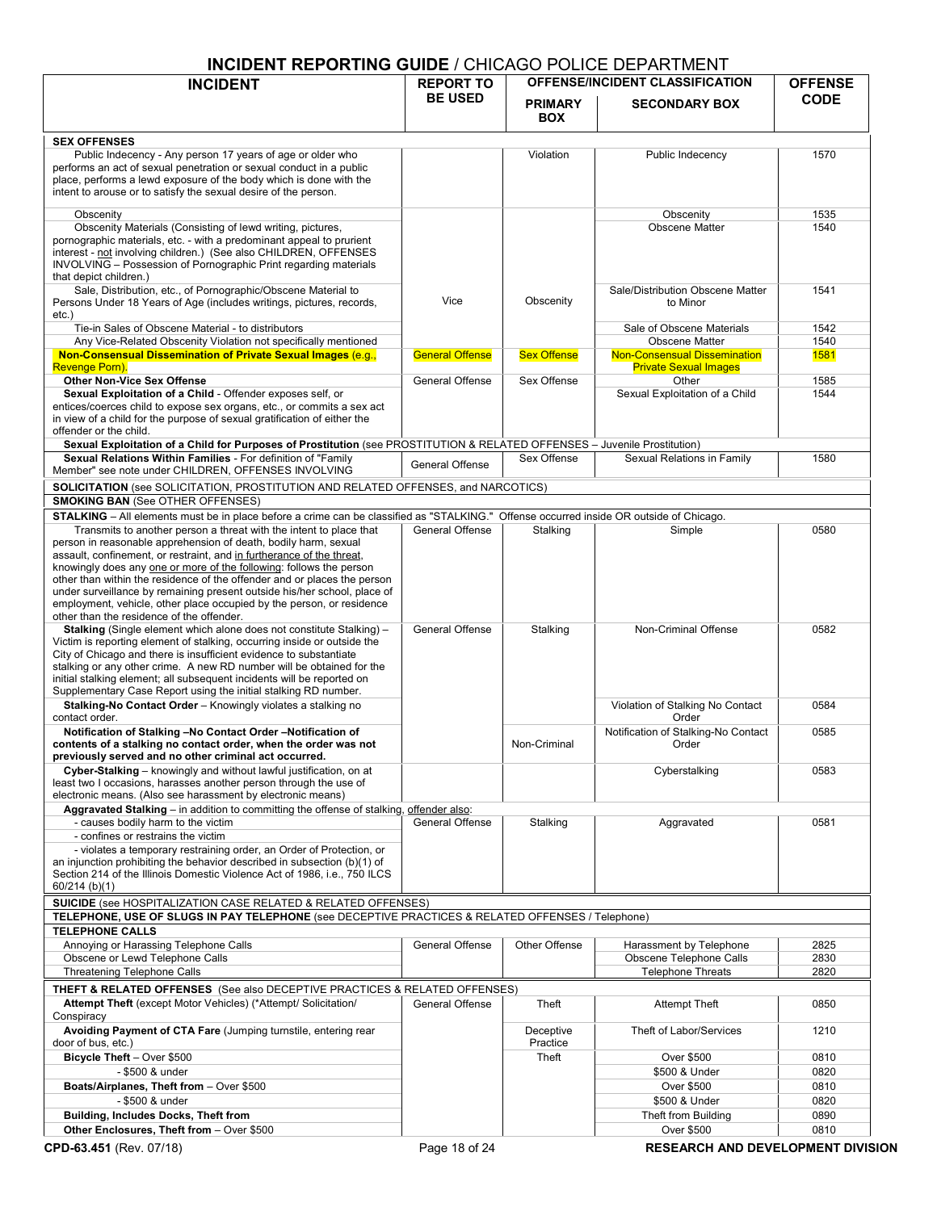|                                                                                                                                                                                                                                                                                                                                                                                                                                                                                                                                                                     |                        | <b>INCIDENT REPURTING GUIDE / CHICAGO FOLICE DEFARTIVIENT</b> |                                              |                |  |
|---------------------------------------------------------------------------------------------------------------------------------------------------------------------------------------------------------------------------------------------------------------------------------------------------------------------------------------------------------------------------------------------------------------------------------------------------------------------------------------------------------------------------------------------------------------------|------------------------|---------------------------------------------------------------|----------------------------------------------|----------------|--|
| <b>INCIDENT</b>                                                                                                                                                                                                                                                                                                                                                                                                                                                                                                                                                     | <b>REPORT TO</b>       |                                                               | <b>OFFENSE/INCIDENT CLASSIFICATION</b>       | <b>OFFENSE</b> |  |
|                                                                                                                                                                                                                                                                                                                                                                                                                                                                                                                                                                     | <b>BE USED</b>         | <b>PRIMARY</b><br><b>BOX</b>                                  | <b>SECONDARY BOX</b>                         | <b>CODE</b>    |  |
| <b>SEX OFFENSES</b>                                                                                                                                                                                                                                                                                                                                                                                                                                                                                                                                                 |                        |                                                               |                                              |                |  |
| Public Indecency - Any person 17 years of age or older who<br>performs an act of sexual penetration or sexual conduct in a public<br>place, performs a lewd exposure of the body which is done with the<br>intent to arouse or to satisfy the sexual desire of the person.                                                                                                                                                                                                                                                                                          |                        | Violation                                                     | Public Indecency                             | 1570           |  |
| Obscenity                                                                                                                                                                                                                                                                                                                                                                                                                                                                                                                                                           |                        |                                                               | Obscenity                                    | 1535           |  |
| Obscenity Materials (Consisting of lewd writing, pictures,<br>pornographic materials, etc. - with a predominant appeal to prurient<br>interest - not involving children.) (See also CHILDREN, OFFENSES<br>INVOLVING - Possession of Pornographic Print regarding materials<br>that depict children.)                                                                                                                                                                                                                                                                |                        |                                                               | <b>Obscene Matter</b>                        | 1540           |  |
| Sale, Distribution, etc., of Pornographic/Obscene Material to<br>Persons Under 18 Years of Age (includes writings, pictures, records,<br>$etc.$ )                                                                                                                                                                                                                                                                                                                                                                                                                   | Vice                   | Obscenity                                                     | Sale/Distribution Obscene Matter<br>to Minor | 1541           |  |
| Tie-in Sales of Obscene Material - to distributors                                                                                                                                                                                                                                                                                                                                                                                                                                                                                                                  |                        |                                                               | Sale of Obscene Materials                    | 1542           |  |
| Any Vice-Related Obscenity Violation not specifically mentioned                                                                                                                                                                                                                                                                                                                                                                                                                                                                                                     |                        |                                                               | Obscene Matter                               | 1540           |  |
| <b>Non-Consensual Dissemination of Private Sexual Images (e.g.,</b>                                                                                                                                                                                                                                                                                                                                                                                                                                                                                                 | <b>General Offense</b> | <b>Sex Offense</b>                                            | <b>Non-Consensual Dissemination</b>          | 1581           |  |
| Revenge Porn).<br><b>Other Non-Vice Sex Offense</b>                                                                                                                                                                                                                                                                                                                                                                                                                                                                                                                 | General Offense        | Sex Offense                                                   | <b>Private Sexual Images</b><br>Other        | 1585           |  |
| Sexual Exploitation of a Child - Offender exposes self, or<br>entices/coerces child to expose sex organs, etc., or commits a sex act<br>in view of a child for the purpose of sexual gratification of either the<br>offender or the child.                                                                                                                                                                                                                                                                                                                          |                        |                                                               | Sexual Exploitation of a Child               | 1544           |  |
| Sexual Exploitation of a Child for Purposes of Prostitution (see PROSTITUTION & RELATED OFFENSES - Juvenile Prostitution)                                                                                                                                                                                                                                                                                                                                                                                                                                           |                        |                                                               |                                              |                |  |
| Sexual Relations Within Families - For definition of "Family                                                                                                                                                                                                                                                                                                                                                                                                                                                                                                        | General Offense        | Sex Offense                                                   | Sexual Relations in Family                   | 1580           |  |
| Member" see note under CHILDREN, OFFENSES INVOLVING                                                                                                                                                                                                                                                                                                                                                                                                                                                                                                                 |                        |                                                               |                                              |                |  |
| <b>SOLICITATION</b> (see SOLICITATION, PROSTITUTION AND RELATED OFFENSES, and NARCOTICS)<br><b>SMOKING BAN (See OTHER OFFENSES)</b>                                                                                                                                                                                                                                                                                                                                                                                                                                 |                        |                                                               |                                              |                |  |
| STALKING - All elements must be in place before a crime can be classified as "STALKING." Offense occurred inside OR outside of Chicago.                                                                                                                                                                                                                                                                                                                                                                                                                             |                        |                                                               |                                              |                |  |
| Transmits to another person a threat with the intent to place that<br>person in reasonable apprehension of death, bodily harm, sexual<br>assault, confinement, or restraint, and in furtherance of the threat,<br>knowingly does any one or more of the following: follows the person<br>other than within the residence of the offender and or places the person<br>under surveillance by remaining present outside his/her school, place of<br>employment, vehicle, other place occupied by the person, or residence<br>other than the residence of the offender. | General Offense        | Stalking                                                      | Simple                                       | 0580           |  |
| <b>Stalking (Single element which alone does not constitute Stalking) -</b><br>Victim is reporting element of stalking, occurring inside or outside the<br>City of Chicago and there is insufficient evidence to substantiate<br>stalking or any other crime. A new RD number will be obtained for the<br>initial stalking element; all subsequent incidents will be reported on<br>Supplementary Case Report using the initial stalking RD number.                                                                                                                 | General Offense        | Stalking                                                      | Non-Criminal Offense                         | 0582           |  |
| Stalking-No Contact Order - Knowingly violates a stalking no<br>contact order.                                                                                                                                                                                                                                                                                                                                                                                                                                                                                      |                        |                                                               | Violation of Stalking No Contact<br>Order    | 0584           |  |
| Notification of Stalking -No Contact Order -Notification of<br>contents of a stalking no contact order, when the order was not<br>previously served and no other criminal act occurred.                                                                                                                                                                                                                                                                                                                                                                             |                        | Non-Criminal                                                  | Notification of Stalking-No Contact<br>Order | 0585           |  |
| Cyber-Stalking - knowingly and without lawful justification, on at<br>least two I occasions, harasses another person through the use of<br>electronic means. (Also see harassment by electronic means)                                                                                                                                                                                                                                                                                                                                                              |                        |                                                               | Cyberstalking                                | 0583           |  |
| Aggravated Stalking – in addition to committing the offense of stalking, offender also:                                                                                                                                                                                                                                                                                                                                                                                                                                                                             |                        |                                                               |                                              |                |  |
| - causes bodily harm to the victim<br>- confines or restrains the victim<br>- violates a temporary restraining order, an Order of Protection, or<br>an injunction prohibiting the behavior described in subsection (b)(1) of<br>Section 214 of the Illinois Domestic Violence Act of 1986, i.e., 750 ILCS<br>$60/214$ (b)(1)<br><b>SUICIDE</b> (see HOSPITALIZATION CASE RELATED & RELATED OFFENSES)                                                                                                                                                                | General Offense        | Stalking                                                      | Aggravated                                   | 0581           |  |
|                                                                                                                                                                                                                                                                                                                                                                                                                                                                                                                                                                     |                        |                                                               |                                              |                |  |
| TELEPHONE, USE OF SLUGS IN PAY TELEPHONE (see DECEPTIVE PRACTICES & RELATED OFFENSES / Telephone)<br><b>TELEPHONE CALLS</b>                                                                                                                                                                                                                                                                                                                                                                                                                                         |                        |                                                               |                                              |                |  |
| Annoying or Harassing Telephone Calls                                                                                                                                                                                                                                                                                                                                                                                                                                                                                                                               | General Offense        | <b>Other Offense</b>                                          | Harassment by Telephone                      | 2825           |  |
| Obscene or Lewd Telephone Calls                                                                                                                                                                                                                                                                                                                                                                                                                                                                                                                                     |                        |                                                               | Obscene Telephone Calls                      | 2830           |  |
| Threatening Telephone Calls                                                                                                                                                                                                                                                                                                                                                                                                                                                                                                                                         |                        |                                                               | <b>Telephone Threats</b>                     | 2820           |  |
| <b>THEFT &amp; RELATED OFFENSES</b> (See also DECEPTIVE PRACTICES & RELATED OFFENSES)                                                                                                                                                                                                                                                                                                                                                                                                                                                                               |                        |                                                               |                                              |                |  |
| Attempt Theft (except Motor Vehicles) (*Attempt/ Solicitation/<br>Conspiracy                                                                                                                                                                                                                                                                                                                                                                                                                                                                                        | General Offense        | Theft                                                         | <b>Attempt Theft</b>                         | 0850           |  |
| Avoiding Payment of CTA Fare (Jumping turnstile, entering rear<br>door of bus, etc.)                                                                                                                                                                                                                                                                                                                                                                                                                                                                                |                        | Deceptive<br>Practice                                         | Theft of Labor/Services                      | 1210           |  |
| Bicycle Theft - Over \$500                                                                                                                                                                                                                                                                                                                                                                                                                                                                                                                                          |                        | Theft                                                         | Over \$500                                   | 0810           |  |
| - \$500 & under                                                                                                                                                                                                                                                                                                                                                                                                                                                                                                                                                     |                        |                                                               | \$500 & Under                                | 0820           |  |
| Boats/Airplanes, Theft from - Over \$500                                                                                                                                                                                                                                                                                                                                                                                                                                                                                                                            |                        |                                                               | Over \$500                                   | 0810           |  |
| - \$500 & under                                                                                                                                                                                                                                                                                                                                                                                                                                                                                                                                                     |                        |                                                               | \$500 & Under                                | 0820           |  |
| <b>Building, Includes Docks, Theft from</b>                                                                                                                                                                                                                                                                                                                                                                                                                                                                                                                         |                        |                                                               | Theft from Building                          | 0890           |  |
| Other Enclosures, Theft from - Over \$500                                                                                                                                                                                                                                                                                                                                                                                                                                                                                                                           |                        |                                                               | Over \$500                                   | 0810           |  |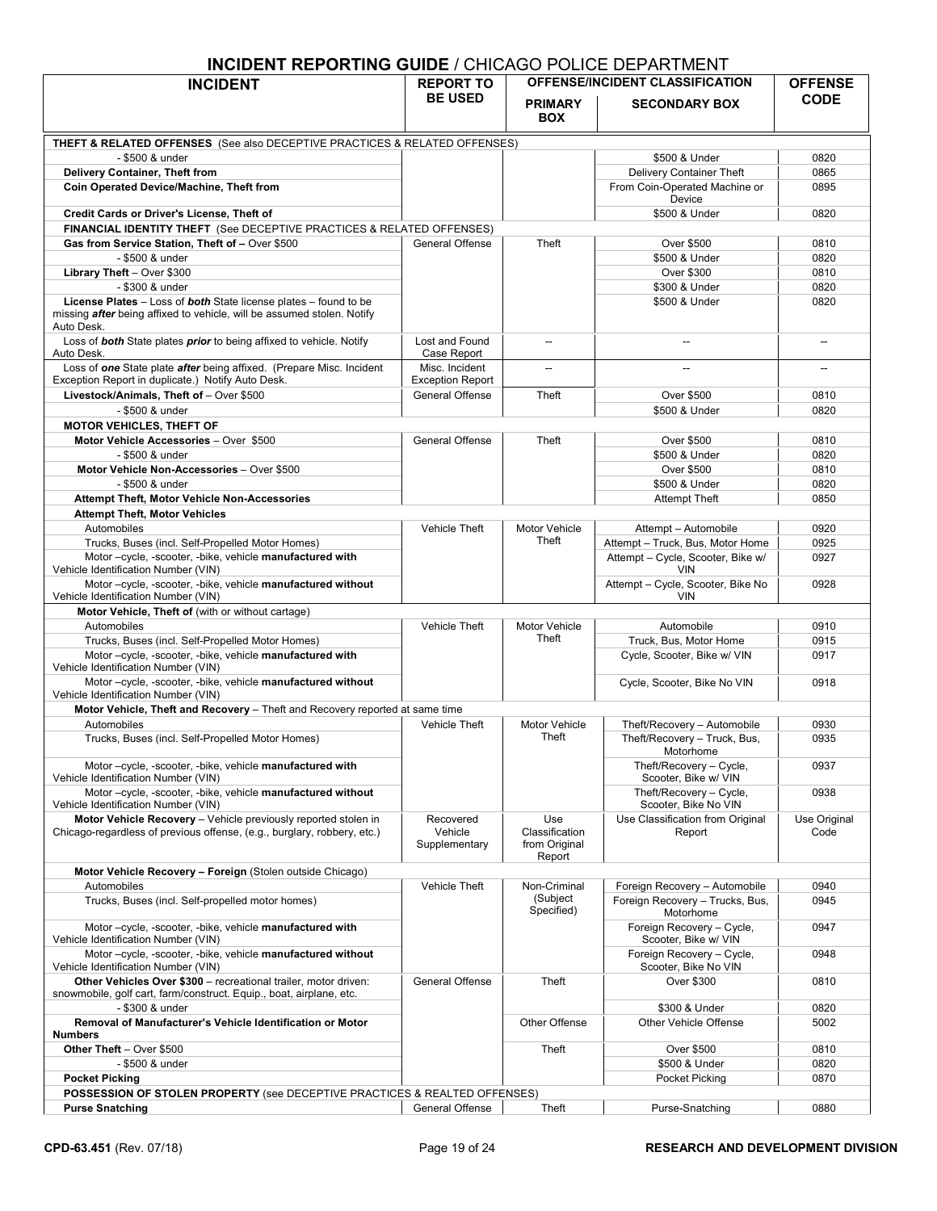| <b>INCIDENT REPORTING GUIDE / CHICAGO POLICE DEPARTMENT</b><br><b>OFFENSE/INCIDENT CLASSIFICATION</b><br><b>REPORT TO</b>                                       |                                           |                                                  |                                                                          |                               |
|-----------------------------------------------------------------------------------------------------------------------------------------------------------------|-------------------------------------------|--------------------------------------------------|--------------------------------------------------------------------------|-------------------------------|
| <b>INCIDENT</b>                                                                                                                                                 | <b>BE USED</b>                            |                                                  |                                                                          | <b>OFFENSE</b><br><b>CODE</b> |
|                                                                                                                                                                 |                                           | <b>PRIMARY</b><br><b>BOX</b>                     | <b>SECONDARY BOX</b>                                                     |                               |
| <b>THEFT &amp; RELATED OFFENSES</b> (See also DECEPTIVE PRACTICES & RELATED OFFENSES)                                                                           |                                           |                                                  |                                                                          |                               |
| - \$500 & under                                                                                                                                                 |                                           |                                                  | \$500 & Under                                                            | 0820                          |
| Delivery Container, Theft from                                                                                                                                  |                                           |                                                  | Delivery Container Theft                                                 | 0865                          |
| Coin Operated Device/Machine, Theft from                                                                                                                        |                                           |                                                  | From Coin-Operated Machine or                                            | 0895                          |
|                                                                                                                                                                 |                                           |                                                  | Device<br>\$500 & Under                                                  |                               |
| Credit Cards or Driver's License, Theft of<br><b>FINANCIAL IDENTITY THEFT</b> (See DECEPTIVE PRACTICES & RELATED OFFENSES)                                      |                                           |                                                  |                                                                          | 0820                          |
| Gas from Service Station, Theft of - Over \$500                                                                                                                 | General Offense                           | Theft                                            | Over \$500                                                               | 0810                          |
| - \$500 & under                                                                                                                                                 |                                           |                                                  | \$500 & Under                                                            | 0820                          |
| Library Theft - Over \$300                                                                                                                                      |                                           |                                                  | Over \$300                                                               | 0810                          |
| - \$300 & under                                                                                                                                                 |                                           |                                                  | \$300 & Under                                                            | 0820                          |
| License Plates - Loss of both State license plates - found to be<br>missing <i>after</i> being affixed to vehicle, will be assumed stolen. Notify<br>Auto Desk. |                                           |                                                  | \$500 & Under                                                            | 0820                          |
| Loss of <b>both</b> State plates <b>prior</b> to being affixed to vehicle. Notify<br>Auto Desk.                                                                 | Lost and Found<br>Case Report             | $\overline{a}$                                   |                                                                          | $\overline{\phantom{a}}$      |
| Loss of one State plate after being affixed. (Prepare Misc. Incident<br>Exception Report in duplicate.) Notify Auto Desk.                                       | Misc. Incident<br><b>Exception Report</b> | --                                               | --                                                                       | $\overline{\phantom{a}}$      |
| Livestock/Animals, Theft of - Over \$500                                                                                                                        | General Offense                           | Theft                                            | Over \$500                                                               | 0810                          |
| - \$500 & under                                                                                                                                                 |                                           |                                                  | \$500 & Under                                                            | 0820                          |
| <b>MOTOR VEHICLES, THEFT OF</b>                                                                                                                                 |                                           |                                                  |                                                                          |                               |
| Motor Vehicle Accessories - Over \$500                                                                                                                          | General Offense                           | Theft                                            | Over \$500                                                               | 0810                          |
| - \$500 & under                                                                                                                                                 |                                           |                                                  | \$500 & Under                                                            | 0820                          |
| Motor Vehicle Non-Accessories - Over \$500                                                                                                                      |                                           |                                                  | Over \$500                                                               | 0810                          |
| - \$500 & under<br><b>Attempt Theft, Motor Vehicle Non-Accessories</b>                                                                                          |                                           |                                                  | \$500 & Under<br><b>Attempt Theft</b>                                    | 0820<br>0850                  |
| <b>Attempt Theft, Motor Vehicles</b>                                                                                                                            |                                           |                                                  |                                                                          |                               |
| Automobiles                                                                                                                                                     | Vehicle Theft                             | Motor Vehicle                                    | Attempt - Automobile                                                     | 0920                          |
| Trucks, Buses (incl. Self-Propelled Motor Homes)                                                                                                                |                                           | Theft                                            | Attempt - Truck, Bus, Motor Home                                         | 0925                          |
| Motor-cycle, -scooter, -bike, vehicle manufactured with<br>Vehicle Identification Number (VIN)                                                                  |                                           |                                                  | Attempt - Cycle, Scooter, Bike w/<br><b>VIN</b>                          | 0927                          |
| Motor-cycle, -scooter, -bike, vehicle manufactured without                                                                                                      |                                           |                                                  | Attempt - Cycle, Scooter, Bike No                                        | 0928                          |
| Vehicle Identification Number (VIN)                                                                                                                             |                                           |                                                  | <b>VIN</b>                                                               |                               |
| Motor Vehicle, Theft of (with or without cartage)                                                                                                               |                                           |                                                  |                                                                          |                               |
| Automobiles                                                                                                                                                     | <b>Vehicle Theft</b>                      | Motor Vehicle                                    | Automobile                                                               | 0910                          |
| Trucks, Buses (incl. Self-Propelled Motor Homes)                                                                                                                |                                           | Theft                                            | Truck, Bus, Motor Home                                                   | 0915                          |
| Motor - cycle, - scooter, - bike, vehicle manufactured with<br>Vehicle Identification Number (VIN)                                                              |                                           |                                                  | Cycle, Scooter, Bike w/ VIN                                              | 0917                          |
| Motor-cycle, -scooter, -bike, vehicle manufactured without<br>Vehicle Identification Number (VIN)                                                               |                                           |                                                  | Cycle, Scooter, Bike No VIN                                              | 0918                          |
| Motor Vehicle, Theft and Recovery - Theft and Recovery reported at same time                                                                                    |                                           |                                                  |                                                                          |                               |
| Automobiles<br>Trucks, Buses (incl. Self-Propelled Motor Homes)                                                                                                 | <b>Vehicle Theft</b>                      | Motor Vehicle<br>Theft                           | Theft/Recovery - Automobile<br>Theft/Recovery - Truck, Bus,<br>Motorhome | 0930<br>0935                  |
| Motor - cycle, - scooter, - bike, vehicle manufactured with<br>Vehicle Identification Number (VIN)                                                              |                                           |                                                  | Theft/Recovery - Cycle,<br>Scooter, Bike w/ VIN                          | 0937                          |
| Motor-cycle, -scooter, -bike, vehicle manufactured without                                                                                                      |                                           |                                                  | Theft/Recovery - Cycle,                                                  | 0938                          |
| Vehicle Identification Number (VIN)                                                                                                                             |                                           |                                                  | Scooter, Bike No VIN                                                     |                               |
| Motor Vehicle Recovery - Vehicle previously reported stolen in<br>Chicago-regardless of previous offense, (e.g., burglary, robbery, etc.)                       | Recovered<br>Vehicle<br>Supplementary     | Use<br>Classification<br>from Original<br>Report | Use Classification from Original<br>Report                               | Use Original<br>Code          |
| Motor Vehicle Recovery - Foreign (Stolen outside Chicago)                                                                                                       |                                           |                                                  |                                                                          |                               |
| Automobiles                                                                                                                                                     | <b>Vehicle Theft</b>                      | Non-Criminal                                     | Foreign Recovery - Automobile                                            | 0940                          |
| Trucks, Buses (incl. Self-propelled motor homes)                                                                                                                |                                           | (Subject<br>Specified)                           | Foreign Recovery - Trucks, Bus,<br>Motorhome                             | 0945                          |
| Motor - cycle, - scooter, - bike, vehicle manufactured with<br>Vehicle Identification Number (VIN)                                                              |                                           |                                                  | Foreign Recovery - Cycle,<br>Scooter, Bike w/ VIN                        | 0947                          |
| Motor-cycle, -scooter, -bike, vehicle manufactured without<br>Vehicle Identification Number (VIN)                                                               |                                           |                                                  | Foreign Recovery - Cycle,<br>Scooter, Bike No VIN                        | 0948                          |
| Other Vehicles Over \$300 - recreational trailer, motor driven:<br>snowmobile, golf cart, farm/construct. Equip., boat, airplane, etc.                          | General Offense                           | Theft                                            | Over \$300                                                               | 0810                          |
| - \$300 & under                                                                                                                                                 |                                           |                                                  | \$300 & Under                                                            | 0820                          |
| Removal of Manufacturer's Vehicle Identification or Motor                                                                                                       |                                           | Other Offense                                    | Other Vehicle Offense                                                    | 5002                          |
| <b>Numbers</b><br>Other Theft - Over \$500                                                                                                                      |                                           | Theft                                            | Over \$500                                                               | 0810                          |
| - \$500 & under                                                                                                                                                 |                                           |                                                  | \$500 & Under                                                            | 0820                          |
| <b>Pocket Picking</b>                                                                                                                                           |                                           |                                                  | Pocket Picking                                                           | 0870                          |
| <b>POSSESSION OF STOLEN PROPERTY</b> (see DECEPTIVE PRACTICES & REALTED OFFENSES)                                                                               |                                           |                                                  |                                                                          |                               |
| <b>Purse Snatching</b>                                                                                                                                          | General Offense                           | Theft                                            | Purse-Snatching                                                          | 0880                          |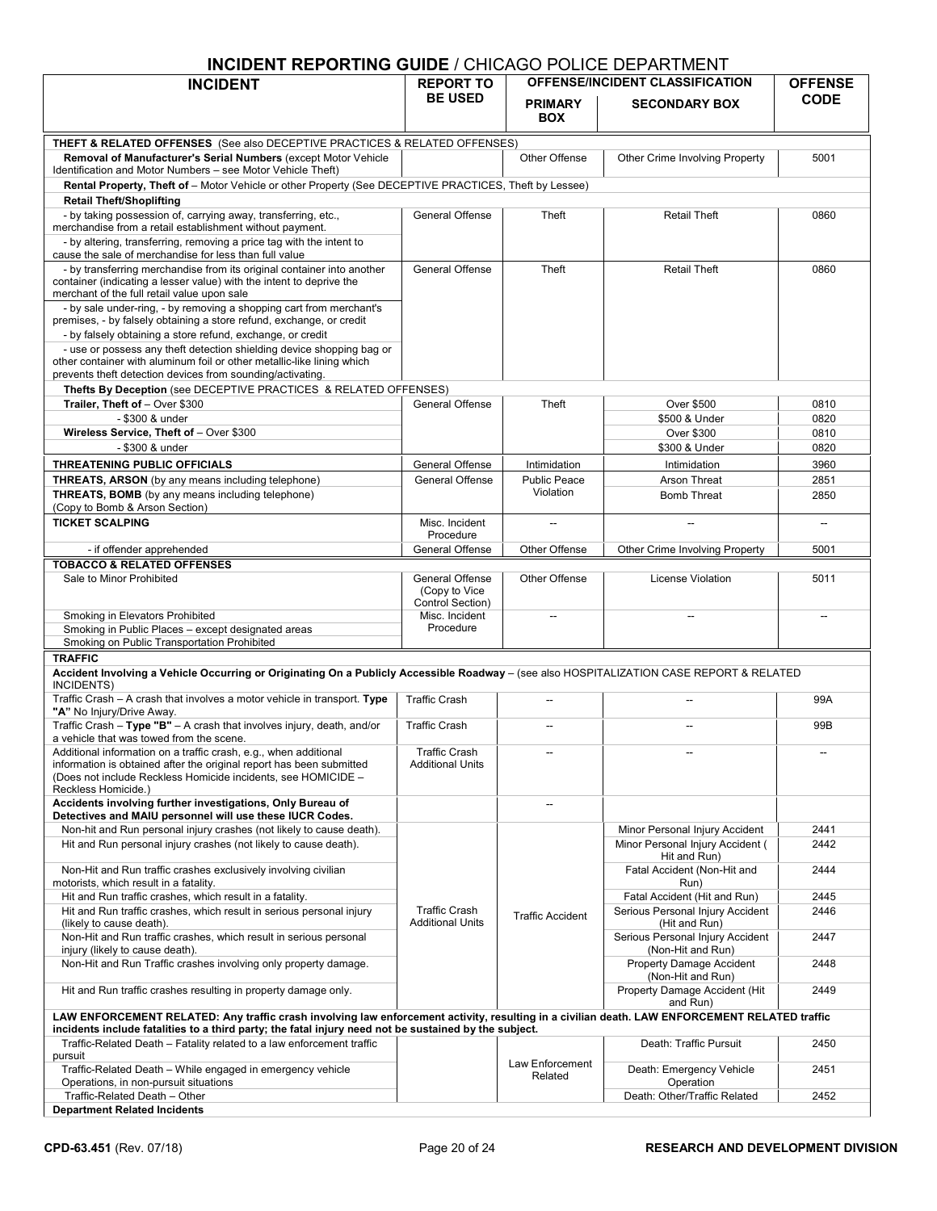| <b>INCIDENT</b>                                                                                                                                                                                                                                                                                                                                                                                                            | <b>REPORT TO</b>                                     | <u>vukvitus</u><br><b>OFFENSE/INCIDENT CLASSIFICATION</b> | <b>OFFENSE</b>                                                   |                          |
|----------------------------------------------------------------------------------------------------------------------------------------------------------------------------------------------------------------------------------------------------------------------------------------------------------------------------------------------------------------------------------------------------------------------------|------------------------------------------------------|-----------------------------------------------------------|------------------------------------------------------------------|--------------------------|
|                                                                                                                                                                                                                                                                                                                                                                                                                            | <b>BE USED</b>                                       | <b>PRIMARY</b><br><b>BOX</b>                              | <b>SECONDARY BOX</b>                                             | <b>CODE</b>              |
| <b>THEFT &amp; RELATED OFFENSES</b> (See also DECEPTIVE PRACTICES & RELATED OFFENSES)                                                                                                                                                                                                                                                                                                                                      |                                                      |                                                           |                                                                  |                          |
| Removal of Manufacturer's Serial Numbers (except Motor Vehicle<br>Identification and Motor Numbers - see Motor Vehicle Theft)                                                                                                                                                                                                                                                                                              |                                                      | Other Offense                                             | Other Crime Involving Property                                   | 5001                     |
| Rental Property, Theft of - Motor Vehicle or other Property (See DECEPTIVE PRACTICES, Theft by Lessee)<br><b>Retail Theft/Shoplifting</b>                                                                                                                                                                                                                                                                                  |                                                      |                                                           |                                                                  |                          |
| - by taking possession of, carrying away, transferring, etc.,<br>merchandise from a retail establishment without payment.                                                                                                                                                                                                                                                                                                  | General Offense                                      | Theft                                                     | <b>Retail Theft</b>                                              | 0860                     |
| - by altering, transferring, removing a price tag with the intent to                                                                                                                                                                                                                                                                                                                                                       |                                                      |                                                           |                                                                  |                          |
| cause the sale of merchandise for less than full value<br>- by transferring merchandise from its original container into another<br>container (indicating a lesser value) with the intent to deprive the<br>merchant of the full retail value upon sale                                                                                                                                                                    | General Offense                                      | Theft                                                     | <b>Retail Theft</b>                                              | 0860                     |
| - by sale under-ring, - by removing a shopping cart from merchant's<br>premises, - by falsely obtaining a store refund, exchange, or credit<br>- by falsely obtaining a store refund, exchange, or credit<br>- use or possess any theft detection shielding device shopping bag or<br>other container with aluminum foil or other metallic-like lining which<br>prevents theft detection devices from sounding/activating. |                                                      |                                                           |                                                                  |                          |
| Thefts By Deception (see DECEPTIVE PRACTICES & RELATED OFFENSES)                                                                                                                                                                                                                                                                                                                                                           |                                                      |                                                           |                                                                  |                          |
| Trailer, Theft of - Over \$300<br>- \$300 & under                                                                                                                                                                                                                                                                                                                                                                          | General Offense                                      | Theft                                                     | Over \$500<br>\$500 & Under                                      | 0810<br>0820             |
| Wireless Service, Theft of - Over \$300                                                                                                                                                                                                                                                                                                                                                                                    |                                                      |                                                           | Over \$300                                                       | 0810                     |
| - \$300 & under                                                                                                                                                                                                                                                                                                                                                                                                            |                                                      |                                                           | \$300 & Under                                                    | 0820                     |
| THREATENING PUBLIC OFFICIALS                                                                                                                                                                                                                                                                                                                                                                                               | General Offense                                      | Intimidation                                              | Intimidation                                                     | 3960                     |
| THREATS, ARSON (by any means including telephone)<br><b>THREATS, BOMB</b> (by any means including telephone)                                                                                                                                                                                                                                                                                                               | General Offense                                      | <b>Public Peace</b><br>Violation                          | Arson Threat<br><b>Bomb Threat</b>                               | 2851<br>2850             |
| (Copy to Bomb & Arson Section)                                                                                                                                                                                                                                                                                                                                                                                             |                                                      |                                                           |                                                                  |                          |
| <b>TICKET SCALPING</b>                                                                                                                                                                                                                                                                                                                                                                                                     | Misc. Incident<br>Procedure                          | $\overline{\phantom{a}}$                                  | $\sim$                                                           | $\overline{\phantom{a}}$ |
| - if offender apprehended<br><b>TOBACCO &amp; RELATED OFFENSES</b>                                                                                                                                                                                                                                                                                                                                                         | General Offense                                      | <b>Other Offense</b>                                      | Other Crime Involving Property                                   | 5001                     |
| Sale to Minor Prohibited                                                                                                                                                                                                                                                                                                                                                                                                   | General Offense<br>(Copy to Vice<br>Control Section) | Other Offense                                             | License Violation                                                | 5011                     |
| Smoking in Elevators Prohibited<br>Smoking in Public Places - except designated areas                                                                                                                                                                                                                                                                                                                                      | Misc. Incident<br>Procedure                          |                                                           |                                                                  |                          |
| Smoking on Public Transportation Prohibited<br><b>TRAFFIC</b>                                                                                                                                                                                                                                                                                                                                                              |                                                      |                                                           |                                                                  |                          |
| Accident Involving a Vehicle Occurring or Originating On a Publicly Accessible Roadway – (see also HOSPITALIZATION CASE REPORT & RELATED<br>INCIDENTS)                                                                                                                                                                                                                                                                     |                                                      |                                                           |                                                                  |                          |
| Traffic Crash - A crash that involves a motor vehicle in transport. Type<br>"A" No Injury/Drive Away.                                                                                                                                                                                                                                                                                                                      | <b>Traffic Crash</b>                                 |                                                           |                                                                  | 99A                      |
| Traffic Crash - Type "B" - A crash that involves injury, death, and/or<br>a vehicle that was towed from the scene.                                                                                                                                                                                                                                                                                                         | <b>Traffic Crash</b>                                 |                                                           |                                                                  | 99B                      |
| Additional information on a traffic crash, e.g., when additional<br>information is obtained after the original report has been submitted<br>(Does not include Reckless Homicide incidents, see HOMICIDE -<br>Reckless Homicide.)                                                                                                                                                                                           | <b>Traffic Crash</b><br><b>Additional Units</b>      |                                                           |                                                                  |                          |
| Accidents involving further investigations, Only Bureau of<br>Detectives and MAIU personnel will use these IUCR Codes.                                                                                                                                                                                                                                                                                                     |                                                      | --                                                        |                                                                  |                          |
| Non-hit and Run personal injury crashes (not likely to cause death).                                                                                                                                                                                                                                                                                                                                                       |                                                      |                                                           | Minor Personal Injury Accident                                   | 2441                     |
| Hit and Run personal injury crashes (not likely to cause death).                                                                                                                                                                                                                                                                                                                                                           |                                                      |                                                           | Minor Personal Injury Accident (<br>Hit and Run)                 | 2442                     |
| Non-Hit and Run traffic crashes exclusively involving civilian<br>motorists, which result in a fatality.                                                                                                                                                                                                                                                                                                                   |                                                      |                                                           | Fatal Accident (Non-Hit and<br>Run)                              | 2444                     |
| Hit and Run traffic crashes, which result in a fatality.<br>Hit and Run traffic crashes, which result in serious personal injury                                                                                                                                                                                                                                                                                           | <b>Traffic Crash</b>                                 |                                                           | Fatal Accident (Hit and Run)<br>Serious Personal Injury Accident | 2445<br>2446             |
| (likely to cause death).<br>Non-Hit and Run traffic crashes, which result in serious personal                                                                                                                                                                                                                                                                                                                              | <b>Additional Units</b>                              | <b>Traffic Accident</b>                                   | (Hit and Run)<br>Serious Personal Injury Accident                | 2447                     |
| injury (likely to cause death).<br>Non-Hit and Run Traffic crashes involving only property damage.                                                                                                                                                                                                                                                                                                                         |                                                      |                                                           | (Non-Hit and Run)<br>Property Damage Accident                    | 2448                     |
| Hit and Run traffic crashes resulting in property damage only.                                                                                                                                                                                                                                                                                                                                                             |                                                      |                                                           | (Non-Hit and Run)<br>Property Damage Accident (Hit               | 2449                     |
| LAW ENFORCEMENT RELATED: Any traffic crash involving law enforcement activity, resulting in a civilian death. LAW ENFORCEMENT RELATED traffic                                                                                                                                                                                                                                                                              |                                                      |                                                           | and Run)                                                         |                          |
| incidents include fatalities to a third party; the fatal injury need not be sustained by the subject.<br>Traffic-Related Death - Fatality related to a law enforcement traffic                                                                                                                                                                                                                                             |                                                      |                                                           | Death: Traffic Pursuit                                           | 2450                     |
| pursuit<br>Traffic-Related Death - While engaged in emergency vehicle                                                                                                                                                                                                                                                                                                                                                      |                                                      | Law Enforcement<br>Related                                | Death: Emergency Vehicle                                         | 2451                     |
| Operations, in non-pursuit situations<br>Traffic-Related Death - Other                                                                                                                                                                                                                                                                                                                                                     |                                                      |                                                           | Operation<br>Death: Other/Traffic Related                        | 2452                     |
| <b>Department Related Incidents</b>                                                                                                                                                                                                                                                                                                                                                                                        |                                                      |                                                           |                                                                  |                          |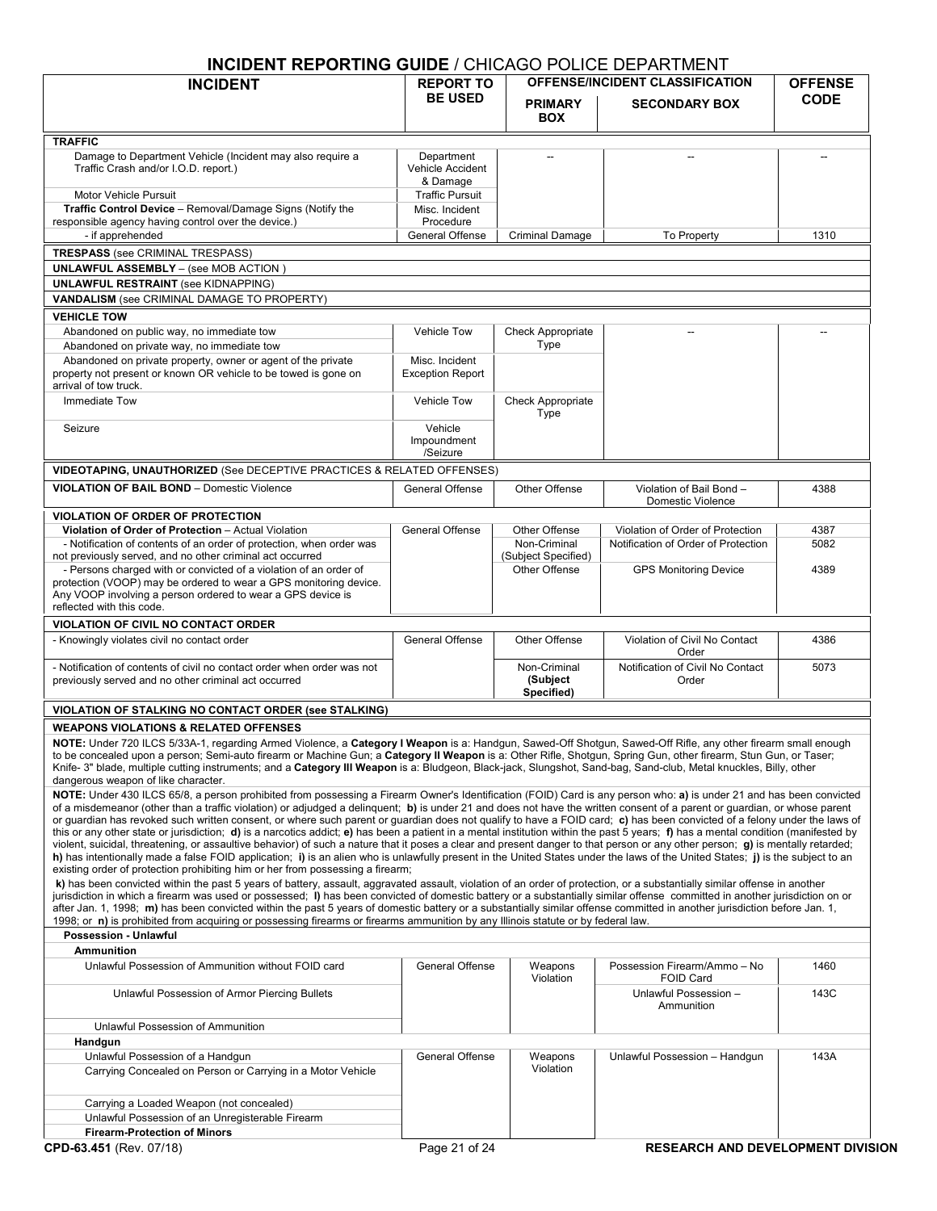| <b>INCIDENT REPORTING GUIDE / CHICAGO POLICE DEPARTMENT</b><br><b>INCIDENT</b>                                                                                                                                                                                                                                                                                                                                                                                                                                                                                                                                                                                                                                                                                                                                                                                                                                                                                                                                                                                                                                                                                                                                                                                                                                                                                                                                                                                                                                                                                                                                                                                                                                                                                                                                                                                                                                                                                                                                                                                                                                                                                                                                                                                                                                                                                                                                                                               | <b>REPORT TO</b>                                                     |                                        | <b>OFFENSE/INCIDENT CLASSIFICATION</b>           | <b>OFFENSE</b> |
|--------------------------------------------------------------------------------------------------------------------------------------------------------------------------------------------------------------------------------------------------------------------------------------------------------------------------------------------------------------------------------------------------------------------------------------------------------------------------------------------------------------------------------------------------------------------------------------------------------------------------------------------------------------------------------------------------------------------------------------------------------------------------------------------------------------------------------------------------------------------------------------------------------------------------------------------------------------------------------------------------------------------------------------------------------------------------------------------------------------------------------------------------------------------------------------------------------------------------------------------------------------------------------------------------------------------------------------------------------------------------------------------------------------------------------------------------------------------------------------------------------------------------------------------------------------------------------------------------------------------------------------------------------------------------------------------------------------------------------------------------------------------------------------------------------------------------------------------------------------------------------------------------------------------------------------------------------------------------------------------------------------------------------------------------------------------------------------------------------------------------------------------------------------------------------------------------------------------------------------------------------------------------------------------------------------------------------------------------------------------------------------------------------------------------------------------------------------|----------------------------------------------------------------------|----------------------------------------|--------------------------------------------------|----------------|
|                                                                                                                                                                                                                                                                                                                                                                                                                                                                                                                                                                                                                                                                                                                                                                                                                                                                                                                                                                                                                                                                                                                                                                                                                                                                                                                                                                                                                                                                                                                                                                                                                                                                                                                                                                                                                                                                                                                                                                                                                                                                                                                                                                                                                                                                                                                                                                                                                                                              | <b>BE USED</b>                                                       | <b>PRIMARY</b><br><b>BOX</b>           | <b>SECONDARY BOX</b>                             | <b>CODE</b>    |
| <b>TRAFFIC</b>                                                                                                                                                                                                                                                                                                                                                                                                                                                                                                                                                                                                                                                                                                                                                                                                                                                                                                                                                                                                                                                                                                                                                                                                                                                                                                                                                                                                                                                                                                                                                                                                                                                                                                                                                                                                                                                                                                                                                                                                                                                                                                                                                                                                                                                                                                                                                                                                                                               |                                                                      |                                        |                                                  |                |
| Damage to Department Vehicle (Incident may also require a<br>Traffic Crash and/or I.O.D. report.)<br>Motor Vehicle Pursuit                                                                                                                                                                                                                                                                                                                                                                                                                                                                                                                                                                                                                                                                                                                                                                                                                                                                                                                                                                                                                                                                                                                                                                                                                                                                                                                                                                                                                                                                                                                                                                                                                                                                                                                                                                                                                                                                                                                                                                                                                                                                                                                                                                                                                                                                                                                                   | Department<br>Vehicle Accident<br>& Damage<br><b>Traffic Pursuit</b> |                                        |                                                  |                |
| Traffic Control Device - Removal/Damage Signs (Notify the<br>responsible agency having control over the device.)                                                                                                                                                                                                                                                                                                                                                                                                                                                                                                                                                                                                                                                                                                                                                                                                                                                                                                                                                                                                                                                                                                                                                                                                                                                                                                                                                                                                                                                                                                                                                                                                                                                                                                                                                                                                                                                                                                                                                                                                                                                                                                                                                                                                                                                                                                                                             | Misc. Incident<br>Procedure                                          |                                        |                                                  |                |
| - if apprehended                                                                                                                                                                                                                                                                                                                                                                                                                                                                                                                                                                                                                                                                                                                                                                                                                                                                                                                                                                                                                                                                                                                                                                                                                                                                                                                                                                                                                                                                                                                                                                                                                                                                                                                                                                                                                                                                                                                                                                                                                                                                                                                                                                                                                                                                                                                                                                                                                                             | General Offense                                                      | <b>Criminal Damage</b>                 | <b>To Property</b>                               | 1310           |
| <b>TRESPASS</b> (see CRIMINAL TRESPASS)                                                                                                                                                                                                                                                                                                                                                                                                                                                                                                                                                                                                                                                                                                                                                                                                                                                                                                                                                                                                                                                                                                                                                                                                                                                                                                                                                                                                                                                                                                                                                                                                                                                                                                                                                                                                                                                                                                                                                                                                                                                                                                                                                                                                                                                                                                                                                                                                                      |                                                                      |                                        |                                                  |                |
| <b>UNLAWFUL ASSEMBLY - (see MOB ACTION)</b>                                                                                                                                                                                                                                                                                                                                                                                                                                                                                                                                                                                                                                                                                                                                                                                                                                                                                                                                                                                                                                                                                                                                                                                                                                                                                                                                                                                                                                                                                                                                                                                                                                                                                                                                                                                                                                                                                                                                                                                                                                                                                                                                                                                                                                                                                                                                                                                                                  |                                                                      |                                        |                                                  |                |
| <b>UNLAWFUL RESTRAINT (see KIDNAPPING)</b>                                                                                                                                                                                                                                                                                                                                                                                                                                                                                                                                                                                                                                                                                                                                                                                                                                                                                                                                                                                                                                                                                                                                                                                                                                                                                                                                                                                                                                                                                                                                                                                                                                                                                                                                                                                                                                                                                                                                                                                                                                                                                                                                                                                                                                                                                                                                                                                                                   |                                                                      |                                        |                                                  |                |
| VANDALISM (see CRIMINAL DAMAGE TO PROPERTY)                                                                                                                                                                                                                                                                                                                                                                                                                                                                                                                                                                                                                                                                                                                                                                                                                                                                                                                                                                                                                                                                                                                                                                                                                                                                                                                                                                                                                                                                                                                                                                                                                                                                                                                                                                                                                                                                                                                                                                                                                                                                                                                                                                                                                                                                                                                                                                                                                  |                                                                      |                                        |                                                  |                |
| <b>VEHICLE TOW</b><br>Abandoned on public way, no immediate tow                                                                                                                                                                                                                                                                                                                                                                                                                                                                                                                                                                                                                                                                                                                                                                                                                                                                                                                                                                                                                                                                                                                                                                                                                                                                                                                                                                                                                                                                                                                                                                                                                                                                                                                                                                                                                                                                                                                                                                                                                                                                                                                                                                                                                                                                                                                                                                                              | <b>Vehicle Tow</b>                                                   | Check Appropriate                      |                                                  |                |
| Abandoned on private way, no immediate tow                                                                                                                                                                                                                                                                                                                                                                                                                                                                                                                                                                                                                                                                                                                                                                                                                                                                                                                                                                                                                                                                                                                                                                                                                                                                                                                                                                                                                                                                                                                                                                                                                                                                                                                                                                                                                                                                                                                                                                                                                                                                                                                                                                                                                                                                                                                                                                                                                   |                                                                      | Type                                   |                                                  |                |
| Abandoned on private property, owner or agent of the private<br>property not present or known OR vehicle to be towed is gone on<br>arrival of tow truck.                                                                                                                                                                                                                                                                                                                                                                                                                                                                                                                                                                                                                                                                                                                                                                                                                                                                                                                                                                                                                                                                                                                                                                                                                                                                                                                                                                                                                                                                                                                                                                                                                                                                                                                                                                                                                                                                                                                                                                                                                                                                                                                                                                                                                                                                                                     | Misc. Incident<br><b>Exception Report</b>                            |                                        |                                                  |                |
| Immediate Tow                                                                                                                                                                                                                                                                                                                                                                                                                                                                                                                                                                                                                                                                                                                                                                                                                                                                                                                                                                                                                                                                                                                                                                                                                                                                                                                                                                                                                                                                                                                                                                                                                                                                                                                                                                                                                                                                                                                                                                                                                                                                                                                                                                                                                                                                                                                                                                                                                                                | <b>Vehicle Tow</b>                                                   | Check Appropriate<br>Type              |                                                  |                |
| Seizure                                                                                                                                                                                                                                                                                                                                                                                                                                                                                                                                                                                                                                                                                                                                                                                                                                                                                                                                                                                                                                                                                                                                                                                                                                                                                                                                                                                                                                                                                                                                                                                                                                                                                                                                                                                                                                                                                                                                                                                                                                                                                                                                                                                                                                                                                                                                                                                                                                                      | Vehicle<br>Impoundment<br>/Seizure                                   |                                        |                                                  |                |
| <b>VIDEOTAPING, UNAUTHORIZED (See DECEPTIVE PRACTICES &amp; RELATED OFFENSES)</b>                                                                                                                                                                                                                                                                                                                                                                                                                                                                                                                                                                                                                                                                                                                                                                                                                                                                                                                                                                                                                                                                                                                                                                                                                                                                                                                                                                                                                                                                                                                                                                                                                                                                                                                                                                                                                                                                                                                                                                                                                                                                                                                                                                                                                                                                                                                                                                            |                                                                      |                                        |                                                  |                |
| <b>VIOLATION OF BAIL BOND - Domestic Violence</b>                                                                                                                                                                                                                                                                                                                                                                                                                                                                                                                                                                                                                                                                                                                                                                                                                                                                                                                                                                                                                                                                                                                                                                                                                                                                                                                                                                                                                                                                                                                                                                                                                                                                                                                                                                                                                                                                                                                                                                                                                                                                                                                                                                                                                                                                                                                                                                                                            | General Offense                                                      | Other Offense                          | Violation of Bail Bond -<br>Domestic Violence    | 4388           |
| <b>VIOLATION OF ORDER OF PROTECTION</b><br>Violation of Order of Protection - Actual Violation                                                                                                                                                                                                                                                                                                                                                                                                                                                                                                                                                                                                                                                                                                                                                                                                                                                                                                                                                                                                                                                                                                                                                                                                                                                                                                                                                                                                                                                                                                                                                                                                                                                                                                                                                                                                                                                                                                                                                                                                                                                                                                                                                                                                                                                                                                                                                               | General Offense                                                      | Other Offense                          | Violation of Order of Protection                 | 4387           |
| - Notification of contents of an order of protection, when order was<br>not previously served, and no other criminal act occurred                                                                                                                                                                                                                                                                                                                                                                                                                                                                                                                                                                                                                                                                                                                                                                                                                                                                                                                                                                                                                                                                                                                                                                                                                                                                                                                                                                                                                                                                                                                                                                                                                                                                                                                                                                                                                                                                                                                                                                                                                                                                                                                                                                                                                                                                                                                            |                                                                      | Non-Criminal<br>(Subject Specified)    | Notification of Order of Protection              | 5082           |
| - Persons charged with or convicted of a violation of an order of<br>protection (VOOP) may be ordered to wear a GPS monitoring device.<br>Any VOOP involving a person ordered to wear a GPS device is<br>reflected with this code.                                                                                                                                                                                                                                                                                                                                                                                                                                                                                                                                                                                                                                                                                                                                                                                                                                                                                                                                                                                                                                                                                                                                                                                                                                                                                                                                                                                                                                                                                                                                                                                                                                                                                                                                                                                                                                                                                                                                                                                                                                                                                                                                                                                                                           |                                                                      | Other Offense                          | <b>GPS Monitoring Device</b>                     | 4389           |
| <b>VIOLATION OF CIVIL NO CONTACT ORDER</b>                                                                                                                                                                                                                                                                                                                                                                                                                                                                                                                                                                                                                                                                                                                                                                                                                                                                                                                                                                                                                                                                                                                                                                                                                                                                                                                                                                                                                                                                                                                                                                                                                                                                                                                                                                                                                                                                                                                                                                                                                                                                                                                                                                                                                                                                                                                                                                                                                   |                                                                      |                                        |                                                  |                |
| - Knowingly violates civil no contact order                                                                                                                                                                                                                                                                                                                                                                                                                                                                                                                                                                                                                                                                                                                                                                                                                                                                                                                                                                                                                                                                                                                                                                                                                                                                                                                                                                                                                                                                                                                                                                                                                                                                                                                                                                                                                                                                                                                                                                                                                                                                                                                                                                                                                                                                                                                                                                                                                  | General Offense                                                      | Other Offense                          | Violation of Civil No Contact<br>Order           | 4386           |
| - Notification of contents of civil no contact order when order was not<br>previously served and no other criminal act occurred                                                                                                                                                                                                                                                                                                                                                                                                                                                                                                                                                                                                                                                                                                                                                                                                                                                                                                                                                                                                                                                                                                                                                                                                                                                                                                                                                                                                                                                                                                                                                                                                                                                                                                                                                                                                                                                                                                                                                                                                                                                                                                                                                                                                                                                                                                                              |                                                                      | Non-Criminal<br>(Subject<br>Specified) | Notification of Civil No Contact<br>Order        | 5073           |
| VIOLATION OF STALKING NO CONTACT ORDER (see STALKING)                                                                                                                                                                                                                                                                                                                                                                                                                                                                                                                                                                                                                                                                                                                                                                                                                                                                                                                                                                                                                                                                                                                                                                                                                                                                                                                                                                                                                                                                                                                                                                                                                                                                                                                                                                                                                                                                                                                                                                                                                                                                                                                                                                                                                                                                                                                                                                                                        |                                                                      |                                        |                                                  |                |
| <b>WEAPONS VIOLATIONS &amp; RELATED OFFENSES</b><br>NOTE: Under 720 ILCS 5/33A-1, regarding Armed Violence, a Category I Weapon is a: Handgun, Sawed-Off Shotgun, Sawed-Off Rifle, any other firearm small enough<br>to be concealed upon a person; Semi-auto firearm or Machine Gun; a Category II Weapon is a: Other Rifle, Shotqun, Spring Gun, other firearm, Stun Gun, or Taser;<br>Knife- 3" blade, multiple cutting instruments; and a Category III Weapon is a: Bludgeon, Black-jack, Slungshot, Sand-bag, Sand-club, Metal knuckles, Billy, other<br>dangerous weapon of like character.<br>NOTE: Under 430 ILCS 65/8, a person prohibited from possessing a Firearm Owner's Identification (FOID) Card is any person who: a) is under 21 and has been convicted<br>of a misdemeanor (other than a traffic violation) or adjudged a delinquent; b) is under 21 and does not have the written consent of a parent or guardian, or whose parent<br>or guardian has revoked such written consent, or where such parent or guardian does not qualify to have a FOID card; c) has been convicted of a felony under the laws of<br>this or any other state or jurisdiction; d) is a narcotics addict; e) has been a patient in a mental institution within the past 5 years; f) has a mental condition (manifested by<br>violent, suicidal, threatening, or assaultive behavior) of such a nature that it poses a clear and present danger to that person or any other person; g) is mentally retarded;<br>h) has intentionally made a false FOID application; i) is an alien who is unlawfully present in the United States under the laws of the United States; j) is the subject to an<br>existing order of protection prohibiting him or her from possessing a firearm;<br>k) has been convicted within the past 5 years of battery, assault, aggravated assault, violation of an order of protection, or a substantially similar offense in another<br>jurisdiction in which a firearm was used or possessed; I) has been convicted of domestic battery or a substantially similar offense committed in another jurisdiction on or<br>after Jan. 1, 1998; m) has been convicted within the past 5 years of domestic battery or a substantially similar offense committed in another jurisdiction before Jan. 1,<br>1998; or n) is prohibited from acquiring or possessing firearms or firearms ammunition by any Illinois statute or by federal law. |                                                                      |                                        |                                                  |                |
| Possession - Unlawful<br><b>Ammunition</b>                                                                                                                                                                                                                                                                                                                                                                                                                                                                                                                                                                                                                                                                                                                                                                                                                                                                                                                                                                                                                                                                                                                                                                                                                                                                                                                                                                                                                                                                                                                                                                                                                                                                                                                                                                                                                                                                                                                                                                                                                                                                                                                                                                                                                                                                                                                                                                                                                   |                                                                      |                                        |                                                  |                |
| Unlawful Possession of Ammunition without FOID card                                                                                                                                                                                                                                                                                                                                                                                                                                                                                                                                                                                                                                                                                                                                                                                                                                                                                                                                                                                                                                                                                                                                                                                                                                                                                                                                                                                                                                                                                                                                                                                                                                                                                                                                                                                                                                                                                                                                                                                                                                                                                                                                                                                                                                                                                                                                                                                                          | General Offense                                                      | Weapons<br>Violation                   | Possession Firearm/Ammo - No<br><b>FOID Card</b> | 1460           |
| Unlawful Possession of Armor Piercing Bullets                                                                                                                                                                                                                                                                                                                                                                                                                                                                                                                                                                                                                                                                                                                                                                                                                                                                                                                                                                                                                                                                                                                                                                                                                                                                                                                                                                                                                                                                                                                                                                                                                                                                                                                                                                                                                                                                                                                                                                                                                                                                                                                                                                                                                                                                                                                                                                                                                |                                                                      |                                        | Unlawful Possession -<br>Ammunition              | 143C           |
| Unlawful Possession of Ammunition                                                                                                                                                                                                                                                                                                                                                                                                                                                                                                                                                                                                                                                                                                                                                                                                                                                                                                                                                                                                                                                                                                                                                                                                                                                                                                                                                                                                                                                                                                                                                                                                                                                                                                                                                                                                                                                                                                                                                                                                                                                                                                                                                                                                                                                                                                                                                                                                                            |                                                                      |                                        |                                                  |                |
| Handgun                                                                                                                                                                                                                                                                                                                                                                                                                                                                                                                                                                                                                                                                                                                                                                                                                                                                                                                                                                                                                                                                                                                                                                                                                                                                                                                                                                                                                                                                                                                                                                                                                                                                                                                                                                                                                                                                                                                                                                                                                                                                                                                                                                                                                                                                                                                                                                                                                                                      |                                                                      |                                        |                                                  |                |
| Unlawful Possession of a Handgun<br>Carrying Concealed on Person or Carrying in a Motor Vehicle                                                                                                                                                                                                                                                                                                                                                                                                                                                                                                                                                                                                                                                                                                                                                                                                                                                                                                                                                                                                                                                                                                                                                                                                                                                                                                                                                                                                                                                                                                                                                                                                                                                                                                                                                                                                                                                                                                                                                                                                                                                                                                                                                                                                                                                                                                                                                              | General Offense                                                      | Weapons<br>Violation                   | Unlawful Possession - Handgun                    | 143A           |
| Carrying a Loaded Weapon (not concealed)<br>Unlawful Possession of an Unregisterable Firearm<br><b>Firearm-Protection of Minors</b>                                                                                                                                                                                                                                                                                                                                                                                                                                                                                                                                                                                                                                                                                                                                                                                                                                                                                                                                                                                                                                                                                                                                                                                                                                                                                                                                                                                                                                                                                                                                                                                                                                                                                                                                                                                                                                                                                                                                                                                                                                                                                                                                                                                                                                                                                                                          |                                                                      |                                        |                                                  |                |
| CPD-63.451 (Rev. 07/18)                                                                                                                                                                                                                                                                                                                                                                                                                                                                                                                                                                                                                                                                                                                                                                                                                                                                                                                                                                                                                                                                                                                                                                                                                                                                                                                                                                                                                                                                                                                                                                                                                                                                                                                                                                                                                                                                                                                                                                                                                                                                                                                                                                                                                                                                                                                                                                                                                                      | Page 21 of 24                                                        |                                        | <b>RESEARCH AND DEVELOPMENT DIVISION</b>         |                |
|                                                                                                                                                                                                                                                                                                                                                                                                                                                                                                                                                                                                                                                                                                                                                                                                                                                                                                                                                                                                                                                                                                                                                                                                                                                                                                                                                                                                                                                                                                                                                                                                                                                                                                                                                                                                                                                                                                                                                                                                                                                                                                                                                                                                                                                                                                                                                                                                                                                              |                                                                      |                                        |                                                  |                |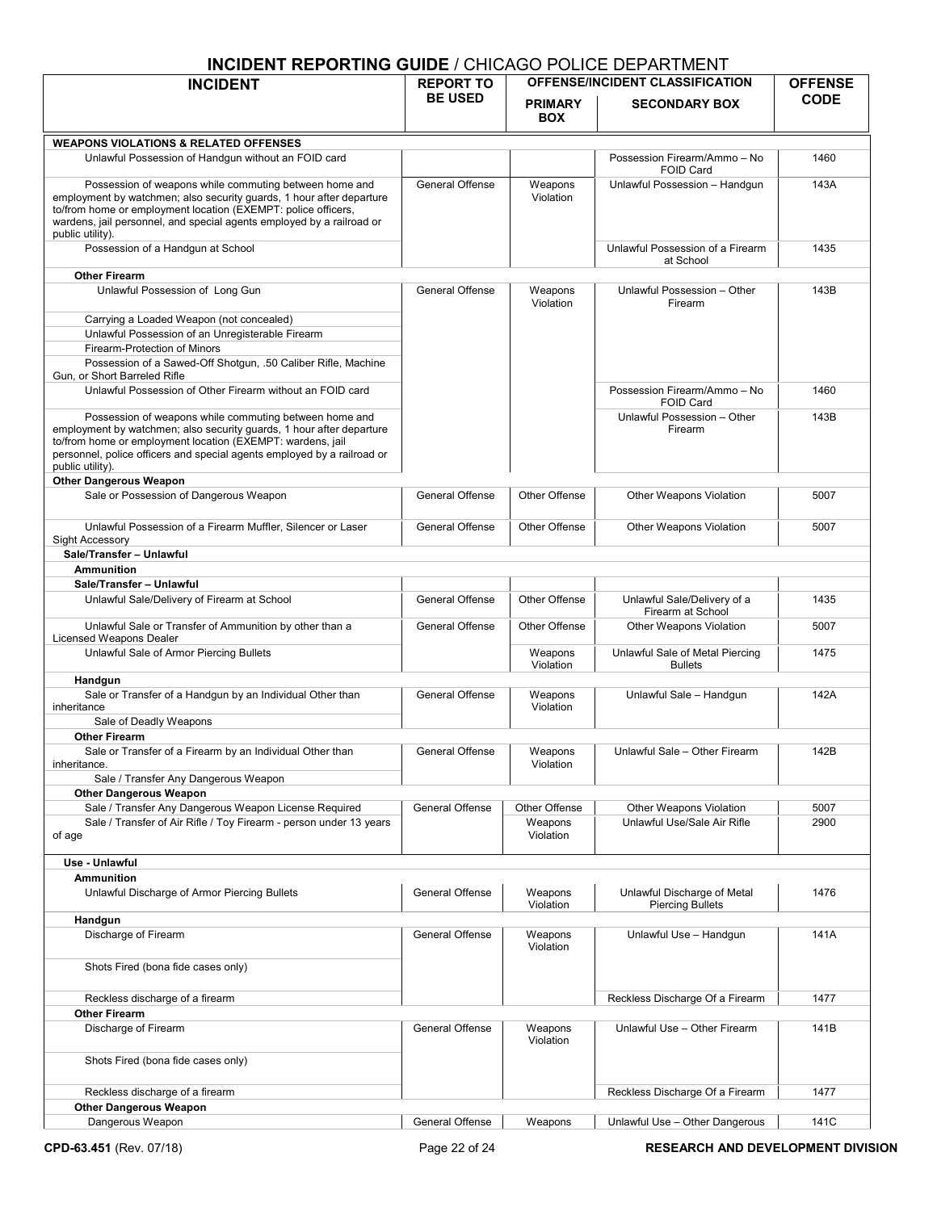| <b>INCIDENT</b>                                                                                                                                                                                                                                                                              | <b>REPORT TO</b> | OFFENSE/INCIDENT CLASSIFICATION |                                                        | <b>OFFENSE</b> |
|----------------------------------------------------------------------------------------------------------------------------------------------------------------------------------------------------------------------------------------------------------------------------------------------|------------------|---------------------------------|--------------------------------------------------------|----------------|
|                                                                                                                                                                                                                                                                                              | <b>BE USED</b>   | <b>PRIMARY</b><br><b>BOX</b>    | <b>SECONDARY BOX</b>                                   | <b>CODE</b>    |
| <b>WEAPONS VIOLATIONS &amp; RELATED OFFENSES</b>                                                                                                                                                                                                                                             |                  |                                 |                                                        |                |
| Unlawful Possession of Handgun without an FOID card                                                                                                                                                                                                                                          |                  |                                 | Possession Firearm/Ammo - No<br><b>FOID Card</b>       | 1460           |
| Possession of weapons while commuting between home and<br>employment by watchmen; also security guards, 1 hour after departure<br>to/from home or employment location (EXEMPT: police officers,<br>wardens, jail personnel, and special agents employed by a railroad or<br>public utility). | General Offense  | Weapons<br>Violation            | Unlawful Possession - Handgun                          | 143A           |
| Possession of a Handgun at School                                                                                                                                                                                                                                                            |                  |                                 | Unlawful Possession of a Firearm<br>at School          | 1435           |
| <b>Other Firearm</b>                                                                                                                                                                                                                                                                         |                  |                                 |                                                        |                |
| Unlawful Possession of Long Gun                                                                                                                                                                                                                                                              | General Offense  | Weapons<br>Violation            | Unlawful Possession - Other<br>Firearm                 | 143B           |
| Carrying a Loaded Weapon (not concealed)                                                                                                                                                                                                                                                     |                  |                                 |                                                        |                |
| Unlawful Possession of an Unregisterable Firearm                                                                                                                                                                                                                                             |                  |                                 |                                                        |                |
| Firearm-Protection of Minors<br>Possession of a Sawed-Off Shotgun, .50 Caliber Rifle, Machine<br>Gun, or Short Barreled Rifle                                                                                                                                                                |                  |                                 |                                                        |                |
| Unlawful Possession of Other Firearm without an FOID card                                                                                                                                                                                                                                    |                  |                                 | Possession Firearm/Ammo - No<br><b>FOID Card</b>       | 1460           |
| Possession of weapons while commuting between home and<br>employment by watchmen; also security guards, 1 hour after departure<br>to/from home or employment location (EXEMPT: wardens, jail<br>personnel, police officers and special agents employed by a railroad or<br>public utility).  |                  |                                 | Unlawful Possession - Other<br>Firearm                 | 143B           |
| <b>Other Dangerous Weapon</b>                                                                                                                                                                                                                                                                |                  |                                 |                                                        |                |
| Sale or Possession of Dangerous Weapon                                                                                                                                                                                                                                                       | General Offense  | Other Offense                   | Other Weapons Violation                                | 5007           |
| Unlawful Possession of a Firearm Muffler, Silencer or Laser<br>Sight Accessory                                                                                                                                                                                                               | General Offense  | Other Offense                   | Other Weapons Violation                                | 5007           |
| Sale/Transfer - Unlawful                                                                                                                                                                                                                                                                     |                  |                                 |                                                        |                |
| <b>Ammunition</b>                                                                                                                                                                                                                                                                            |                  |                                 |                                                        |                |
| Sale/Transfer - Unlawful<br>Unlawful Sale/Delivery of Firearm at School                                                                                                                                                                                                                      | General Offense  | Other Offense                   | Unlawful Sale/Delivery of a                            | 1435           |
| Unlawful Sale or Transfer of Ammunition by other than a                                                                                                                                                                                                                                      | General Offense  | Other Offense                   | Firearm at School<br>Other Weapons Violation           | 5007           |
| Licensed Weapons Dealer<br>Unlawful Sale of Armor Piercing Bullets                                                                                                                                                                                                                           |                  | Weapons                         | Unlawful Sale of Metal Piercing                        | 1475           |
| Handgun                                                                                                                                                                                                                                                                                      |                  | Violation                       | <b>Bullets</b>                                         |                |
| Sale or Transfer of a Handgun by an Individual Other than<br>inheritance                                                                                                                                                                                                                     | General Offense  | Weapons<br>Violation            | Unlawful Sale - Handgun                                | 142A           |
| Sale of Deadly Weapons                                                                                                                                                                                                                                                                       |                  |                                 |                                                        |                |
| <b>Other Firearm</b><br>Sale or Transfer of a Firearm by an Individual Other than                                                                                                                                                                                                            | General Offense  | Weapons                         | Unlawful Sale - Other Firearm                          | 142B           |
| inheritance.<br>Sale / Transfer Any Dangerous Weapon                                                                                                                                                                                                                                         |                  | Violation                       |                                                        |                |
| <b>Other Dangerous Weapon</b>                                                                                                                                                                                                                                                                |                  |                                 |                                                        |                |
| Sale / Transfer Any Dangerous Weapon License Required<br>Sale / Transfer of Air Rifle / Toy Firearm - person under 13 years                                                                                                                                                                  | General Offense  | Other Offense<br>Weapons        | Other Weapons Violation<br>Unlawful Use/Sale Air Rifle | 5007<br>2900   |
| of age                                                                                                                                                                                                                                                                                       |                  | Violation                       |                                                        |                |
| Use - Unlawful                                                                                                                                                                                                                                                                               |                  |                                 |                                                        |                |
| <b>Ammunition</b><br>Unlawful Discharge of Armor Piercing Bullets                                                                                                                                                                                                                            | General Offense  | Weapons                         | Unlawful Discharge of Metal                            | 1476           |
| Handgun                                                                                                                                                                                                                                                                                      |                  | Violation                       | <b>Piercing Bullets</b>                                |                |
| Discharge of Firearm                                                                                                                                                                                                                                                                         | General Offense  | Weapons<br>Violation            | Unlawful Use - Handgun                                 | 141A           |
| Shots Fired (bona fide cases only)                                                                                                                                                                                                                                                           |                  |                                 |                                                        |                |
| Reckless discharge of a firearm                                                                                                                                                                                                                                                              |                  |                                 | Reckless Discharge Of a Firearm                        | 1477           |
| <b>Other Firearm</b>                                                                                                                                                                                                                                                                         |                  |                                 |                                                        |                |
| Discharge of Firearm                                                                                                                                                                                                                                                                         | General Offense  | Weapons<br>Violation            | Unlawful Use - Other Firearm                           | 141B           |
| Shots Fired (bona fide cases only)                                                                                                                                                                                                                                                           |                  |                                 |                                                        |                |
| Reckless discharge of a firearm                                                                                                                                                                                                                                                              |                  |                                 | Reckless Discharge Of a Firearm                        | 1477           |
| <b>Other Dangerous Weapon</b>                                                                                                                                                                                                                                                                |                  |                                 |                                                        |                |
| Dangerous Weapon                                                                                                                                                                                                                                                                             | General Offense  | Weapons                         | Unlawful Use - Other Dangerous                         | 141C           |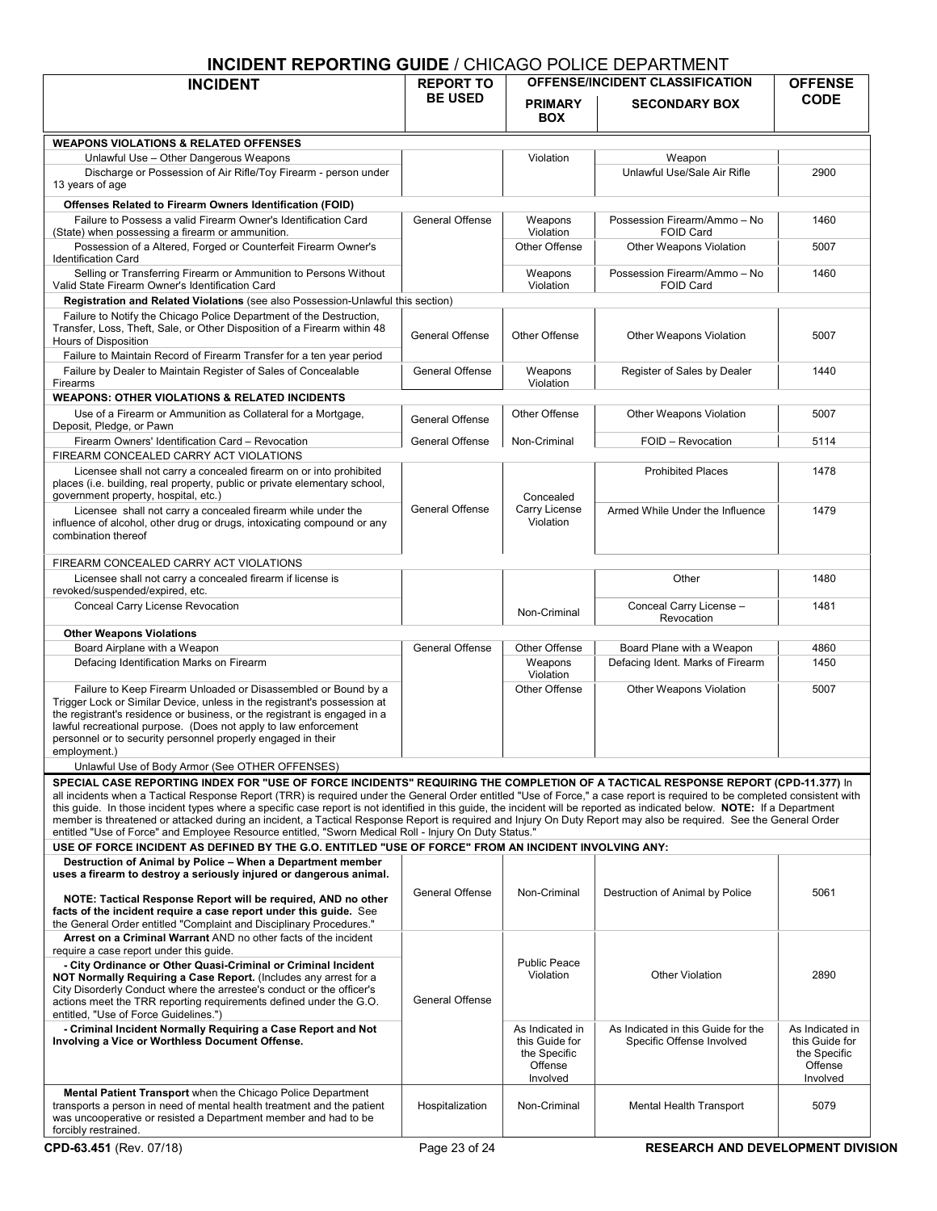| <b>INCIDENT</b>                                                                                                                                                                                                                                                                                                                                                                                                                                                                                                                                                                                                                                                                                                                                                                                                                                                                   | <b>REPORT TO</b>       | ULIUL DLI / \I \I IVILI<br><b>OFFENSE/INCIDENT CLASSIFICATION</b> |                                                                 | <b>OFFENSE</b>                                               |
|-----------------------------------------------------------------------------------------------------------------------------------------------------------------------------------------------------------------------------------------------------------------------------------------------------------------------------------------------------------------------------------------------------------------------------------------------------------------------------------------------------------------------------------------------------------------------------------------------------------------------------------------------------------------------------------------------------------------------------------------------------------------------------------------------------------------------------------------------------------------------------------|------------------------|-------------------------------------------------------------------|-----------------------------------------------------------------|--------------------------------------------------------------|
|                                                                                                                                                                                                                                                                                                                                                                                                                                                                                                                                                                                                                                                                                                                                                                                                                                                                                   | <b>BE USED</b>         | <b>PRIMARY</b><br><b>BOX</b>                                      | <b>SECONDARY BOX</b>                                            | <b>CODE</b>                                                  |
| <b>WEAPONS VIOLATIONS &amp; RELATED OFFENSES</b>                                                                                                                                                                                                                                                                                                                                                                                                                                                                                                                                                                                                                                                                                                                                                                                                                                  |                        |                                                                   |                                                                 |                                                              |
| Unlawful Use - Other Dangerous Weapons                                                                                                                                                                                                                                                                                                                                                                                                                                                                                                                                                                                                                                                                                                                                                                                                                                            |                        | Violation                                                         | Weapon                                                          |                                                              |
| Discharge or Possession of Air Rifle/Toy Firearm - person under<br>13 years of age                                                                                                                                                                                                                                                                                                                                                                                                                                                                                                                                                                                                                                                                                                                                                                                                |                        |                                                                   | Unlawful Use/Sale Air Rifle                                     | 2900                                                         |
| Offenses Related to Firearm Owners Identification (FOID)                                                                                                                                                                                                                                                                                                                                                                                                                                                                                                                                                                                                                                                                                                                                                                                                                          |                        |                                                                   |                                                                 |                                                              |
| Failure to Possess a valid Firearm Owner's Identification Card                                                                                                                                                                                                                                                                                                                                                                                                                                                                                                                                                                                                                                                                                                                                                                                                                    | General Offense        | Weapons<br>Violation                                              | Possession Firearm/Ammo - No                                    | 1460                                                         |
| (State) when possessing a firearm or ammunition.<br>Possession of a Altered, Forged or Counterfeit Firearm Owner's                                                                                                                                                                                                                                                                                                                                                                                                                                                                                                                                                                                                                                                                                                                                                                |                        | Other Offense                                                     | FOID Card<br>Other Weapons Violation                            | 5007                                                         |
| <b>Identification Card</b>                                                                                                                                                                                                                                                                                                                                                                                                                                                                                                                                                                                                                                                                                                                                                                                                                                                        |                        |                                                                   |                                                                 |                                                              |
| Selling or Transferring Firearm or Ammunition to Persons Without<br>Valid State Firearm Owner's Identification Card                                                                                                                                                                                                                                                                                                                                                                                                                                                                                                                                                                                                                                                                                                                                                               |                        | Weapons<br>Violation                                              | Possession Firearm/Ammo - No<br>FOID Card                       | 1460                                                         |
| Registration and Related Violations (see also Possession-Unlawful this section)                                                                                                                                                                                                                                                                                                                                                                                                                                                                                                                                                                                                                                                                                                                                                                                                   |                        |                                                                   |                                                                 |                                                              |
| Failure to Notify the Chicago Police Department of the Destruction,<br>Transfer, Loss, Theft, Sale, or Other Disposition of a Firearm within 48                                                                                                                                                                                                                                                                                                                                                                                                                                                                                                                                                                                                                                                                                                                                   | General Offense        | Other Offense                                                     | Other Weapons Violation                                         | 5007                                                         |
| Hours of Disposition                                                                                                                                                                                                                                                                                                                                                                                                                                                                                                                                                                                                                                                                                                                                                                                                                                                              |                        |                                                                   |                                                                 |                                                              |
| Failure to Maintain Record of Firearm Transfer for a ten year period<br>Failure by Dealer to Maintain Register of Sales of Concealable                                                                                                                                                                                                                                                                                                                                                                                                                                                                                                                                                                                                                                                                                                                                            | General Offense        | Weapons                                                           | Register of Sales by Dealer                                     | 1440                                                         |
| Firearms                                                                                                                                                                                                                                                                                                                                                                                                                                                                                                                                                                                                                                                                                                                                                                                                                                                                          |                        | Violation                                                         |                                                                 |                                                              |
| <b>WEAPONS: OTHER VIOLATIONS &amp; RELATED INCIDENTS</b>                                                                                                                                                                                                                                                                                                                                                                                                                                                                                                                                                                                                                                                                                                                                                                                                                          |                        |                                                                   |                                                                 |                                                              |
| Use of a Firearm or Ammunition as Collateral for a Mortgage,<br>Deposit, Pledge, or Pawn                                                                                                                                                                                                                                                                                                                                                                                                                                                                                                                                                                                                                                                                                                                                                                                          | <b>General Offense</b> | Other Offense                                                     | Other Weapons Violation                                         | 5007                                                         |
| Firearm Owners' Identification Card - Revocation                                                                                                                                                                                                                                                                                                                                                                                                                                                                                                                                                                                                                                                                                                                                                                                                                                  | <b>General Offense</b> | Non-Criminal                                                      | FOID - Revocation                                               | 5114                                                         |
| FIREARM CONCEALED CARRY ACT VIOLATIONS                                                                                                                                                                                                                                                                                                                                                                                                                                                                                                                                                                                                                                                                                                                                                                                                                                            |                        |                                                                   |                                                                 |                                                              |
| Licensee shall not carry a concealed firearm on or into prohibited<br>places (i.e. building, real property, public or private elementary school,                                                                                                                                                                                                                                                                                                                                                                                                                                                                                                                                                                                                                                                                                                                                  |                        |                                                                   | <b>Prohibited Places</b>                                        | 1478                                                         |
| government property, hospital, etc.)                                                                                                                                                                                                                                                                                                                                                                                                                                                                                                                                                                                                                                                                                                                                                                                                                                              |                        | Concealed                                                         |                                                                 |                                                              |
| Licensee shall not carry a concealed firearm while under the<br>influence of alcohol, other drug or drugs, intoxicating compound or any<br>combination thereof                                                                                                                                                                                                                                                                                                                                                                                                                                                                                                                                                                                                                                                                                                                    | <b>General Offense</b> | Carry License<br>Violation                                        | Armed While Under the Influence                                 | 1479                                                         |
| FIREARM CONCEALED CARRY ACT VIOLATIONS                                                                                                                                                                                                                                                                                                                                                                                                                                                                                                                                                                                                                                                                                                                                                                                                                                            |                        |                                                                   |                                                                 |                                                              |
| Licensee shall not carry a concealed firearm if license is<br>revoked/suspended/expired, etc.                                                                                                                                                                                                                                                                                                                                                                                                                                                                                                                                                                                                                                                                                                                                                                                     |                        |                                                                   | Other                                                           | 1480                                                         |
| Conceal Carry License Revocation                                                                                                                                                                                                                                                                                                                                                                                                                                                                                                                                                                                                                                                                                                                                                                                                                                                  |                        | Non-Criminal                                                      | Conceal Carry License -                                         | 1481                                                         |
| <b>Other Weapons Violations</b>                                                                                                                                                                                                                                                                                                                                                                                                                                                                                                                                                                                                                                                                                                                                                                                                                                                   |                        |                                                                   | Revocation                                                      |                                                              |
| Board Airplane with a Weapon                                                                                                                                                                                                                                                                                                                                                                                                                                                                                                                                                                                                                                                                                                                                                                                                                                                      | General Offense        | Other Offense                                                     | Board Plane with a Weapon                                       | 4860                                                         |
| Defacing Identification Marks on Firearm                                                                                                                                                                                                                                                                                                                                                                                                                                                                                                                                                                                                                                                                                                                                                                                                                                          |                        | Weapons                                                           | Defacing Ident. Marks of Firearm                                | 1450                                                         |
| Failure to Keep Firearm Unloaded or Disassembled or Bound by a<br>Trigger Lock or Similar Device, unless in the registrant's possession at<br>the registrant's residence or business, or the registrant is engaged in a<br>lawful recreational purpose. (Does not apply to law enforcement<br>personnel or to security personnel properly engaged in their<br>employment.)                                                                                                                                                                                                                                                                                                                                                                                                                                                                                                        |                        | Violation<br>Other Offense                                        | Other Weapons Violation                                         | 5007                                                         |
| Unlawful Use of Body Armor (See OTHER OFFENSES)                                                                                                                                                                                                                                                                                                                                                                                                                                                                                                                                                                                                                                                                                                                                                                                                                                   |                        |                                                                   |                                                                 |                                                              |
| SPECIAL CASE REPORTING INDEX FOR "USE OF FORCE INCIDENTS" REQUIRING THE COMPLETION OF A TACTICAL RESPONSE REPORT (CPD-11.377) In<br>all incidents when a Tactical Response Report (TRR) is required under the General Order entitled "Use of Force," a case report is required to be completed consistent with<br>this quide. In those incident types where a specific case report is not identified in this quide, the incident will be reported as indicated below. NOTE: If a Department<br>member is threatened or attacked during an incident, a Tactical Response Report is required and Injury On Duty Report may also be required. See the General Order<br>entitled "Use of Force" and Employee Resource entitled, "Sworn Medical Roll - Injury On Duty Status."<br>USE OF FORCE INCIDENT AS DEFINED BY THE G.O. ENTITLED "USE OF FORCE" FROM AN INCIDENT INVOLVING ANY: |                        |                                                                   |                                                                 |                                                              |
| Destruction of Animal by Police - When a Department member                                                                                                                                                                                                                                                                                                                                                                                                                                                                                                                                                                                                                                                                                                                                                                                                                        |                        |                                                                   |                                                                 |                                                              |
| uses a firearm to destroy a seriously injured or dangerous animal.                                                                                                                                                                                                                                                                                                                                                                                                                                                                                                                                                                                                                                                                                                                                                                                                                | General Offense        | Non-Criminal                                                      | Destruction of Animal by Police                                 | 5061                                                         |
| NOTE: Tactical Response Report will be required, AND no other<br>facts of the incident require a case report under this guide. See<br>the General Order entitled "Complaint and Disciplinary Procedures."                                                                                                                                                                                                                                                                                                                                                                                                                                                                                                                                                                                                                                                                         |                        |                                                                   |                                                                 |                                                              |
| Arrest on a Criminal Warrant AND no other facts of the incident                                                                                                                                                                                                                                                                                                                                                                                                                                                                                                                                                                                                                                                                                                                                                                                                                   |                        |                                                                   |                                                                 |                                                              |
| require a case report under this quide.<br>- City Ordinance or Other Quasi-Criminal or Criminal Incident                                                                                                                                                                                                                                                                                                                                                                                                                                                                                                                                                                                                                                                                                                                                                                          |                        | <b>Public Peace</b>                                               |                                                                 |                                                              |
| NOT Normally Requiring a Case Report. (Includes any arrest for a<br>City Disorderly Conduct where the arrestee's conduct or the officer's<br>actions meet the TRR reporting requirements defined under the G.O.<br>entitled, "Use of Force Guidelines.")                                                                                                                                                                                                                                                                                                                                                                                                                                                                                                                                                                                                                          | General Offense        | Violation                                                         | <b>Other Violation</b>                                          | 2890                                                         |
| - Criminal Incident Normally Requiring a Case Report and Not<br>Involving a Vice or Worthless Document Offense.                                                                                                                                                                                                                                                                                                                                                                                                                                                                                                                                                                                                                                                                                                                                                                   |                        | As Indicated in<br>this Guide for<br>the Specific<br>Offense      | As Indicated in this Guide for the<br>Specific Offense Involved | As Indicated in<br>this Guide for<br>the Specific<br>Offense |
|                                                                                                                                                                                                                                                                                                                                                                                                                                                                                                                                                                                                                                                                                                                                                                                                                                                                                   |                        | Involved                                                          |                                                                 | Involved                                                     |
| <b>Mental Patient Transport</b> when the Chicago Police Department<br>transports a person in need of mental health treatment and the patient<br>was uncooperative or resisted a Department member and had to be<br>forcibly restrained.                                                                                                                                                                                                                                                                                                                                                                                                                                                                                                                                                                                                                                           | Hospitalization        | Non-Criminal                                                      | Mental Health Transport                                         | 5079                                                         |